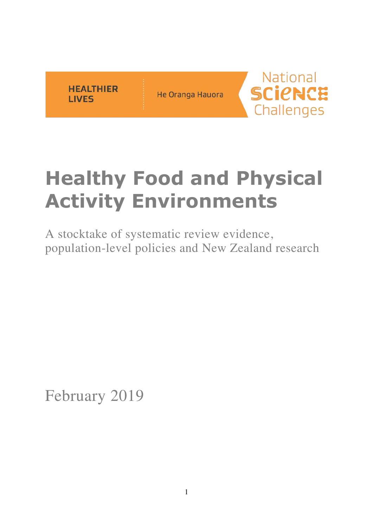

He Oranga Hauora



# **Healthy Food and Physical Activity Environments**

A stocktake of systematic review evidence, population-level policies and New Zealand research

February 2019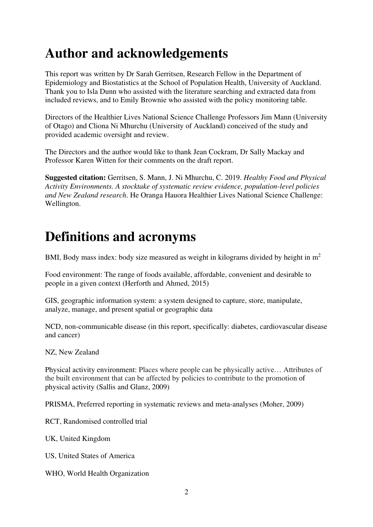## **Author and acknowledgements**

This report was written by Dr Sarah Gerritsen, Research Fellow in the Department of Epidemiology and Biostatistics at the School of Population Health, University of Auckland. Thank you to Isla Dunn who assisted with the literature searching and extracted data from included reviews, and to Emily Brownie who assisted with the policy monitoring table.

Directors of the Healthier Lives National Science Challenge Professors Jim Mann (University of Otago) and Cliona Ni Mhurchu (University of Auckland) conceived of the study and provided academic oversight and review.

The Directors and the author would like to thank Jean Cockram, Dr Sally Mackay and Professor Karen Witten for their comments on the draft report.

**Suggested citation:** Gerritsen, S. Mann, J. Ni Mhurchu, C. 2019. *Healthy Food and Physical Activity Environments. A stocktake of systematic review evidence, population-level policies and New Zealand research*. He Oranga Hauora Healthier Lives National Science Challenge: Wellington.

## **Definitions and acronyms**

BMI, Body mass index: body size measured as weight in kilograms divided by height in m<sup>2</sup>

Food environment: The range of foods available, affordable, convenient and desirable to people in a given context (Herforth and Ahmed, 2015)

GIS, geographic information system: a system designed to capture, store, manipulate, analyze, manage, and present spatial or geographic data

NCD, non-communicable disease (in this report, specifically: diabetes, cardiovascular disease and cancer)

NZ, New Zealand

Physical activity environment: Places where people can be physically active… Attributes of the built environment that can be affected by policies to contribute to the promotion of physical activity (Sallis and Glanz, 2009)

PRISMA, Preferred reporting in systematic reviews and meta-analyses (Moher, 2009)

RCT, Randomised controlled trial

UK, United Kingdom

US, United States of America

WHO, World Health Organization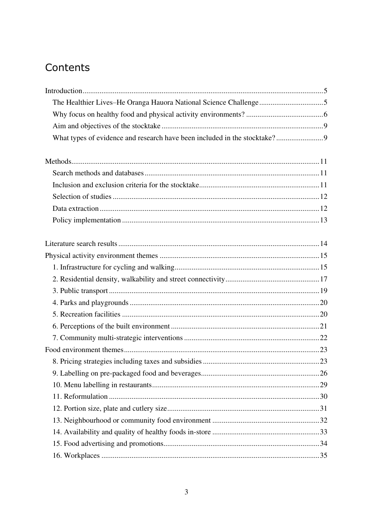## Contents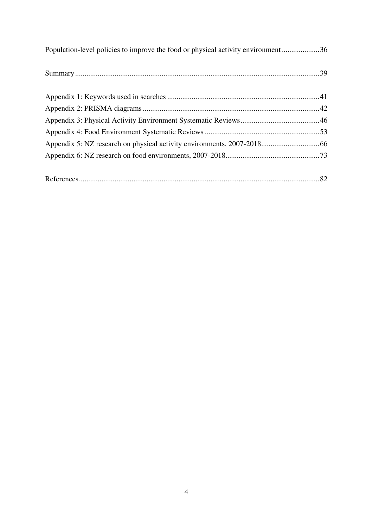| Population-level policies to improve the food or physical activity environment36 |  |  |
|----------------------------------------------------------------------------------|--|--|
|                                                                                  |  |  |
|                                                                                  |  |  |
|                                                                                  |  |  |
|                                                                                  |  |  |
|                                                                                  |  |  |
|                                                                                  |  |  |
|                                                                                  |  |  |
|                                                                                  |  |  |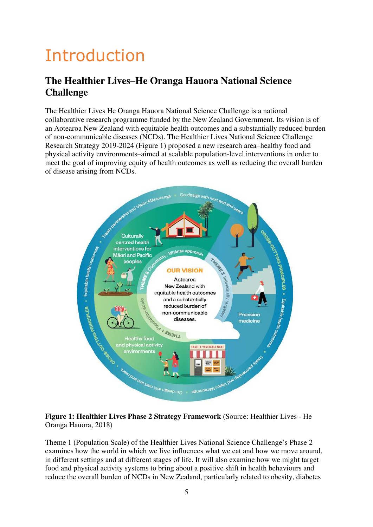# <span id="page-4-0"></span>Introduction

## <span id="page-4-1"></span>**The Healthier Lives–He Oranga Hauora National Science Challenge**

The Healthier Lives He Oranga Hauora National Science Challenge is a national collaborative research programme funded by the New Zealand Government. Its vision is of an Aotearoa New Zealand with equitable health outcomes and a substantially reduced burden of non-communicable diseases (NCDs). The Healthier Lives National Science Challenge Research Strategy 2019-2024 (Figure 1) proposed a new research area–healthy food and physical activity environments–aimed at scalable population-level interventions in order to meet the goal of improving equity of health outcomes as well as reducing the overall burden of disease arising from NCDs.



#### **Figure 1: Healthier Lives Phase 2 Strategy Framework** (Source: Healthier Lives - He Oranga Hauora, 2018)

Theme 1 (Population Scale) of the Healthier Lives National Science Challenge's Phase 2 examines how the world in which we live influences what we eat and how we move around, in different settings and at different stages of life. It will also examine how we might target food and physical activity systems to bring about a positive shift in health behaviours and reduce the overall burden of NCDs in New Zealand, particularly related to obesity, diabetes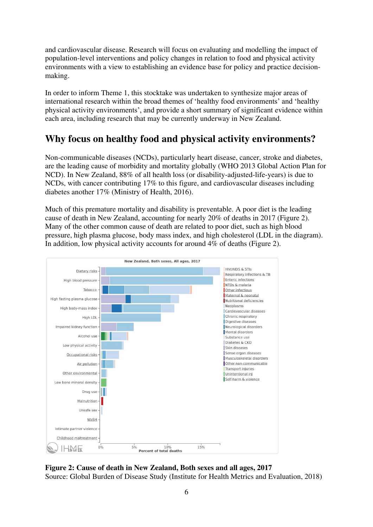and cardiovascular disease. Research will focus on evaluating and modelling the impact of population-level interventions and policy changes in relation to food and physical activity environments with a view to establishing an evidence base for policy and practice decisionmaking.

In order to inform Theme 1, this stocktake was undertaken to synthesize major areas of international research within the broad themes of 'healthy food environments' and 'healthy physical activity environments', and provide a short summary of significant evidence within each area, including research that may be currently underway in New Zealand.

## <span id="page-5-0"></span>**Why focus on healthy food and physical activity environments?**

Non-communicable diseases (NCDs), particularly heart disease, cancer, stroke and diabetes, are the leading cause of morbidity and mortality globally (WHO 2013 Global Action Plan for NCD). In New Zealand, 88% of all health loss (or disability-adjusted-life-years) is due to NCDs, with cancer contributing 17% to this figure, and cardiovascular diseases including diabetes another 17% (Ministry of Health, 2016).

Much of this premature mortality and disability is preventable. A poor diet is the leading cause of death in New Zealand, accounting for nearly 20% of deaths in 2017 (Figure 2). Many of the other common cause of death are related to poor diet, such as high blood pressure, high plasma glucose, body mass index, and high cholesterol (LDL in the diagram). In addition, low physical activity accounts for around 4% of deaths (Figure 2).



**Figure 2: Cause of death in New Zealand, Both sexes and all ages, 2017**  Source: Global Burden of Disease Study (Institute for Health Metrics and Evaluation, 2018)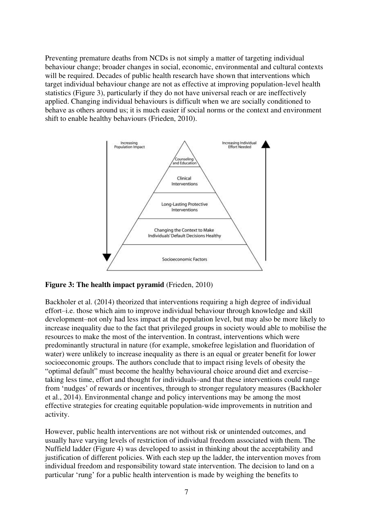Preventing premature deaths from NCDs is not simply a matter of targeting individual behaviour change; broader changes in social, economic, environmental and cultural contexts will be required. Decades of public health research have shown that interventions which target individual behaviour change are not as effective at improving population-level health statistics (Figure 3), particularly if they do not have universal reach or are ineffectively applied. Changing individual behaviours is difficult when we are socially conditioned to behave as others around us; it is much easier if social norms or the context and environment shift to enable healthy behaviours (Frieden, 2010).



**Figure 3: The health impact pyramid** (Frieden, 2010)

Backholer et al. (2014) theorized that interventions requiring a high degree of individual effort–i.e. those which aim to improve individual behaviour through knowledge and skill development–not only had less impact at the population level, but may also be more likely to increase inequality due to the fact that privileged groups in society would able to mobilise the resources to make the most of the intervention. In contrast, interventions which were predominantly structural in nature (for example, smokefree legislation and fluoridation of water) were unlikely to increase inequality as there is an equal or greater benefit for lower socioeconomic groups. The authors conclude that to impact rising levels of obesity the "optimal default" must become the healthy behavioural choice around diet and exercise– taking less time, effort and thought for individuals–and that these interventions could range from 'nudges' of rewards or incentives, through to stronger regulatory measures (Backholer et al., 2014). Environmental change and policy interventions may be among the most effective strategies for creating equitable population-wide improvements in nutrition and activity.

However, public health interventions are not without risk or unintended outcomes, and usually have varying levels of restriction of individual freedom associated with them. The Nuffield ladder (Figure 4) was developed to assist in thinking about the acceptability and justification of different policies. With each step up the ladder, the intervention moves from individual freedom and responsibility toward state intervention. The decision to land on a particular 'rung' for a public health intervention is made by weighing the benefits to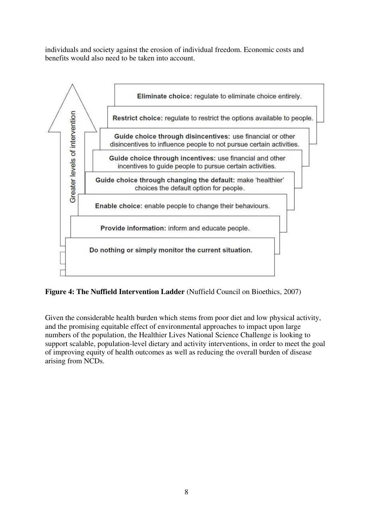individuals and society against the erosion of individual freedom. Economic costs and benefits would also need to be taken into account.



**Figure 4: The Nuffield Intervention Ladder** (Nuffield Council on Bioethics, 2007)

Given the considerable health burden which stems from poor diet and low physical activity, and the promising equitable effect of environmental approaches to impact upon large numbers of the population, the Healthier Lives National Science Challenge is looking to support scalable, population-level dietary and activity interventions, in order to meet the goal of improving equity of health outcomes as well as reducing the overall burden of disease arising from NCDs.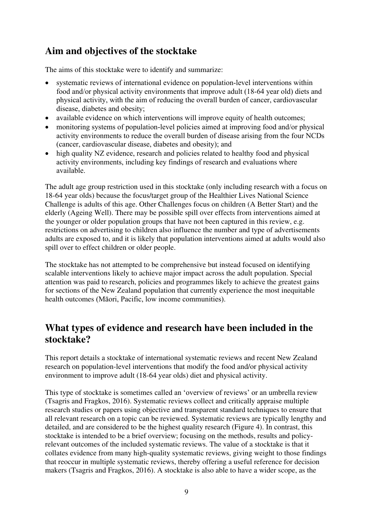## <span id="page-8-0"></span>**Aim and objectives of the stocktake**

The aims of this stocktake were to identify and summarize:

- systematic reviews of international evidence on population-level interventions within food and/or physical activity environments that improve adult (18-64 year old) diets and physical activity, with the aim of reducing the overall burden of cancer, cardiovascular disease, diabetes and obesity;
- available evidence on which interventions will improve equity of health outcomes;
- monitoring systems of population-level policies aimed at improving food and/or physical activity environments to reduce the overall burden of disease arising from the four NCDs (cancer, cardiovascular disease, diabetes and obesity); and
- high quality NZ evidence, research and policies related to healthy food and physical activity environments, including key findings of research and evaluations where available.

The adult age group restriction used in this stocktake (only including research with a focus on 18-64 year olds) because the focus/target group of the Healthier Lives National Science Challenge is adults of this age. Other Challenges focus on children (A Better Start) and the elderly (Ageing Well). There may be possible spill over effects from interventions aimed at the younger or older population groups that have not been captured in this review, e.g. restrictions on advertising to children also influence the number and type of advertisements adults are exposed to, and it is likely that population interventions aimed at adults would also spill over to effect children or older people.

The stocktake has not attempted to be comprehensive but instead focused on identifying scalable interventions likely to achieve major impact across the adult population. Special attention was paid to research, policies and programmes likely to achieve the greatest gains for sections of the New Zealand population that currently experience the most inequitable health outcomes (Māori, Pacific, low income communities).

## <span id="page-8-1"></span>**What types of evidence and research have been included in the stocktake?**

This report details a stocktake of international systematic reviews and recent New Zealand research on population-level interventions that modify the food and/or physical activity environment to improve adult (18-64 year olds) diet and physical activity.

This type of stocktake is sometimes called an 'overview of reviews' or an umbrella review (Tsagris and Fragkos, 2016). Systematic reviews collect and critically appraise multiple research studies or papers using objective and transparent standard techniques to ensure that all relevant research on a topic can be reviewed. Systematic reviews are typically lengthy and detailed, and are considered to be the highest quality research (Figure 4). In contrast, this stocktake is intended to be a brief overview; focusing on the methods, results and policyrelevant outcomes of the included systematic reviews. The value of a stocktake is that it collates evidence from many high-quality systematic reviews, giving weight to those findings that reoccur in multiple systematic reviews, thereby offering a useful reference for decision makers (Tsagris and Fragkos, 2016). A stocktake is also able to have a wider scope, as the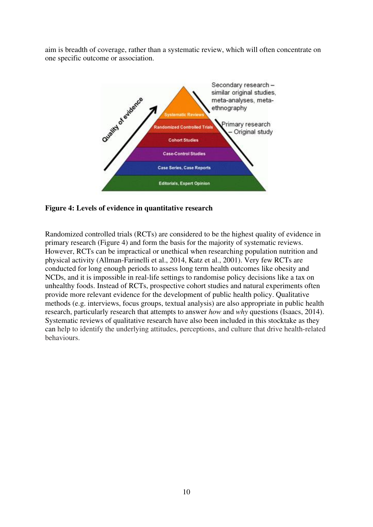aim is breadth of coverage, rather than a systematic review, which will often concentrate on one specific outcome or association.



#### **Figure 4: Levels of evidence in quantitative research**

Randomized controlled trials (RCTs) are considered to be the highest quality of evidence in primary research (Figure 4) and form the basis for the majority of systematic reviews. However, RCTs can be impractical or unethical when researching population nutrition and physical activity (Allman-Farinelli et al., 2014, Katz et al., 2001). Very few RCTs are conducted for long enough periods to assess long term health outcomes like obesity and NCDs, and it is impossible in real-life settings to randomise policy decisions like a tax on unhealthy foods. Instead of RCTs, prospective cohort studies and natural experiments often provide more relevant evidence for the development of public health policy. Qualitative methods (e.g. interviews, focus groups, textual analysis) are also appropriate in public health research, particularly research that attempts to answer *how* and *why* questions (Isaacs, 2014). Systematic reviews of qualitative research have also been included in this stocktake as they can help to identify the underlying attitudes, perceptions, and culture that drive health-related behaviours.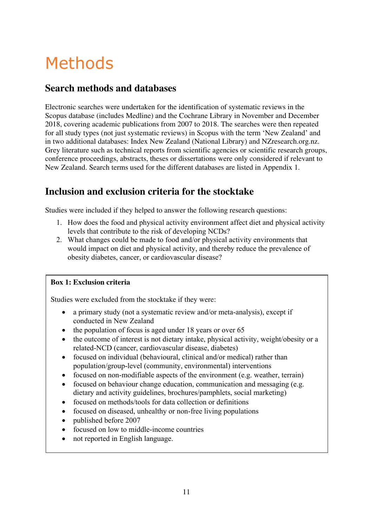# <span id="page-10-0"></span>Methods

## <span id="page-10-1"></span>**Search methods and databases**

Electronic searches were undertaken for the identification of systematic reviews in the Scopus database (includes Medline) and the Cochrane Library in November and December 2018, covering academic publications from 2007 to 2018. The searches were then repeated for all study types (not just systematic reviews) in Scopus with the term 'New Zealand' and in two additional databases: Index New Zealand (National Library) and NZresearch.org.nz. Grey literature such as technical reports from scientific agencies or scientific research groups, conference proceedings, abstracts, theses or dissertations were only considered if relevant to New Zealand. Search terms used for the different databases are listed in Appendix 1.

## <span id="page-10-2"></span>**Inclusion and exclusion criteria for the stocktake**

Studies were included if they helped to answer the following research questions:

- 1. How does the food and physical activity environment affect diet and physical activity levels that contribute to the risk of developing NCDs?
- 2. What changes could be made to food and/or physical activity environments that would impact on diet and physical activity, and thereby reduce the prevalence of obesity diabetes, cancer, or cardiovascular disease?

#### **Box 1: Exclusion criteria**

Studies were excluded from the stocktake if they were:

- a primary study (not a systematic review and/or meta-analysis), except if conducted in New Zealand
- the population of focus is aged under 18 years or over 65
- the outcome of interest is not dietary intake, physical activity, weight/obesity or a related-NCD (cancer, cardiovascular disease, diabetes)
- focused on individual (behavioural, clinical and/or medical) rather than population/group-level (community, environmental) interventions
- focused on non-modifiable aspects of the environment (e.g. weather, terrain)
- focused on behaviour change education, communication and messaging (e.g. dietary and activity guidelines, brochures/pamphlets, social marketing)
- focused on methods/tools for data collection or definitions
- focused on diseased, unhealthy or non-free living populations
- published before 2007
- focused on low to middle-income countries
- not reported in English language.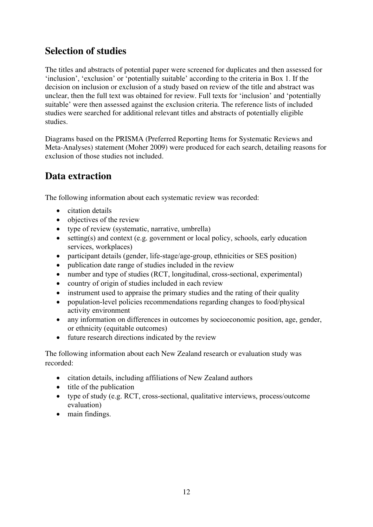## <span id="page-11-0"></span>**Selection of studies**

The titles and abstracts of potential paper were screened for duplicates and then assessed for 'inclusion', 'exclusion' or 'potentially suitable' according to the criteria in Box 1. If the decision on inclusion or exclusion of a study based on review of the title and abstract was unclear, then the full text was obtained for review. Full texts for 'inclusion' and 'potentially suitable' were then assessed against the exclusion criteria. The reference lists of included studies were searched for additional relevant titles and abstracts of potentially eligible studies.

Diagrams based on the PRISMA (Preferred Reporting Items for Systematic Reviews and Meta-Analyses) statement (Moher 2009) were produced for each search, detailing reasons for exclusion of those studies not included.

## <span id="page-11-1"></span>**Data extraction**

The following information about each systematic review was recorded:

- citation details
- objectives of the review
- type of review (systematic, narrative, umbrella)
- setting(s) and context (e.g. government or local policy, schools, early education services, workplaces)
- participant details (gender, life-stage/age-group, ethnicities or SES position)
- publication date range of studies included in the review
- number and type of studies (RCT, longitudinal, cross-sectional, experimental)
- country of origin of studies included in each review
- instrument used to appraise the primary studies and the rating of their quality
- population-level policies recommendations regarding changes to food/physical activity environment
- any information on differences in outcomes by socioeconomic position, age, gender, or ethnicity (equitable outcomes)
- future research directions indicated by the review

The following information about each New Zealand research or evaluation study was recorded:

- citation details, including affiliations of New Zealand authors
- title of the publication
- type of study (e.g. RCT, cross-sectional, qualitative interviews, process/outcome evaluation)
- main findings.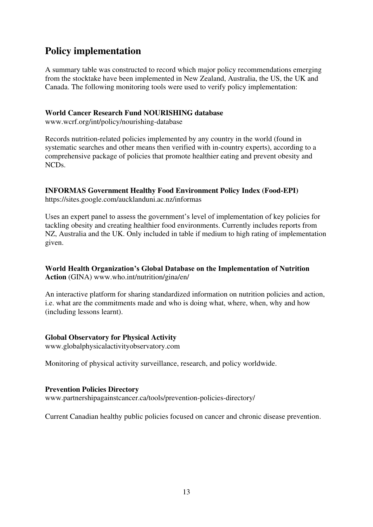## <span id="page-12-0"></span>**Policy implementation**

A summary table was constructed to record which major policy recommendations emerging from the stocktake have been implemented in New Zealand, Australia, the US, the UK and Canada. The following monitoring tools were used to verify policy implementation:

#### **World Cancer Research Fund NOURISHING database**

www.wcrf.org/int/policy/nourishing-database

Records nutrition-related policies implemented by any country in the world (found in systematic searches and other means then verified with in-country experts), according to a comprehensive package of policies that promote healthier eating and prevent obesity and NCDs.

### **INFORMAS Government Healthy Food Environment Policy Index (Food-EPI)**

https://sites.google.com/aucklanduni.ac.nz/informas

Uses an expert panel to assess the government's level of implementation of key policies for tackling obesity and creating healthier food environments. Currently includes reports from NZ, Australia and the UK. Only included in table if medium to high rating of implementation given.

#### **World Health Organization's Global Database on the Implementation of Nutrition Action** (GINA) www.who.int/nutrition/gina/en/

An interactive platform for sharing standardized information on nutrition policies and action, i.e. what are the commitments made and who is doing what, where, when, why and how (including lessons learnt).

#### **Global Observatory for Physical Activity**

www.globalphysicalactivityobservatory.com

Monitoring of physical activity surveillance, research, and policy worldwide.

#### **Prevention Policies Directory**

www.partnershipagainstcancer.ca/tools/prevention-policies-directory/

Current Canadian healthy public policies focused on cancer and chronic disease prevention.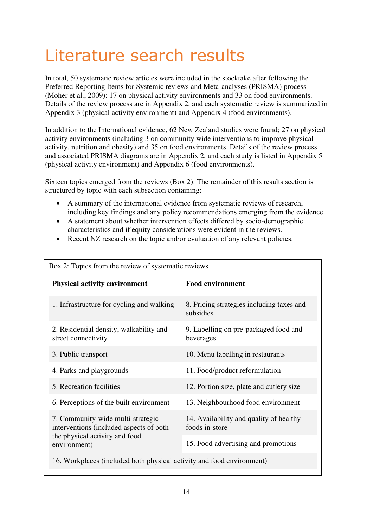## <span id="page-13-0"></span>Literature search results

In total, 50 systematic review articles were included in the stocktake after following the Preferred Reporting Items for Systemic reviews and Meta-analyses (PRISMA) process (Moher et al., 2009): 17 on physical activity environments and 33 on food environments. Details of the review process are in Appendix 2, and each systematic review is summarized in Appendix 3 (physical activity environment) and Appendix 4 (food environments).

In addition to the International evidence, 62 New Zealand studies were found; 27 on physical activity environments (including 3 on community wide interventions to improve physical activity, nutrition and obesity) and 35 on food environments. Details of the review process and associated PRISMA diagrams are in Appendix 2, and each study is listed in Appendix 5 (physical activity environment) and Appendix 6 (food environments).

Sixteen topics emerged from the reviews (Box 2). The remainder of this results section is structured by topic with each subsection containing:

- A summary of the international evidence from systematic reviews of research, including key findings and any policy recommendations emerging from the evidence
- A statement about whether intervention effects differed by socio-demographic characteristics and if equity considerations were evident in the reviews.
- Recent NZ research on the topic and/or evaluation of any relevant policies.

Box 2: Topics from the review of systematic reviews

| DOA 2. TOPICS HOIH THE TEVIEW OF SYSTEMATIC TEVIEWS                                                                            |                                                           |  |  |  |  |  |
|--------------------------------------------------------------------------------------------------------------------------------|-----------------------------------------------------------|--|--|--|--|--|
| <b>Physical activity environment</b>                                                                                           | <b>Food environment</b>                                   |  |  |  |  |  |
| 1. Infrastructure for cycling and walking                                                                                      | 8. Pricing strategies including taxes and<br>subsidies    |  |  |  |  |  |
| 2. Residential density, walkability and<br>street connectivity                                                                 | 9. Labelling on pre-packaged food and<br>beverages        |  |  |  |  |  |
| 3. Public transport                                                                                                            | 10. Menu labelling in restaurants                         |  |  |  |  |  |
| 4. Parks and playgrounds                                                                                                       | 11. Food/product reformulation                            |  |  |  |  |  |
| 5. Recreation facilities                                                                                                       | 12. Portion size, plate and cutlery size                  |  |  |  |  |  |
| 6. Perceptions of the built environment                                                                                        | 13. Neighbourhood food environment                        |  |  |  |  |  |
| 7. Community-wide multi-strategic<br>interventions (included aspects of both<br>the physical activity and food<br>environment) | 14. Availability and quality of healthy<br>foods in-store |  |  |  |  |  |
|                                                                                                                                | 15. Food advertising and promotions                       |  |  |  |  |  |
| 16. Workplaces (included both physical activity and food environment)                                                          |                                                           |  |  |  |  |  |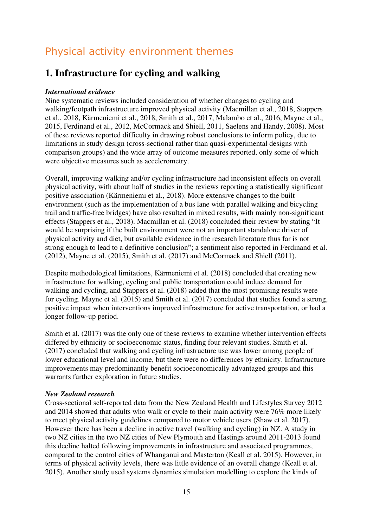## <span id="page-14-0"></span>Physical activity environment themes

## <span id="page-14-1"></span>**1. Infrastructure for cycling and walking**

#### *International evidence*

Nine systematic reviews included consideration of whether changes to cycling and walking/footpath infrastructure improved physical activity (Macmillan et al., 2018, Stappers et al., 2018, Kärmeniemi et al., 2018, Smith et al., 2017, Malambo et al., 2016, Mayne et al., 2015, Ferdinand et al., 2012, McCormack and Shiell, 2011, Saelens and Handy, 2008). Most of these reviews reported difficulty in drawing robust conclusions to inform policy, due to limitations in study design (cross-sectional rather than quasi-experimental designs with comparison groups) and the wide array of outcome measures reported, only some of which were objective measures such as accelerometry.

Overall, improving walking and/or cycling infrastructure had inconsistent effects on overall physical activity, with about half of studies in the reviews reporting a statistically significant positive association (Kärmeniemi et al., 2018). More extensive changes to the built environment (such as the implementation of a bus lane with parallel walking and bicycling trail and traffic-free bridges) have also resulted in mixed results, with mainly non-significant effects (Stappers et al., 2018). Macmillan et al. (2018) concluded their review by stating "It would be surprising if the built environment were not an important standalone driver of physical activity and diet, but available evidence in the research literature thus far is not strong enough to lead to a definitive conclusion"; a sentiment also reported in Ferdinand et al. (2012), Mayne et al. (2015), Smith et al. (2017) and McCormack and Shiell (2011).

Despite methodological limitations, Kärmeniemi et al. (2018) concluded that creating new infrastructure for walking, cycling and public transportation could induce demand for walking and cycling, and Stappers et al. (2018) added that the most promising results were for cycling. Mayne et al. (2015) and Smith et al. (2017) concluded that studies found a strong, positive impact when interventions improved infrastructure for active transportation, or had a longer follow-up period.

Smith et al. (2017) was the only one of these reviews to examine whether intervention effects differed by ethnicity or socioeconomic status, finding four relevant studies. Smith et al. (2017) concluded that walking and cycling infrastructure use was lower among people of lower educational level and income, but there were no differences by ethnicity. Infrastructure improvements may predominantly benefit socioeconomically advantaged groups and this warrants further exploration in future studies.

#### *New Zealand research*

Cross-sectional self-reported data from the New Zealand Health and Lifestyles Survey 2012 and 2014 showed that adults who walk or cycle to their main activity were 76% more likely to meet physical activity guidelines compared to motor vehicle users (Shaw et al. 2017). However there has been a decline in active travel (walking and cycling) in NZ. A study in two NZ cities in the two NZ cities of New Plymouth and Hastings around 2011-2013 found this decline halted following improvements in infrastructure and associated programmes, compared to the control cities of Whanganui and Masterton (Keall et al. 2015). However, in terms of physical activity levels, there was little evidence of an overall change (Keall et al. 2015). Another study used systems dynamics simulation modelling to explore the kinds of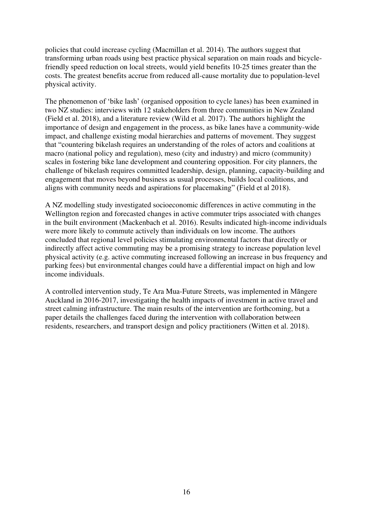policies that could increase cycling (Macmillan et al. 2014). The authors suggest that transforming urban roads using best practice physical separation on main roads and bicyclefriendly speed reduction on local streets, would yield benefits 10-25 times greater than the costs. The greatest benefits accrue from reduced all-cause mortality due to population-level physical activity.

The phenomenon of 'bike lash' (organised opposition to cycle lanes) has been examined in two NZ studies: interviews with 12 stakeholders from three communities in New Zealand (Field et al. 2018), and a literature review (Wild et al. 2017). The authors highlight the importance of design and engagement in the process, as bike lanes have a community-wide impact, and challenge existing modal hierarchies and patterns of movement. They suggest that "countering bikelash requires an understanding of the roles of actors and coalitions at macro (national policy and regulation), meso (city and industry) and micro (community) scales in fostering bike lane development and countering opposition. For city planners, the challenge of bikelash requires committed leadership, design, planning, capacity-building and engagement that moves beyond business as usual processes, builds local coalitions, and aligns with community needs and aspirations for placemaking" (Field et al 2018).

A NZ modelling study investigated socioeconomic differences in active commuting in the Wellington region and forecasted changes in active commuter trips associated with changes in the built environment (Mackenbach et al. 2016). Results indicated high-income individuals were more likely to commute actively than individuals on low income. The authors concluded that regional level policies stimulating environmental factors that directly or indirectly affect active commuting may be a promising strategy to increase population level physical activity (e.g. active commuting increased following an increase in bus frequency and parking fees) but environmental changes could have a differential impact on high and low income individuals.

<span id="page-15-0"></span>A controlled intervention study, Te Ara Mua-Future Streets, was implemented in Māngere Auckland in 2016-2017, investigating the health impacts of investment in active travel and street calming infrastructure. The main results of the intervention are forthcoming, but a paper details the challenges faced during the intervention with collaboration between residents, researchers, and transport design and policy practitioners (Witten et al. 2018).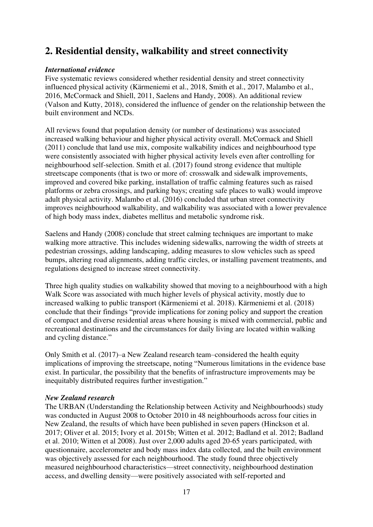## **2. Residential density, walkability and street connectivity**

#### *International evidence*

Five systematic reviews considered whether residential density and street connectivity influenced physical activity (Kärmeniemi et al., 2018, Smith et al., 2017, Malambo et al., 2016, McCormack and Shiell, 2011, Saelens and Handy, 2008). An additional review (Valson and Kutty, 2018), considered the influence of gender on the relationship between the built environment and NCDs.

All reviews found that population density (or number of destinations) was associated increased walking behaviour and higher physical activity overall. McCormack and Shiell (2011) conclude that land use mix, composite walkability indices and neighbourhood type were consistently associated with higher physical activity levels even after controlling for neighbourhood self-selection. Smith et al. (2017) found strong evidence that multiple streetscape components (that is two or more of: crosswalk and sidewalk improvements, improved and covered bike parking, installation of traffic calming features such as raised platforms or zebra crossings, and parking bays; creating safe places to walk) would improve adult physical activity. Malambo et al. (2016) concluded that urban street connectivity improves neighbourhood walkability, and walkability was associated with a lower prevalence of high body mass index, diabetes mellitus and metabolic syndrome risk.

Saelens and Handy (2008) conclude that street calming techniques are important to make walking more attractive. This includes widening sidewalks, narrowing the width of streets at pedestrian crossings, adding landscaping, adding measures to slow vehicles such as speed bumps, altering road alignments, adding traffic circles, or installing pavement treatments, and regulations designed to increase street connectivity.

Three high quality studies on walkability showed that moving to a neighbourhood with a high Walk Score was associated with much higher levels of physical activity, mostly due to increased walking to public transport (Kärmeniemi et al. 2018). Kärmeniemi et al. (2018) conclude that their findings "provide implications for zoning policy and support the creation of compact and diverse residential areas where housing is mixed with commercial, public and recreational destinations and the circumstances for daily living are located within walking and cycling distance."

Only Smith et al. (2017)–a New Zealand research team–considered the health equity implications of improving the streetscape, noting "Numerous limitations in the evidence base exist. In particular, the possibility that the benefits of infrastructure improvements may be inequitably distributed requires further investigation."

#### *New Zealand research*

The URBAN (Understanding the Relationship between Activity and Neighbourhoods) study was conducted in August 2008 to October 2010 in 48 neighbourhoods across four cities in New Zealand, the results of which have been published in seven papers (Hinckson et al. 2017; Oliver et al. 2015; Ivory et al. 2015b; Witten et al. 2012; Badland et al. 2012; Badland et al. 2010; Witten et al 2008). Just over 2,000 adults aged 20-65 years participated, with questionnaire, accelerometer and body mass index data collected, and the built environment was objectively assessed for each neighbourhood. The study found three objectively measured neighbourhood characteristics—street connectivity, neighbourhood destination access, and dwelling density—were positively associated with self-reported and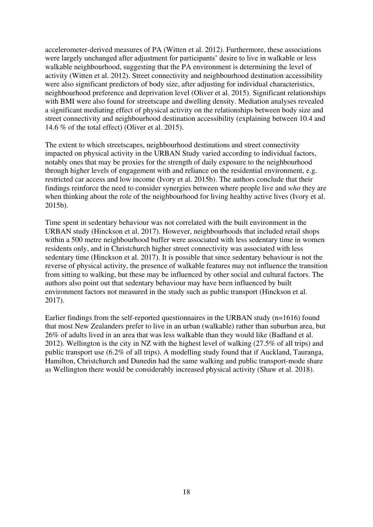accelerometer-derived measures of PA (Witten et al. 2012). Furthermore, these associations were largely unchanged after adjustment for participants' desire to live in walkable or less walkable neighbourhood, suggesting that the PA environment is determining the level of activity (Witten et al. 2012). Street connectivity and neighbourhood destination accessibility were also significant predictors of body size, after adjusting for individual characteristics, neighbourhood preference and deprivation level (Oliver et al. 2015). Significant relationships with BMI were also found for streetscape and dwelling density. Mediation analyses revealed a significant mediating effect of physical activity on the relationships between body size and street connectivity and neighbourhood destination accessibility (explaining between 10.4 and 14.6 % of the total effect) (Oliver et al. 2015).

The extent to which streetscapes, neighbourhood destinations and street connectivity impacted on physical activity in the URBAN Study varied according to individual factors, notably ones that may be proxies for the strength of daily exposure to the neighbourhood through higher levels of engagement with and reliance on the residential environment, e.g. restricted car access and low income (Ivory et al. 2015b). The authors conclude that their findings reinforce the need to consider synergies between where people live and *who* they are when thinking about the role of the neighbourhood for living healthy active lives (Ivory et al. 2015b).

Time spent in sedentary behaviour was not correlated with the built environment in the URBAN study (Hinckson et al. 2017). However, neighbourhoods that included retail shops within a 500 metre neighbourhood buffer were associated with less sedentary time in women residents only, and in Christchurch higher street connectivity was associated with less sedentary time (Hinckson et al. 2017). It is possible that since sedentary behaviour is not the reverse of physical activity, the presence of walkable features may not influence the transition from sitting to walking, but these may be influenced by other social and cultural factors. The authors also point out that sedentary behaviour may have been influenced by built environment factors not measured in the study such as public transport (Hinckson et al. 2017).

<span id="page-17-0"></span>Earlier findings from the self-reported questionnaires in the URBAN study (n=1616) found that most New Zealanders prefer to live in an urban (walkable) rather than suburban area, but 26% of adults lived in an area that was less walkable than they would like (Badland et al. 2012). Wellington is the city in NZ with the highest level of walking (27.5% of all trips) and public transport use (6.2% of all trips). A modelling study found that if Auckland, Tauranga, Hamilton, Christchurch and Dunedin had the same walking and public transport-mode share as Wellington there would be considerably increased physical activity (Shaw et al. 2018).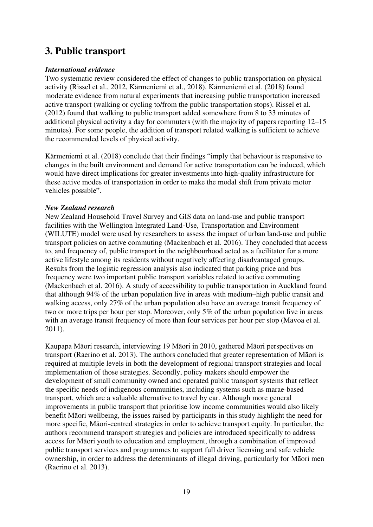## **3. Public transport**

#### *International evidence*

Two systematic review considered the effect of changes to public transportation on physical activity (Rissel et al., 2012, Kärmeniemi et al., 2018). Kärmeniemi et al. (2018) found moderate evidence from natural experiments that increasing public transportation increased active transport (walking or cycling to/from the public transportation stops). Rissel et al. (2012) found that walking to public transport added somewhere from 8 to 33 minutes of additional physical activity a day for commuters (with the majority of papers reporting 12–15 minutes). For some people, the addition of transport related walking is sufficient to achieve the recommended levels of physical activity.

Kärmeniemi et al. (2018) conclude that their findings "imply that behaviour is responsive to changes in the built environment and demand for active transportation can be induced, which would have direct implications for greater investments into high-quality infrastructure for these active modes of transportation in order to make the modal shift from private motor vehicles possible".

#### *New Zealand research*

New Zealand Household Travel Survey and GIS data on land-use and public transport facilities with the Wellington Integrated Land-Use, Transportation and Environment (WILUTE) model were used by researchers to assess the impact of urban land-use and public transport policies on active commuting (Mackenbach et al. 2016). They concluded that access to, and frequency of, public transport in the neighbourhood acted as a facilitator for a more active lifestyle among its residents without negatively affecting disadvantaged groups. Results from the logistic regression analysis also indicated that parking price and bus frequency were two important public transport variables related to active commuting (Mackenbach et al. 2016). A study of accessibility to public transportation in Auckland found that although 94% of the urban population live in areas with medium–high public transit and walking access, only 27% of the urban population also have an average transit frequency of two or more trips per hour per stop. Moreover, only 5% of the urban population live in areas with an average transit frequency of more than four services per hour per stop (Mavoa et al. 2011).

Kaupapa Māori research, interviewing 19 Māori in 2010, gathered Māori perspectives on transport (Raerino et al. 2013). The authors concluded that greater representation of Māori is required at multiple levels in both the development of regional transport strategies and local implementation of those strategies. Secondly, policy makers should empower the development of small community owned and operated public transport systems that reflect the specific needs of indigenous communities, including systems such as marae-based transport, which are a valuable alternative to travel by car. Although more general improvements in public transport that prioritise low income communities would also likely benefit Māori wellbeing, the issues raised by participants in this study highlight the need for more specific, Māori-centred strategies in order to achieve transport equity. In particular, the authors recommend transport strategies and policies are introduced specifically to address access for Māori youth to education and employment, through a combination of improved public transport services and programmes to support full driver licensing and safe vehicle ownership, in order to address the determinants of illegal driving, particularly for Māori men (Raerino et al. 2013).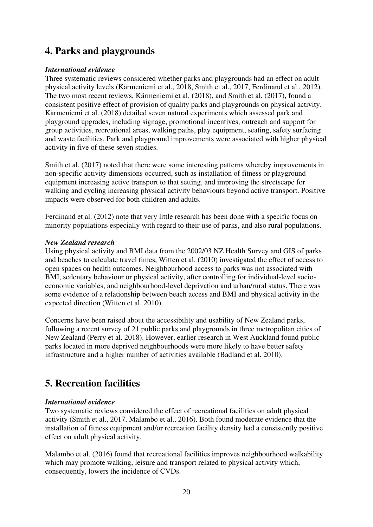## <span id="page-19-0"></span>**4. Parks and playgrounds**

#### *International evidence*

Three systematic reviews considered whether parks and playgrounds had an effect on adult physical activity levels (Kärmeniemi et al., 2018, Smith et al., 2017, Ferdinand et al., 2012). The two most recent reviews, Kärmeniemi et al. (2018), and Smith et al. (2017), found a consistent positive effect of provision of quality parks and playgrounds on physical activity. Kärmeniemi et al. (2018) detailed seven natural experiments which assessed park and playground upgrades, including signage, promotional incentives, outreach and support for group activities, recreational areas, walking paths, play equipment, seating, safety surfacing and waste facilities. Park and playground improvements were associated with higher physical activity in five of these seven studies.

Smith et al. (2017) noted that there were some interesting patterns whereby improvements in non-specific activity dimensions occurred, such as installation of fitness or playground equipment increasing active transport to that setting, and improving the streetscape for walking and cycling increasing physical activity behaviours beyond active transport. Positive impacts were observed for both children and adults.

Ferdinand et al. (2012) note that very little research has been done with a specific focus on minority populations especially with regard to their use of parks, and also rural populations.

#### *New Zealand research*

Using physical activity and BMI data from the 2002/03 NZ Health Survey and GIS of parks and beaches to calculate travel times, Witten et al. (2010) investigated the effect of access to open spaces on health outcomes. Neighbourhood access to parks was not associated with BMI, sedentary behaviour or physical activity, after controlling for individual-level socioeconomic variables, and neighbourhood-level deprivation and urban/rural status. There was some evidence of a relationship between beach access and BMI and physical activity in the expected direction (Witten et al. 2010).

Concerns have been raised about the accessibility and usability of New Zealand parks, following a recent survey of 21 public parks and playgrounds in three metropolitan cities of New Zealand (Perry et al. 2018). However, earlier research in West Auckland found public parks located in more deprived neighbourhoods were more likely to have better safety infrastructure and a higher number of activities available (Badland et al. 2010).

## <span id="page-19-1"></span>**5. Recreation facilities**

#### *International evidence*

Two systematic reviews considered the effect of recreational facilities on adult physical activity (Smith et al., 2017, Malambo et al., 2016). Both found moderate evidence that the installation of fitness equipment and/or recreation facility density had a consistently positive effect on adult physical activity.

Malambo et al. (2016) found that recreational facilities improves neighbourhood walkability which may promote walking, leisure and transport related to physical activity which, consequently, lowers the incidence of CVDs.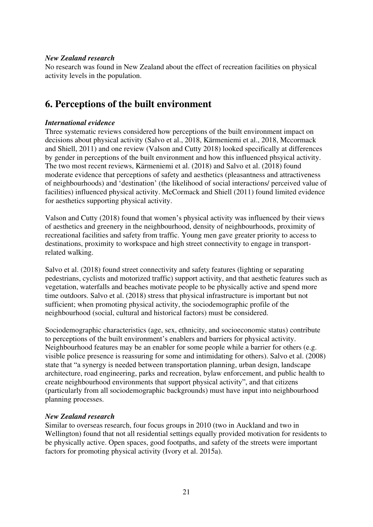#### *New Zealand research*

No research was found in New Zealand about the effect of recreation facilities on physical activity levels in the population.

## <span id="page-20-0"></span>**6. Perceptions of the built environment**

#### *International evidence*

Three systematic reviews considered how perceptions of the built environment impact on decisions about physical activity (Salvo et al., 2018, Kärmeniemi et al., 2018, Mccormack and Shiell, 2011) and one review (Valson and Cutty 2018) looked specifically at differences by gender in perceptions of the built environment and how this influenced phsyical activity. The two most recent reviews, Kärmeniemi et al. (2018) and Salvo et al. (2018) found moderate evidence that perceptions of safety and aesthetics (pleasantness and attractiveness of neighbourhoods) and 'destination' (the likelihood of social interactions/ perceived value of facilities) influenced physical activity. McCormack and Shiell (2011) found limited evidence for aesthetics supporting physical activity.

Valson and Cutty (2018) found that women's physical activity was influenced by their views of aesthetics and greenery in the neighbourhood, density of neighbourhoods, proximity of recreational facilities and safety from traffic. Young men gave greater priority to access to destinations, proximity to workspace and high street connectivity to engage in transportrelated walking.

Salvo et al. (2018) found street connectivity and safety features (lighting or separating pedestrians, cyclists and motorized traffic) support activity, and that aesthetic features such as vegetation, waterfalls and beaches motivate people to be physically active and spend more time outdoors. Salvo et al. (2018) stress that physical infrastructure is important but not sufficient; when promoting physical activity, the sociodemographic profile of the neighbourhood (social, cultural and historical factors) must be considered.

Sociodemographic characteristics (age, sex, ethnicity, and socioeconomic status) contribute to perceptions of the built environment's enablers and barriers for physical activity. Neighbourhood features may be an enabler for some people while a barrier for others (e.g. visible police presence is reassuring for some and intimidating for others). Salvo et al. (2008) state that "a synergy is needed between transportation planning, urban design, landscape architecture, road engineering, parks and recreation, bylaw enforcement, and public health to create neighbourhood environments that support physical activity", and that citizens (particularly from all sociodemographic backgrounds) must have input into neighbourhood planning processes.

#### *New Zealand research*

Similar to overseas research, four focus groups in 2010 (two in Auckland and two in Wellington) found that not all residential settings equally provided motivation for residents to be physically active. Open spaces, good footpaths, and safety of the streets were important factors for promoting physical activity (Ivory et al. 2015a).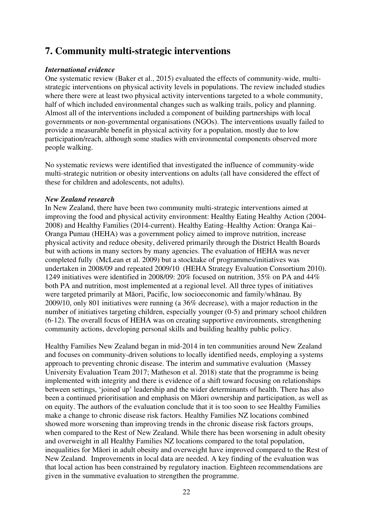### <span id="page-21-0"></span>**7. Community multi-strategic interventions**

#### *International evidence*

One systematic review (Baker et al., 2015) evaluated the effects of community-wide, multistrategic interventions on physical activity levels in populations. The review included studies where there were at least two physical activity interventions targeted to a whole community, half of which included environmental changes such as walking trails, policy and planning. Almost all of the interventions included a component of building partnerships with local governments or non-governmental organisations (NGOs). The interventions usually failed to provide a measurable benefit in physical activity for a population, mostly due to low participation/reach, although some studies with environmental components observed more people walking.

No systematic reviews were identified that investigated the influence of community-wide multi-strategic nutrition or obesity interventions on adults (all have considered the effect of these for children and adolescents, not adults).

#### *New Zealand research*

In New Zealand, there have been two community multi-strategic interventions aimed at improving the food and physical activity environment: Healthy Eating Healthy Action (2004- 2008) and Healthy Families (2014-current). Healthy Eating–Healthy Action: Oranga Kai– Oranga Pumau (HEHA) was a government policy aimed to improve nutrition, increase physical activity and reduce obesity, delivered primarily through the District Health Boards but with actions in many sectors by many agencies. The evaluation of HEHA was never completed fully (McLean et al. 2009) but a stocktake of programmes/initiatives was undertaken in 2008/09 and repeated 2009/10 (HEHA Strategy Evaluation Consortium 2010). 1249 initiatives were identified in 2008/09: 20% focused on nutrition, 35% on PA and 44% both PA and nutrition, most implemented at a regional level. All three types of initiatives were targeted primarily at Māori, Pacific, low socioeconomic and family/whānau. By 2009/10, only 801 initiatives were running (a 36% decrease), with a major reduction in the number of initiatives targeting children, especially younger (0-5) and primary school children (6-12). The overall focus of HEHA was on creating supportive environments, strengthening community actions, developing personal skills and building healthy public policy.

Healthy Families New Zealand began in mid-2014 in ten communities around New Zealand and focuses on community-driven solutions to locally identified needs, employing a systems approach to preventing chronic disease. The interim and summative evaluation (Massey University Evaluation Team 2017; Matheson et al. 2018) state that the programme is being implemented with integrity and there is evidence of a shift toward focusing on relationships between settings, 'joined up' leadership and the wider determinants of health. There has also been a continued prioritisation and emphasis on Māori ownership and participation, as well as on equity. The authors of the evaluation conclude that it is too soon to see Healthy Families make a change to chronic disease risk factors. Healthy Families NZ locations combined showed more worsening than improving trends in the chronic disease risk factors groups, when compared to the Rest of New Zealand. While there has been worsening in adult obesity and overweight in all Healthy Families NZ locations compared to the total population, inequalities for Māori in adult obesity and overweight have improved compared to the Rest of New Zealand. Improvements in local data are needed. A key finding of the evaluation was that local action has been constrained by regulatory inaction. Eighteen recommendations are given in the summative evaluation to strengthen the programme.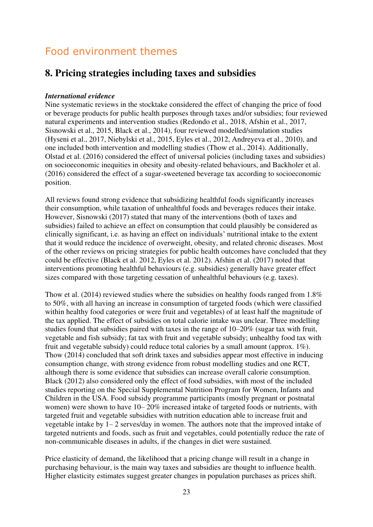## <span id="page-22-0"></span>Food environment themes

## <span id="page-22-1"></span>**8. Pricing strategies including taxes and subsidies**

#### *International evidence*

Nine systematic reviews in the stocktake considered the effect of changing the price of food or beverage products for public health purposes through taxes and/or subsidies; four reviewed natural experiments and intervention studies (Redondo et al., 2018, Afshin et al., 2017, Sisnowski et al., 2015, Black et al., 2014), four reviewed modelled/simulation studies (Hyseni et al., 2017, Niebylski et al., 2015, Eyles et al., 2012, Andreyeva et al., 2010), and one included both intervention and modelling studies (Thow et al., 2014). Additionally, Olstad et al. (2016) considered the effect of universal policies (including taxes and subsidies) on socioeconomic inequities in obesity and obesity-related behaviours, and Backholer et al. (2016) considered the effect of a sugar-sweetened beverage tax according to socioeconomic position.

All reviews found strong evidence that subsidizing healthful foods significantly increases their consumption, while taxation of unhealthful foods and beverages reduces their intake. However, Sisnowski (2017) stated that many of the interventions (both of taxes and subsidies) failed to achieve an effect on consumption that could plausibly be considered as clinically significant, i.e. as having an effect on individuals' nutritional intake to the extent that it would reduce the incidence of overweight, obesity, and related chronic diseases. Most of the other reviews on pricing strategies for public health outcomes have concluded that they could be effective (Black et al. 2012, Eyles et al. 2012). Afshin et al. (2017) noted that interventions promoting healthful behaviours (e.g. subsidies) generally have greater effect sizes compared with those targeting cessation of unhealthful behaviours (e.g. taxes).

Thow et al. (2014) reviewed studies where the subsidies on healthy foods ranged from 1.8% to 50%, with all having an increase in consumption of targeted foods (which were classified within healthy food categories or were fruit and vegetables) of at least half the magnitude of the tax applied. The effect of subsidies on total calorie intake was unclear. Three modelling studies found that subsidies paired with taxes in the range of 10–20% (sugar tax with fruit, vegetable and fish subsidy; fat tax with fruit and vegetable subsidy; unhealthy food tax with fruit and vegetable subsidy) could reduce total calories by a small amount (approx. 1%). Thow (2014) concluded that soft drink taxes and subsidies appear most effective in inducing consumption change, with strong evidence from robust modelling studies and one RCT, although there is some evidence that subsidies can increase overall calorie consumption. Black (2012) also considered only the effect of food subsidies, with most of the included studies reporting on the Special Supplemental Nutrition Program for Women, Infants and Children in the USA. Food subsidy programme participants (mostly pregnant or postnatal women) were shown to have 10– 20% increased intake of targeted foods or nutrients, with targeted fruit and vegetable subsidies with nutrition education able to increase fruit and vegetable intake by 1– 2 serves/day in women. The authors note that the improved intake of targeted nutrients and foods, such as fruit and vegetables, could potentially reduce the rate of non-communicable diseases in adults, if the changes in diet were sustained.

Price elasticity of demand, the likelihood that a pricing change will result in a change in purchasing behaviour, is the main way taxes and subsidies are thought to influence health. Higher elasticity estimates suggest greater changes in population purchases as prices shift.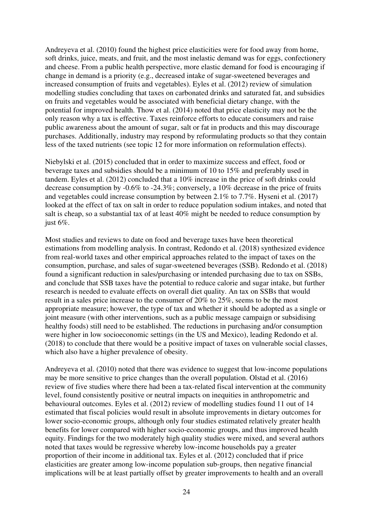Andreyeva et al. (2010) found the highest price elasticities were for food away from home, soft drinks, juice, meats, and fruit, and the most inelastic demand was for eggs, confectionery and cheese. From a public health perspective, more elastic demand for food is encouraging if change in demand is a priority (e.g., decreased intake of sugar-sweetened beverages and increased consumption of fruits and vegetables). Eyles et al. (2012) review of simulation modelling studies concluding that taxes on carbonated drinks and saturated fat, and subsidies on fruits and vegetables would be associated with beneficial dietary change, with the potential for improved health. Thow et al. (2014) noted that price elasticity may not be the only reason why a tax is effective. Taxes reinforce efforts to educate consumers and raise public awareness about the amount of sugar, salt or fat in products and this may discourage purchases. Additionally, industry may respond by reformulating products so that they contain less of the taxed nutrients (see topic 12 for more information on reformulation effects).

Niebylski et al. (2015) concluded that in order to maximize success and effect, food or beverage taxes and subsidies should be a minimum of 10 to 15% and preferably used in tandem. Eyles et al. (2012) concluded that a 10% increase in the price of soft drinks could decrease consumption by -0.6% to -24.3%; conversely, a 10% decrease in the price of fruits and vegetables could increase consumption by between 2.1% to 7.7%. Hyseni et al. (2017) looked at the effect of tax on salt in order to reduce population sodium intakes, and noted that salt is cheap, so a substantial tax of at least 40% might be needed to reduce consumption by just 6%.

Most studies and reviews to date on food and beverage taxes have been theoretical estimations from modelling analysis. In contrast, Redondo et al. (2018) synthesized evidence from real-world taxes and other empirical approaches related to the impact of taxes on the consumption, purchase, and sales of sugar-sweetened beverages (SSB). Redondo et al. (2018) found a significant reduction in sales/purchasing or intended purchasing due to tax on SSBs, and conclude that SSB taxes have the potential to reduce calorie and sugar intake, but further research is needed to evaluate effects on overall diet quality. An tax on SSBs that would result in a sales price increase to the consumer of 20% to 25%, seems to be the most appropriate measure; however, the type of tax and whether it should be adopted as a single or joint measure (with other interventions, such as a public message campaign or subsidising healthy foods) still need to be established. The reductions in purchasing and/or consumption were higher in low socioeconomic settings (in the US and Mexico), leading Redondo et al. (2018) to conclude that there would be a positive impact of taxes on vulnerable social classes, which also have a higher prevalence of obesity.

Andreyeva et al. (2010) noted that there was evidence to suggest that low-income populations may be more sensitive to price changes than the overall population. Olstad et al. (2016) review of five studies where there had been a tax-related fiscal intervention at the community level, found consistently positive or neutral impacts on inequities in anthropometric and behavioural outcomes. Eyles et al. (2012) review of modelling studies found 11 out of 14 estimated that fiscal policies would result in absolute improvements in dietary outcomes for lower socio-economic groups, although only four studies estimated relatively greater health benefits for lower compared with higher socio-economic groups, and thus improved health equity. Findings for the two moderately high quality studies were mixed, and several authors noted that taxes would be regressive whereby low-income households pay a greater proportion of their income in additional tax. Eyles et al. (2012) concluded that if price elasticities are greater among low-income population sub-groups, then negative financial implications will be at least partially offset by greater improvements to health and an overall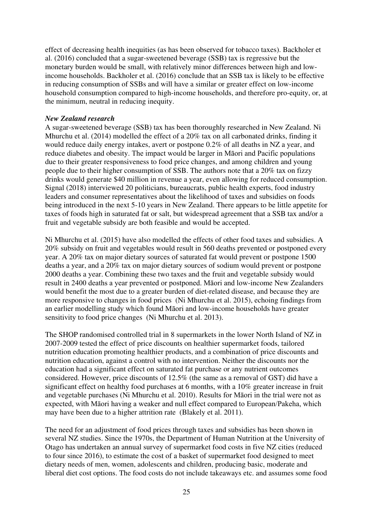effect of decreasing health inequities (as has been observed for tobacco taxes). Backholer et al. (2016) concluded that a sugar-sweetened beverage (SSB) tax is regressive but the monetary burden would be small, with relatively minor differences between high and lowincome households. Backholer et al. (2016) conclude that an SSB tax is likely to be effective in reducing consumption of SSBs and will have a similar or greater effect on low-income household consumption compared to high-income households, and therefore pro-equity, or, at the minimum, neutral in reducing inequity.

#### *New Zealand research*

A sugar-sweetened beverage (SSB) tax has been thoroughly researched in New Zealand. Ni Mhurchu et al. (2014) modelled the effect of a 20% tax on all carbonated drinks, finding it would reduce daily energy intakes, avert or postpone 0.2% of all deaths in NZ a year, and reduce diabetes and obesity. The impact would be larger in Māori and Pacific populations due to their greater responsiveness to food price changes, and among children and young people due to their higher consumption of SSB. The authors note that a 20% tax on fizzy drinks would generate \$40 million in revenue a year, even allowing for reduced consumption. Signal (2018) interviewed 20 politicians, bureaucrats, public health experts, food industry leaders and consumer representatives about the likelihood of taxes and subsidies on foods being introduced in the next 5-10 years in New Zealand. There appears to be little appetite for taxes of foods high in saturated fat or salt, but widespread agreement that a SSB tax and/or a fruit and vegetable subsidy are both feasible and would be accepted.

Ni Mhurchu et al. (2015) have also modelled the effects of other food taxes and subsidies. A 20% subsidy on fruit and vegetables would result in 560 deaths prevented or postponed every year. A 20% tax on major dietary sources of saturated fat would prevent or postpone 1500 deaths a year, and a 20% tax on major dietary sources of sodium would prevent or postpone 2000 deaths a year. Combining these two taxes and the fruit and vegetable subsidy would result in 2400 deaths a year prevented or postponed. Māori and low-income New Zealanders would benefit the most due to a greater burden of diet-related disease, and because they are more responsive to changes in food prices (Ni Mhurchu et al. 2015), echoing findings from an earlier modelling study which found Māori and low-income households have greater sensitivity to food price changes (Ni Mhurchu et al. 2013).

The SHOP randomised controlled trial in 8 supermarkets in the lower North Island of NZ in 2007-2009 tested the effect of price discounts on healthier supermarket foods, tailored nutrition education promoting healthier products, and a combination of price discounts and nutrition education, against a control with no intervention. Neither the discounts nor the education had a significant effect on saturated fat purchase or any nutrient outcomes considered. However, price discounts of 12.5% (the same as a removal of GST) did have a significant effect on healthy food purchases at 6 months, with a 10% greater increase in fruit and vegetable purchases (Ni Mhurchu et al. 2010). Results for Māori in the trial were not as expected, with Māori having a weaker and null effect compared to European/Pakeha, which may have been due to a higher attrition rate (Blakely et al. 2011).

The need for an adjustment of food prices through taxes and subsidies has been shown in several NZ studies. Since the 1970s, the Department of Human Nutrition at the University of Otago has undertaken an annual survey of supermarket food costs in five NZ cities (reduced to four since 2016), to estimate the cost of a basket of supermarket food designed to meet dietary needs of men, women, adolescents and children, producing basic, moderate and liberal diet cost options. The food costs do not include takeaways etc. and assumes some food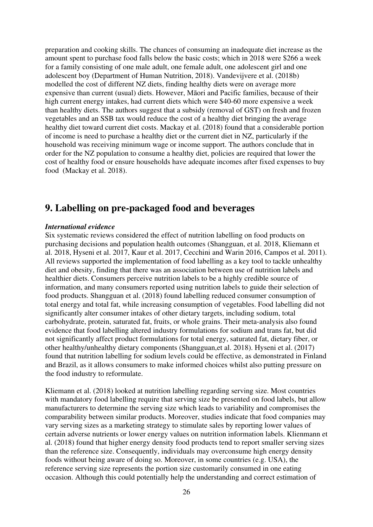preparation and cooking skills. The chances of consuming an inadequate diet increase as the amount spent to purchase food falls below the basic costs; which in 2018 were \$266 a week for a family consisting of one male adult, one female adult, one adolescent girl and one adolescent boy (Department of Human Nutrition, 2018). Vandevijvere et al. (2018b) modelled the cost of different NZ diets, finding healthy diets were on average more expensive than current (usual) diets. However, Māori and Pacific families, because of their high current energy intakes, had current diets which were \$40-60 more expensive a week than healthy diets. The authors suggest that a subsidy (removal of GST) on fresh and frozen vegetables and an SSB tax would reduce the cost of a healthy diet bringing the average healthy diet toward current diet costs. Mackay et al. (2018) found that a considerable portion of income is need to purchase a healthy diet or the current diet in NZ, particularly if the household was receiving minimum wage or income support. The authors conclude that in order for the NZ population to consume a healthy diet, policies are required that lower the cost of healthy food or ensure households have adequate incomes after fixed expenses to buy food (Mackay et al. 2018).

## <span id="page-25-0"></span>**9. Labelling on pre-packaged food and beverages**

#### *International evidence*

Six systematic reviews considered the effect of nutrition labelling on food products on purchasing decisions and population health outcomes (Shangguan, et al. 2018, Kliemann et al. 2018, Hyseni et al. 2017, Kaur et al. 2017, Cecchini and Warin 2016, Campos et al. 2011). All reviews supported the implementation of food labelling as a key tool to tackle unhealthy diet and obesity, finding that there was an association between use of nutrition labels and healthier diets. Consumers perceive nutrition labels to be a highly credible source of information, and many consumers reported using nutrition labels to guide their selection of food products. Shangguan et al. (2018) found labelling reduced consumer consumption of total energy and total fat, while increasing consumption of vegetables. Food labelling did not significantly alter consumer intakes of other dietary targets, including sodium, total carbohydrate, protein, saturated fat, fruits, or whole grains. Their meta-analysis also found evidence that food labelling altered industry formulations for sodium and trans fat, but did not significantly affect product formulations for total energy, saturated fat, dietary fiber, or other healthy/unhealthy dietary components (Shangguan,et al. 2018). Hyseni et al. (2017) found that nutrition labelling for sodium levels could be effective, as demonstrated in Finland and Brazil, as it allows consumers to make informed choices whilst also putting pressure on the food industry to reformulate.

Kliemann et al. (2018) looked at nutrition labelling regarding serving size. Most countries with mandatory food labelling require that serving size be presented on food labels, but allow manufacturers to determine the serving size which leads to variability and compromises the comparability between similar products. Moreover, studies indicate that food companies may vary serving sizes as a marketing strategy to stimulate sales by reporting lower values of certain adverse nutrients or lower energy values on nutrition information labels. Klienmann et al. (2018) found that higher energy density food products tend to report smaller serving sizes than the reference size. Consequently, individuals may overconsume high energy density foods without being aware of doing so. Moreover, in some countries (e.g. USA), the reference serving size represents the portion size customarily consumed in one eating occasion. Although this could potentially help the understanding and correct estimation of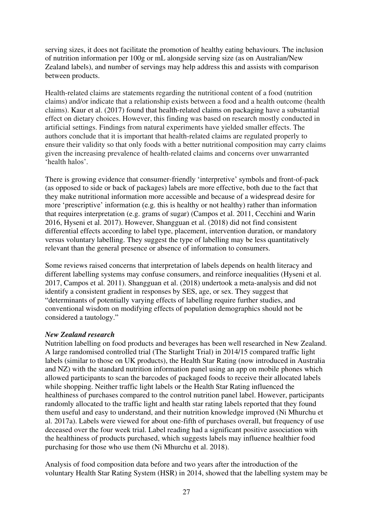serving sizes, it does not facilitate the promotion of healthy eating behaviours. The inclusion of nutrition information per 100g or mL alongside serving size (as on Australian/New Zealand labels), and number of servings may help address this and assists with comparison between products.

Health-related claims are statements regarding the nutritional content of a food (nutrition claims) and/or indicate that a relationship exists between a food and a health outcome (health claims). Kaur et al. (2017) found that health-related claims on packaging have a substantial effect on dietary choices. However, this finding was based on research mostly conducted in artificial settings. Findings from natural experiments have yielded smaller effects. The authors conclude that it is important that health-related claims are regulated properly to ensure their validity so that only foods with a better nutritional composition may carry claims given the increasing prevalence of health-related claims and concerns over unwarranted 'health halos'.

There is growing evidence that consumer-friendly 'interpretive' symbols and front-of-pack (as opposed to side or back of packages) labels are more effective, both due to the fact that they make nutritional information more accessible and because of a widespread desire for more 'prescriptive' information (e.g. this is healthy or not healthy) rather than information that requires interpretation (e.g. grams of sugar) (Campos et al. 2011, Cecchini and Warin 2016, Hyseni et al. 2017). However, Shangguan et al. (2018) did not find consistent differential effects according to label type, placement, intervention duration, or mandatory versus voluntary labelling. They suggest the type of labelling may be less quantitatively relevant than the general presence or absence of information to consumers.

Some reviews raised concerns that interpretation of labels depends on health literacy and different labelling systems may confuse consumers, and reinforce inequalities (Hyseni et al. 2017, Campos et al. 2011). Shangguan et al. (2018) undertook a meta-analysis and did not identify a consistent gradient in responses by SES, age, or sex. They suggest that "determinants of potentially varying effects of labelling require further studies, and conventional wisdom on modifying effects of population demographics should not be considered a tautology."

#### *New Zealand research*

Nutrition labelling on food products and beverages has been well researched in New Zealand. A large randomised controlled trial (The Starlight Trial) in 2014/15 compared traffic light labels (similar to those on UK products), the Health Star Rating (now introduced in Australia and NZ) with the standard nutrition information panel using an app on mobile phones which allowed participants to scan the barcodes of packaged foods to receive their allocated labels while shopping. Neither traffic light labels or the Health Star Rating influenced the healthiness of purchases compared to the control nutrition panel label. However, participants randomly allocated to the traffic light and health star rating labels reported that they found them useful and easy to understand, and their nutrition knowledge improved (Ni Mhurchu et al. 2017a). Labels were viewed for about one-fifth of purchases overall, but frequency of use deceased over the four week trial. Label reading had a significant positive association with the healthiness of products purchased, which suggests labels may influence healthier food purchasing for those who use them (Ni Mhurchu et al. 2018).

Analysis of food composition data before and two years after the introduction of the voluntary Health Star Rating System (HSR) in 2014, showed that the labelling system may be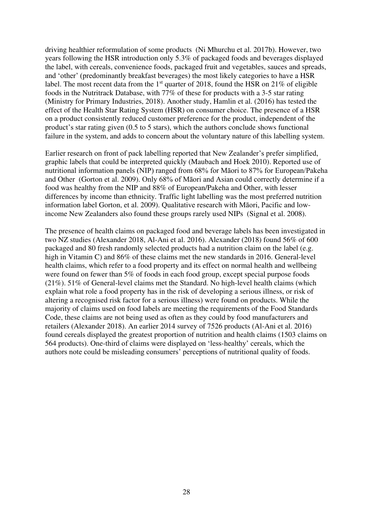driving healthier reformulation of some products (Ni Mhurchu et al. 2017b). However, two years following the HSR introduction only 5.3% of packaged foods and beverages displayed the label, with cereals, convenience foods, packaged fruit and vegetables, sauces and spreads, and 'other' (predominantly breakfast beverages) the most likely categories to have a HSR label. The most recent data from the 1<sup>st</sup> quarter of 2018, found the HSR on 21% of eligible foods in the Nutritrack Database, with  $77\%$  of these for products with a 3-5 star rating (Ministry for Primary Industries, 2018). Another study, Hamlin et al. (2016) has tested the effect of the Health Star Rating System (HSR) on consumer choice. The presence of a HSR on a product consistently reduced customer preference for the product, independent of the product's star rating given (0.5 to 5 stars), which the authors conclude shows functional failure in the system, and adds to concern about the voluntary nature of this labelling system.

Earlier research on front of pack labelling reported that New Zealander's prefer simplified, graphic labels that could be interpreted quickly (Maubach and Hoek 2010). Reported use of nutritional information panels (NIP) ranged from 68% for Māori to 87% for European/Pakeha and Other (Gorton et al. 2009). Only 68% of Māori and Asian could correctly determine if a food was healthy from the NIP and 88% of European/Pakeha and Other, with lesser differences by income than ethnicity. Traffic light labelling was the most preferred nutrition information label Gorton, et al. 2009). Qualitative research with Māori, Pacific and lowincome New Zealanders also found these groups rarely used NIPs (Signal et al. 2008).

<span id="page-27-0"></span>The presence of health claims on packaged food and beverage labels has been investigated in two NZ studies (Alexander 2018, Al-Ani et al. 2016). Alexander (2018) found 56% of 600 packaged and 80 fresh randomly selected products had a nutrition claim on the label (e.g. high in Vitamin C) and 86% of these claims met the new standards in 2016. General-level health claims, which refer to a food property and its effect on normal health and wellbeing were found on fewer than 5% of foods in each food group, except special purpose foods (21%). 51% of General-level claims met the Standard. No high-level health claims (which explain what role a food property has in the risk of developing a serious illness, or risk of altering a recognised risk factor for a serious illness) were found on products. While the majority of claims used on food labels are meeting the requirements of the Food Standards Code, these claims are not being used as often as they could by food manufacturers and retailers (Alexander 2018). An earlier 2014 survey of 7526 products (Al-Ani et al. 2016) found cereals displayed the greatest proportion of nutrition and health claims (1503 claims on 564 products). One-third of claims were displayed on 'less-healthy' cereals, which the authors note could be misleading consumers' perceptions of nutritional quality of foods.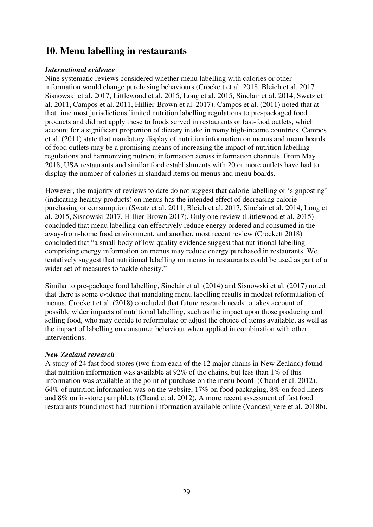### **10. Menu labelling in restaurants**

#### *International evidence*

Nine systematic reviews considered whether menu labelling with calories or other information would change purchasing behaviours (Crockett et al. 2018, Bleich et al. 2017 Sisnowski et al. 2017, Littlewood et al. 2015, Long et al. 2015, Sinclair et al. 2014, Swatz et al. 2011, Campos et al. 2011, Hillier-Brown et al. 2017). Campos et al. (2011) noted that at that time most jurisdictions limited nutrition labelling regulations to pre-packaged food products and did not apply these to foods served in restaurants or fast-food outlets, which account for a significant proportion of dietary intake in many high-income countries. Campos et al. (2011) state that mandatory display of nutrition information on menus and menu boards of food outlets may be a promising means of increasing the impact of nutrition labelling regulations and harmonizing nutrient information across information channels. From May 2018, USA restaurants and similar food establishments with 20 or more outlets have had to display the number of calories in standard items on menus and menu boards.

However, the majority of reviews to date do not suggest that calorie labelling or 'signposting' (indicating healthy products) on menus has the intended effect of decreasing calorie purchasing or consumption (Swatz et al. 2011, Bleich et al. 2017, Sinclair et al. 2014, Long et al. 2015, Sisnowski 2017, Hillier-Brown 2017). Only one review (Littlewood et al. 2015) concluded that menu labelling can effectively reduce energy ordered and consumed in the away-from-home food environment, and another, most recent review (Crockett 2018) concluded that "a small body of low-quality evidence suggest that nutritional labelling comprising energy information on menus may reduce energy purchased in restaurants. We tentatively suggest that nutritional labelling on menus in restaurants could be used as part of a wider set of measures to tackle obesity."

Similar to pre-package food labelling, Sinclair et al. (2014) and Sisnowski et al. (2017) noted that there is some evidence that mandating menu labelling results in modest reformulation of menus. Crockett et al. (2018) concluded that future research needs to takes account of possible wider impacts of nutritional labelling, such as the impact upon those producing and selling food, who may decide to reformulate or adjust the choice of items available, as well as the impact of labelling on consumer behaviour when applied in combination with other interventions.

#### *New Zealand research*

<span id="page-28-0"></span>A study of 24 fast food stores (two from each of the 12 major chains in New Zealand) found that nutrition information was available at 92% of the chains, but less than 1% of this information was available at the point of purchase on the menu board (Chand et al. 2012). 64% of nutrition information was on the website, 17% on food packaging, 8% on food liners and 8% on in-store pamphlets (Chand et al. 2012). A more recent assessment of fast food restaurants found most had nutrition information available online (Vandevijvere et al. 2018b).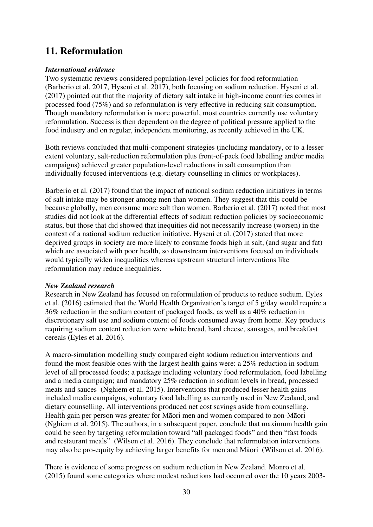## **11. Reformulation**

#### *International evidence*

Two systematic reviews considered population-level policies for food reformulation (Barberio et al. 2017, Hyseni et al. 2017), both focusing on sodium reduction. Hyseni et al. (2017) pointed out that the majority of dietary salt intake in high-income countries comes in processed food (75%) and so reformulation is very effective in reducing salt consumption. Though mandatory reformulation is more powerful, most countries currently use voluntary reformulation. Success is then dependent on the degree of political pressure applied to the food industry and on regular, independent monitoring, as recently achieved in the UK.

Both reviews concluded that multi-component strategies (including mandatory, or to a lesser extent voluntary, salt-reduction reformulation plus front-of-pack food labelling and/or media campaigns) achieved greater population-level reductions in salt consumption than individually focused interventions (e.g. dietary counselling in clinics or workplaces).

Barberio et al. (2017) found that the impact of national sodium reduction initiatives in terms of salt intake may be stronger among men than women. They suggest that this could be because globally, men consume more salt than women. Barberio et al. (2017) noted that most studies did not look at the differential effects of sodium reduction policies by socioeconomic status, but those that did showed that inequities did not necessarily increase (worsen) in the context of a national sodium reduction initiative. Hyseni et al. (2017) stated that more deprived groups in society are more likely to consume foods high in salt, (and sugar and fat) which are associated with poor health, so downstream interventions focused on individuals would typically widen inequalities whereas upstream structural interventions like reformulation may reduce inequalities.

#### *New Zealand research*

Research in New Zealand has focused on reformulation of products to reduce sodium. Eyles et al. (2016) estimated that the World Health Organization's target of 5 g/day would require a 36% reduction in the sodium content of packaged foods, as well as a 40% reduction in discretionary salt use and sodium content of foods consumed away from home. Key products requiring sodium content reduction were white bread, hard cheese, sausages, and breakfast cereals (Eyles et al. 2016).

A macro-simulation modelling study compared eight sodium reduction interventions and found the most feasible ones with the largest health gains were: a 25% reduction in sodium level of all processed foods; a package including voluntary food reformulation, food labelling and a media campaign; and mandatory 25% reduction in sodium levels in bread, processed meats and sauces (Nghiem et al. 2015). Interventions that produced lesser health gains included media campaigns, voluntary food labelling as currently used in New Zealand, and dietary counselling. All interventions produced net cost savings aside from counselling. Health gain per person was greater for Māori men and women compared to non-Māori (Nghiem et al. 2015). The authors, in a subsequent paper, conclude that maximum health gain could be seen by targeting reformulation toward "all packaged foods" and then "fast foods and restaurant meals" (Wilson et al. 2016). They conclude that reformulation interventions may also be pro-equity by achieving larger benefits for men and Māori (Wilson et al. 2016).

There is evidence of some progress on sodium reduction in New Zealand. Monro et al. (2015) found some categories where modest reductions had occurred over the 10 years 2003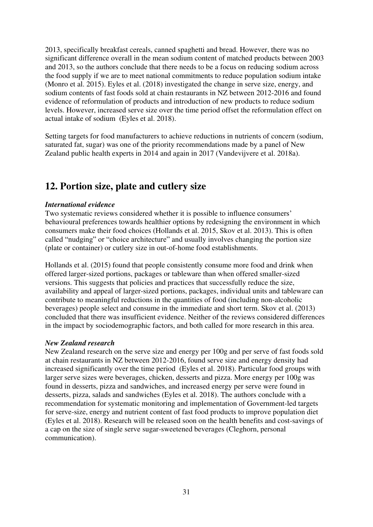2013, specifically breakfast cereals, canned spaghetti and bread. However, there was no significant difference overall in the mean sodium content of matched products between 2003 and 2013, so the authors conclude that there needs to be a focus on reducing sodium across the food supply if we are to meet national commitments to reduce population sodium intake (Monro et al. 2015). Eyles et al. (2018) investigated the change in serve size, energy, and sodium contents of fast foods sold at chain restaurants in NZ between 2012-2016 and found evidence of reformulation of products and introduction of new products to reduce sodium levels. However, increased serve size over the time period offset the reformulation effect on actual intake of sodium (Eyles et al. 2018).

Setting targets for food manufacturers to achieve reductions in nutrients of concern (sodium, saturated fat, sugar) was one of the priority recommendations made by a panel of New Zealand public health experts in 2014 and again in 2017 (Vandevijvere et al. 2018a).

## <span id="page-30-0"></span>**12. Portion size, plate and cutlery size**

#### *International evidence*

Two systematic reviews considered whether it is possible to influence consumers' behavioural preferences towards healthier options by redesigning the environment in which consumers make their food choices (Hollands et al. 2015, Skov et al. 2013). This is often called "nudging" or "choice architecture" and usually involves changing the portion size (plate or container) or cutlery size in out-of-home food establishments.

Hollands et al. (2015) found that people consistently consume more food and drink when offered larger-sized portions, packages or tableware than when offered smaller-sized versions. This suggests that policies and practices that successfully reduce the size, availability and appeal of larger-sized portions, packages, individual units and tableware can contribute to meaningful reductions in the quantities of food (including non-alcoholic beverages) people select and consume in the immediate and short term. Skov et al. (2013) concluded that there was insufficient evidence. Neither of the reviews considered differences in the impact by sociodemographic factors, and both called for more research in this area.

#### *New Zealand research*

<span id="page-30-1"></span>New Zealand research on the serve size and energy per 100g and per serve of fast foods sold at chain restaurants in NZ between 2012-2016, found serve size and energy density had increased significantly over the time period (Eyles et al. 2018). Particular food groups with larger serve sizes were beverages, chicken, desserts and pizza. More energy per 100g was found in desserts, pizza and sandwiches, and increased energy per serve were found in desserts, pizza, salads and sandwiches (Eyles et al. 2018). The authors conclude with a recommendation for systematic monitoring and implementation of Government-led targets for serve-size, energy and nutrient content of fast food products to improve population diet (Eyles et al. 2018). Research will be released soon on the health benefits and cost-savings of a cap on the size of single serve sugar-sweetened beverages (Cleghorn, personal communication).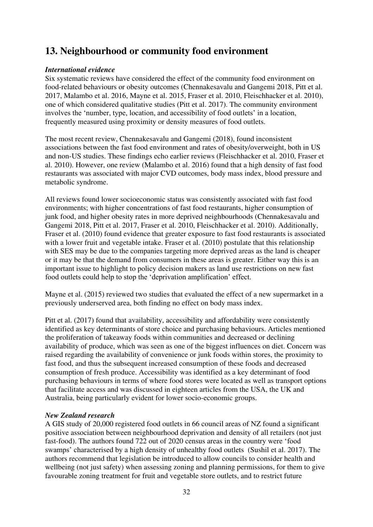## **13. Neighbourhood or community food environment**

#### *International evidence*

Six systematic reviews have considered the effect of the community food environment on food-related behaviours or obesity outcomes (Chennakesavalu and Gangemi 2018, Pitt et al. 2017, Malambo et al. 2016, Mayne et al. 2015, Fraser et al. 2010, Fleischhacker et al. 2010), one of which considered qualitative studies (Pitt et al. 2017). The community environment involves the 'number, type, location, and accessibility of food outlets' in a location, frequently measured using proximity or density measures of food outlets.

The most recent review, Chennakesavalu and Gangemi (2018), found inconsistent associations between the fast food environment and rates of obesity/overweight, both in US and non-US studies. These findings echo earlier reviews (Fleischhacker et al. 2010, Fraser et al. 2010). However, one review (Malambo et al. 2016) found that a high density of fast food restaurants was associated with major CVD outcomes, body mass index, blood pressure and metabolic syndrome.

All reviews found lower socioeconomic status was consistently associated with fast food environments; with higher concentrations of fast food restaurants, higher consumption of junk food, and higher obesity rates in more deprived neighbourhoods (Chennakesavalu and Gangemi 2018, Pitt et al. 2017, Fraser et al. 2010, Fleischhacker et al. 2010). Additionally, Fraser et al. (2010) found evidence that greater exposure to fast food restaurants is associated with a lower fruit and vegetable intake. Fraser et al. (2010) postulate that this relationship with SES may be due to the companies targeting more deprived areas as the land is cheaper or it may be that the demand from consumers in these areas is greater. Either way this is an important issue to highlight to policy decision makers as land use restrictions on new fast food outlets could help to stop the 'deprivation amplification' effect.

Mayne et al. (2015) reviewed two studies that evaluated the effect of a new supermarket in a previously underserved area, both finding no effect on body mass index.

Pitt et al. (2017) found that availability, accessibility and affordability were consistently identified as key determinants of store choice and purchasing behaviours. Articles mentioned the proliferation of takeaway foods within communities and decreased or declining availability of produce, which was seen as one of the biggest influences on diet. Concern was raised regarding the availability of convenience or junk foods within stores, the proximity to fast food, and thus the subsequent increased consumption of these foods and decreased consumption of fresh produce. Accessibility was identified as a key determinant of food purchasing behaviours in terms of where food stores were located as well as transport options that facilitate access and was discussed in eighteen articles from the USA, the UK and Australia, being particularly evident for lower socio-economic groups.

#### *New Zealand research*

A GIS study of 20,000 registered food outlets in 66 council areas of NZ found a significant positive association between neighbourhood deprivation and density of all retailers (not just fast-food). The authors found 722 out of 2020 census areas in the country were 'food swamps' characterised by a high density of unhealthy food outlets (Sushil et al. 2017). The authors recommend that legislation be introduced to allow councils to consider health and wellbeing (not just safety) when assessing zoning and planning permissions, for them to give favourable zoning treatment for fruit and vegetable store outlets, and to restrict future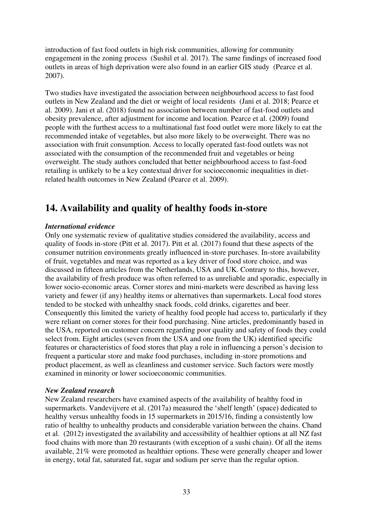introduction of fast food outlets in high risk communities, allowing for community engagement in the zoning process (Sushil et al. 2017). The same findings of increased food outlets in areas of high deprivation were also found in an earlier GIS study (Pearce et al. 2007).

Two studies have investigated the association between neighbourhood access to fast food outlets in New Zealand and the diet or weight of local residents (Jani et al. 2018; Pearce et al. 2009). Jani et al. (2018) found no association between number of fast-food outlets and obesity prevalence, after adjustment for income and location. Pearce et al. (2009) found people with the furthest access to a multinational fast food outlet were more likely to eat the recommended intake of vegetables, but also more likely to be overweight. There was no association with fruit consumption. Access to locally operated fast-food outlets was not associated with the consumption of the recommended fruit and vegetables or being overweight. The study authors concluded that better neighbourhood access to fast-food retailing is unlikely to be a key contextual driver for socioeconomic inequalities in dietrelated health outcomes in New Zealand (Pearce et al. 2009).

## <span id="page-32-0"></span>**14. Availability and quality of healthy foods in-store**

#### *International evidence*

Only one systematic review of qualitative studies considered the availability, access and quality of foods in-store (Pitt et al. 2017). Pitt et al. (2017) found that these aspects of the consumer nutrition environments greatly influenced in-store purchases. In-store availability of fruit, vegetables and meat was reported as a key driver of food store choice, and was discussed in fifteen articles from the Netherlands, USA and UK. Contrary to this, however, the availability of fresh produce was often referred to as unreliable and sporadic, especially in lower socio-economic areas. Corner stores and mini-markets were described as having less variety and fewer (if any) healthy items or alternatives than supermarkets. Local food stores tended to be stocked with unhealthy snack foods, cold drinks, cigarettes and beer. Consequently this limited the variety of healthy food people had access to, particularly if they were reliant on corner stores for their food purchasing. Nine articles, predominantly based in the USA, reported on customer concern regarding poor quality and safety of foods they could select from. Eight articles (seven from the USA and one from the UK) identified specific features or characteristics of food stores that play a role in influencing a person's decision to frequent a particular store and make food purchases, including in-store promotions and product placement, as well as cleanliness and customer service. Such factors were mostly examined in minority or lower socioeconomic communities.

#### *New Zealand research*

New Zealand researchers have examined aspects of the availability of healthy food in supermarkets. Vandevijvere et al. (2017a) measured the 'shelf length' (space) dedicated to healthy versus unhealthy foods in 15 supermarkets in 2015/16, finding a consistently low ratio of healthy to unhealthy products and considerable variation between the chains. Chand et al. (2012) investigated the availability and accessibility of healthier options at all NZ fast food chains with more than 20 restaurants (with exception of a sushi chain). Of all the items available, 21% were promoted as healthier options. These were generally cheaper and lower in energy, total fat, saturated fat, sugar and sodium per serve than the regular option.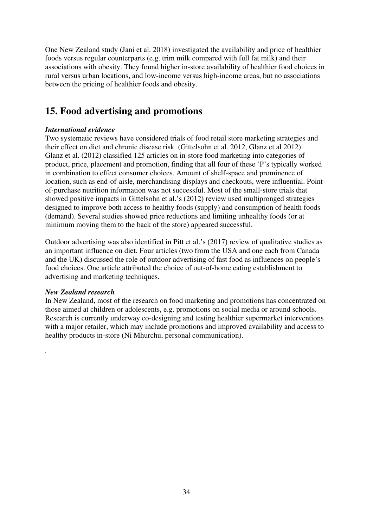One New Zealand study (Jani et al. 2018) investigated the availability and price of healthier foods versus regular counterparts (e.g. trim milk compared with full fat milk) and their associations with obesity. They found higher in-store availability of healthier food choices in rural versus urban locations, and low-income versus high-income areas, but no associations between the pricing of healthier foods and obesity.

## <span id="page-33-0"></span>**15. Food advertising and promotions**

#### *International evidence*

Two systematic reviews have considered trials of food retail store marketing strategies and their effect on diet and chronic disease risk (Gittelsohn et al. 2012, Glanz et al 2012). Glanz et al. (2012) classified 125 articles on in-store food marketing into categories of product, price, placement and promotion, finding that all four of these 'P's typically worked in combination to effect consumer choices. Amount of shelf-space and prominence of location, such as end-of-aisle, merchandising displays and checkouts, were influential. Pointof-purchase nutrition information was not successful. Most of the small-store trials that showed positive impacts in Gittelsohn et al.'s (2012) review used multipronged strategies designed to improve both access to healthy foods (supply) and consumption of health foods (demand). Several studies showed price reductions and limiting unhealthy foods (or at minimum moving them to the back of the store) appeared successful.

Outdoor advertising was also identified in Pitt et al.'s (2017) review of qualitative studies as an important influence on diet. Four articles (two from the USA and one each from Canada and the UK) discussed the role of outdoor advertising of fast food as influences on people's food choices. One article attributed the choice of out-of-home eating establishment to advertising and marketing techniques.

#### *New Zealand research*

<span id="page-33-1"></span>.

In New Zealand, most of the research on food marketing and promotions has concentrated on those aimed at children or adolescents, e.g. promotions on social media or around schools. Research is currently underway co-designing and testing healthier supermarket interventions with a major retailer, which may include promotions and improved availability and access to healthy products in-store (Ni Mhurchu, personal communication).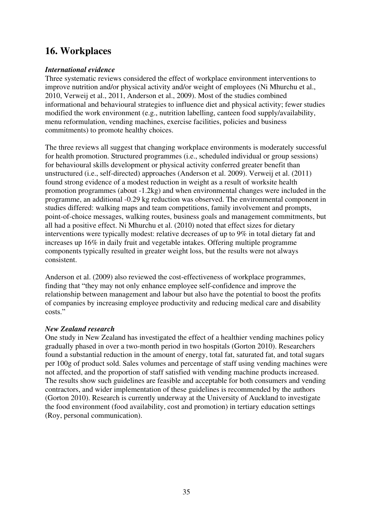## **16. Workplaces**

#### *International evidence*

Three systematic reviews considered the effect of workplace environment interventions to improve nutrition and/or physical activity and/or weight of employees (Ni Mhurchu et al., 2010, Verweij et al., 2011, Anderson et al., 2009). Most of the studies combined informational and behavioural strategies to influence diet and physical activity; fewer studies modified the work environment (e.g., nutrition labelling, canteen food supply/availability, menu reformulation, vending machines, exercise facilities, policies and business commitments) to promote healthy choices.

The three reviews all suggest that changing workplace environments is moderately successful for health promotion. Structured programmes (i.e., scheduled individual or group sessions) for behavioural skills development or physical activity conferred greater benefit than unstructured (i.e., self-directed) approaches (Anderson et al. 2009). Verweij et al. (2011) found strong evidence of a modest reduction in weight as a result of worksite health promotion programmes (about -1.2kg) and when environmental changes were included in the programme, an additional -0.29 kg reduction was observed. The environmental component in studies differed: walking maps and team competitions, family involvement and prompts, point-of-choice messages, walking routes, business goals and management commitments, but all had a positive effect. Ni Mhurchu et al. (2010) noted that effect sizes for dietary interventions were typically modest: relative decreases of up to 9% in total dietary fat and increases up 16% in daily fruit and vegetable intakes. Offering multiple programme components typically resulted in greater weight loss, but the results were not always consistent.

Anderson et al. (2009) also reviewed the cost-effectiveness of workplace programmes, finding that "they may not only enhance employee self-confidence and improve the relationship between management and labour but also have the potential to boost the profits of companies by increasing employee productivity and reducing medical care and disability costs."

#### *New Zealand research*

One study in New Zealand has investigated the effect of a healthier vending machines policy gradually phased in over a two-month period in two hospitals (Gorton 2010). Researchers found a substantial reduction in the amount of energy, total fat, saturated fat, and total sugars per 100g of product sold. Sales volumes and percentage of staff using vending machines were not affected, and the proportion of staff satisfied with vending machine products increased. The results show such guidelines are feasible and acceptable for both consumers and vending contractors, and wider implementation of these guidelines is recommended by the authors (Gorton 2010). Research is currently underway at the University of Auckland to investigate the food environment (food availability, cost and promotion) in tertiary education settings (Roy, personal communication).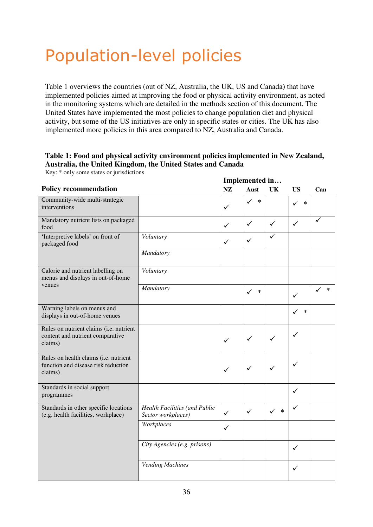## <span id="page-35-0"></span>Population-level policies

Table 1 overviews the countries (out of NZ, Australia, the UK, US and Canada) that have implemented policies aimed at improving the food or physical activity environment, as noted in the monitoring systems which are detailed in the methods section of this document. The United States have implemented the most policies to change population diet and physical activity, but some of the US initiatives are only in specific states or cities. The UK has also implemented more policies in this area compared to NZ, Australia and Canada.

#### **Table 1: Food and physical activity environment policies implemented in New Zealand, Australia, the United Kingdom, the United States and Canada**

Key: \* only some states or jurisdictions

|                                                                                         |                                                     | Implemented in |                        |                        |                        |             |
|-----------------------------------------------------------------------------------------|-----------------------------------------------------|----------------|------------------------|------------------------|------------------------|-------------|
| <b>Policy recommendation</b>                                                            |                                                     | NZ             | Aust                   | <b>UK</b>              | <b>US</b>              | Can         |
| Community-wide multi-strategic<br>interventions                                         |                                                     | $\checkmark$   | $\checkmark$<br>$\ast$ |                        | $\ast$<br>✓            |             |
| Mandatory nutrient lists on packaged<br>food                                            |                                                     | $\checkmark$   | ✓                      | $\checkmark$           | $\checkmark$           | ✓           |
| 'Interpretive labels' on front of<br>packaged food                                      | Voluntary                                           | $\checkmark$   | $\checkmark$           | $\checkmark$           |                        |             |
|                                                                                         | Mandatory                                           |                |                        |                        |                        |             |
| Calorie and nutrient labelling on<br>menus and displays in out-of-home<br>venues        | Voluntary                                           |                |                        |                        |                        |             |
|                                                                                         | Mandatory                                           |                | *<br>$\checkmark$      |                        | ✓                      | $\ast$<br>✓ |
| Warning labels on menus and<br>displays in out-of-home venues                           |                                                     |                |                        |                        | $\ast$<br>$\checkmark$ |             |
| Rules on nutrient claims (i.e. nutrient<br>content and nutrient comparative<br>claims)  |                                                     | $\checkmark$   | ✓                      | ✓                      | ✓                      |             |
| Rules on health claims (i.e. nutrient<br>function and disease risk reduction<br>claims) |                                                     | $\checkmark$   | $\checkmark$           | $\checkmark$           | ✓                      |             |
| Standards in social support<br>programmes                                               |                                                     |                |                        |                        | ✓                      |             |
| Standards in other specific locations<br>(e.g. health facilities, workplace)            | Health Facilities (and Public<br>Sector workplaces) | $\checkmark$   | $\checkmark$           | $\checkmark$<br>$\ast$ | ✓                      |             |
|                                                                                         | Workplaces                                          | $\checkmark$   |                        |                        |                        |             |
|                                                                                         | City Agencies (e.g. prisons)                        |                |                        |                        | ✓                      |             |
|                                                                                         | Vending Machines                                    |                |                        |                        | ✓                      |             |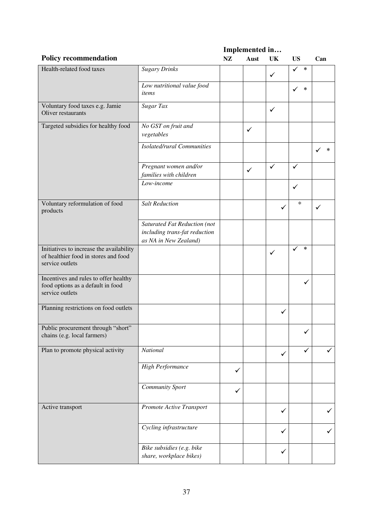**Policy recommendation Implemented in… NZ Aust UK US Can**  Health-related food taxes *Sugary Drinks*  ✓ ✓ \* *Low nutritional value food*   $\frac{1}{2}$ *items*  $\left\{ \sqrt{*} \right\}$ Voluntary food taxes e.g. Jamie Oliver restaurants *Sugar Tax*  $\sqrt{\frac{1}{1+\frac{1}{1+\frac{1}{1+\frac{1}{1+\frac{1}{1+\frac{1}{1+\frac{1}{1+\frac{1}{1+\frac{1}{1+\frac{1}{1+\frac{1}{1+\frac{1}{1+\frac{1}{1+\frac{1}{1+\frac{1}{1+\frac{1}{1+\frac{1}{1+\frac{1}{1+\frac{1}{1+\frac{1}{1+\frac{1}{1+\frac{1}{1+\frac{1}{1+\frac{1}{1+\frac{1}{1+\frac{1}{1+\frac{1}{1+\frac{1}{1+\frac{1}{1+\frac{1}{1+\frac{1}{1+\frac{1}{1+\frac{1}{1+\frac{1}{1+\frac$ Targeted subsidies for healthy food *No GST on fruit and vo* GS1 on *frutt* and<br>vegetables *vegetables Isolated/rural Communities*  $\begin{vmatrix} 1 & 1 \\ 1 & 1 \end{vmatrix}$   $\begin{vmatrix} 1 & 1 \\ 1 & 1 \end{vmatrix}$   $\begin{vmatrix} 1 & 1 \\ 1 & 1 \end{vmatrix}$ *Pregnant women and/or families with children*  ✓ ✓ ✓  $\begin{array}{|c|c|c|c|c|c|}\n\hline\n\text{Low-income} & & & \downarrow & \downarrow & \downarrow\n\end{array}$ Voluntary reformulation of food products *Salt Reduction* ✓  $\begin{array}{c|c} \ast & \ast \end{array}$ *Saturated Fat Reduction (not including trans-fat reduction as NA in New Zealand)*  Initiatives to increase the availability of healthier food in stores and food service outlets ✓ ✓ \* Incentives and rules to offer healthy food options as a default in food service outlets ✓ Planning restrictions on food outlets **◯** Public procurement through "short"  $\chi$  and  $\chi$  that the chains (e.g. local farmers)  $\chi$ Plan to promote physical activity *National* **National V** ✓ ✓ *High Performance* ✓ *Community Sport* ✓ Active transport *Promote Active Transport* ✓ ✓ *Cycling infrastructure* ✓ ✓ *Bike subsidies (e.g. bike share, workplace bikes)*  $\sqrt{\frac{1}{2}}$  1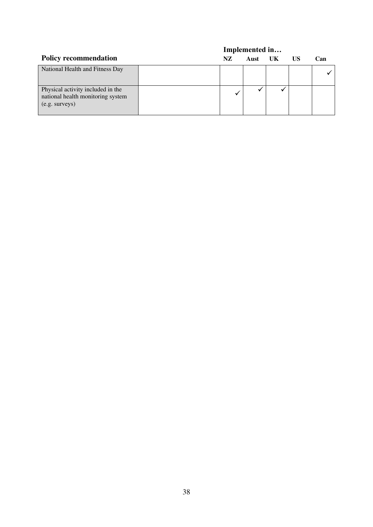|                                                                                            |     | Implemented in |    |    |     |
|--------------------------------------------------------------------------------------------|-----|----------------|----|----|-----|
| <b>Policy recommendation</b>                                                               | NZ. | Aust           | UK | US | Can |
| National Health and Fitness Day                                                            |     |                |    |    |     |
| Physical activity included in the<br>national health monitoring system<br>$(e.g.$ surveys) |     |                |    |    |     |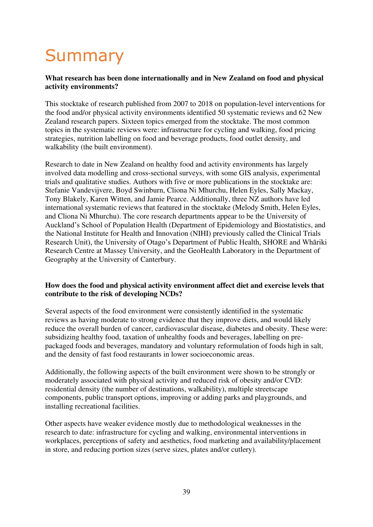# Summary

### **What research has been done internationally and in New Zealand on food and physical activity environments?**

This stocktake of research published from 2007 to 2018 on population-level interventions for the food and/or physical activity environments identified 50 systematic reviews and 62 New Zealand research papers. Sixteen topics emerged from the stocktake. The most common topics in the systematic reviews were: infrastructure for cycling and walking, food pricing strategies, nutrition labelling on food and beverage products, food outlet density, and walkability (the built environment).

Research to date in New Zealand on healthy food and activity environments has largely involved data modelling and cross-sectional surveys, with some GIS analysis, experimental trials and qualitative studies. Authors with five or more publications in the stocktake are: Stefanie Vandevijvere, Boyd Swinburn, Cliona Ni Mhurchu, Helen Eyles, Sally Mackay, Tony Blakely, Karen Witten, and Jamie Pearce. Additionally, three NZ authors have led international systematic reviews that featured in the stocktake (Melody Smith, Helen Eyles, and Cliona Ni Mhurchu). The core research departments appear to be the University of Auckland's School of Population Health (Department of Epidemiology and Biostatistics, and the National Institute for Health and Innovation (NIHI) previously called the Clinical Trials Research Unit), the University of Otago's Department of Public Health, SHORE and Whāriki Research Centre at Massey University, and the GeoHealth Laboratory in the Department of Geography at the University of Canterbury.

### **How does the food and physical activity environment affect diet and exercise levels that contribute to the risk of developing NCDs?**

Several aspects of the food environment were consistently identified in the systematic reviews as having moderate to strong evidence that they improve diets, and would likely reduce the overall burden of cancer, cardiovascular disease, diabetes and obesity. These were: subsidizing healthy food, taxation of unhealthy foods and beverages, labelling on prepackaged foods and beverages, mandatory and voluntary reformulation of foods high in salt, and the density of fast food restaurants in lower socioeconomic areas.

Additionally, the following aspects of the built environment were shown to be strongly or moderately associated with physical activity and reduced risk of obesity and/or CVD: residential density (the number of destinations, walkability), multiple streetscape components, public transport options, improving or adding parks and playgrounds, and installing recreational facilities.

Other aspects have weaker evidence mostly due to methodological weaknesses in the research to date: infrastructure for cycling and walking, environmental interventions in workplaces, perceptions of safety and aesthetics, food marketing and availability/placement in store, and reducing portion sizes (serve sizes, plates and/or cutlery).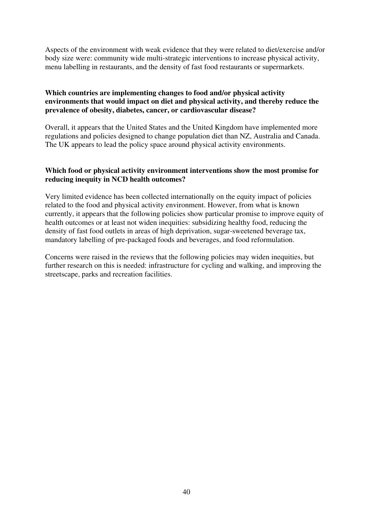Aspects of the environment with weak evidence that they were related to diet/exercise and/or body size were: community wide multi-strategic interventions to increase physical activity, menu labelling in restaurants, and the density of fast food restaurants or supermarkets.

#### **Which countries are implementing changes to food and/or physical activity environments that would impact on diet and physical activity, and thereby reduce the prevalence of obesity, diabetes, cancer, or cardiovascular disease?**

Overall, it appears that the United States and the United Kingdom have implemented more regulations and policies designed to change population diet than NZ, Australia and Canada. The UK appears to lead the policy space around physical activity environments.

#### **Which food or physical activity environment interventions show the most promise for reducing inequity in NCD health outcomes?**

Very limited evidence has been collected internationally on the equity impact of policies related to the food and physical activity environment. However, from what is known currently, it appears that the following policies show particular promise to improve equity of health outcomes or at least not widen inequities: subsidizing healthy food, reducing the density of fast food outlets in areas of high deprivation, sugar-sweetened beverage tax, mandatory labelling of pre-packaged foods and beverages, and food reformulation.

Concerns were raised in the reviews that the following policies may widen inequities, but further research on this is needed: infrastructure for cycling and walking, and improving the streetscape, parks and recreation facilities.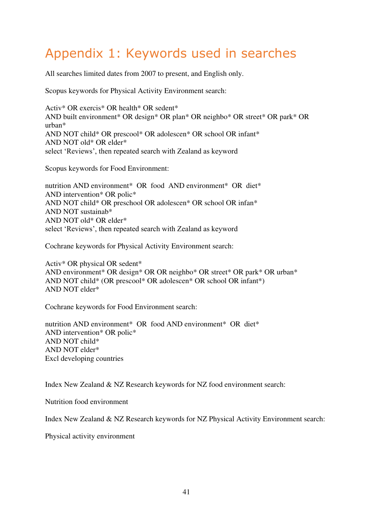### Appendix 1: Keywords used in searches

All searches limited dates from 2007 to present, and English only.

Scopus keywords for Physical Activity Environment search:

Activ\* OR exercis\* OR health\* OR sedent\* AND built environment\* OR design\* OR plan\* OR neighbo\* OR street\* OR park\* OR urban\* AND NOT child\* OR prescool\* OR adolescen\* OR school OR infant\* AND NOT old\* OR elder\* select 'Reviews', then repeated search with Zealand as keyword

Scopus keywords for Food Environment:

nutrition AND environment\* OR food AND environment\* OR diet\* AND intervention\* OR polic\* AND NOT child\* OR preschool OR adolescen\* OR school OR infan\* AND NOT sustainab\* AND NOT old\* OR elder\* select 'Reviews', then repeated search with Zealand as keyword

Cochrane keywords for Physical Activity Environment search:

Activ\* OR physical OR sedent\* AND environment\* OR design\* OR OR neighbo\* OR street\* OR park\* OR urban\* AND NOT child\* (OR prescool\* OR adolescen\* OR school OR infant\*) AND NOT elder\*

Cochrane keywords for Food Environment search:

nutrition AND environment\* OR food AND environment\* OR diet\* AND intervention\* OR polic\* AND NOT child\* AND NOT elder\* Excl developing countries

Index New Zealand & NZ Research keywords for NZ food environment search:

Nutrition food environment

Index New Zealand & NZ Research keywords for NZ Physical Activity Environment search:

Physical activity environment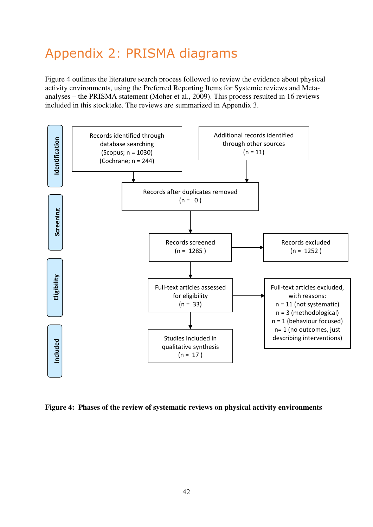# Appendix 2: PRISMA diagrams

Figure 4 outlines the literature search process followed to review the evidence about physical activity environments, using the Preferred Reporting Items for Systemic reviews and Metaanalyses – the PRISMA statement (Moher et al., 2009). This process resulted in 16 reviews included in this stocktake. The reviews are summarized in Appendix 3.



**Figure 4: Phases of the review of systematic reviews on physical activity environments**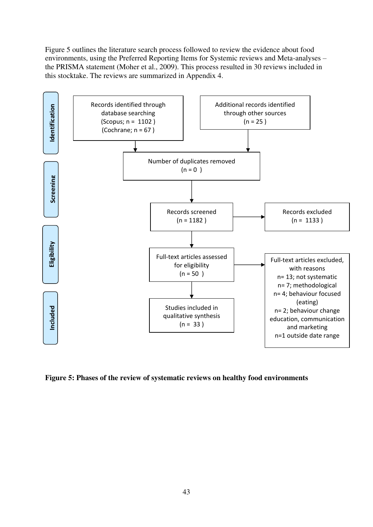Figure 5 outlines the literature search process followed to review the evidence about food environments, using the Preferred Reporting Items for Systemic reviews and Meta-analyses – the PRISMA statement (Moher et al., 2009). This process resulted in 30 reviews included in this stocktake. The reviews are summarized in Appendix 4.



**Figure 5: Phases of the review of systematic reviews on healthy food environments**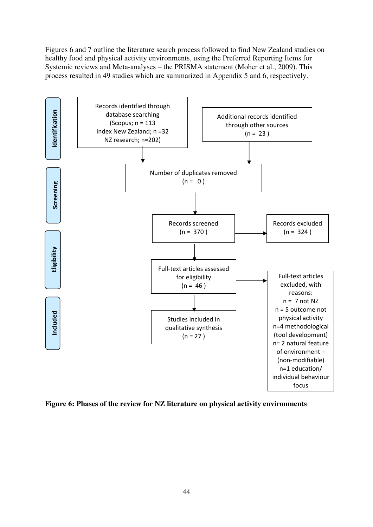Figures 6 and 7 outline the literature search process followed to find New Zealand studies on healthy food and physical activity environments, using the Preferred Reporting Items for Systemic reviews and Meta-analyses – the PRISMA statement (Moher et al., 2009). This process resulted in 49 studies which are summarized in Appendix 5 and 6, respectively.



**Figure 6: Phases of the review for NZ literature on physical activity environments**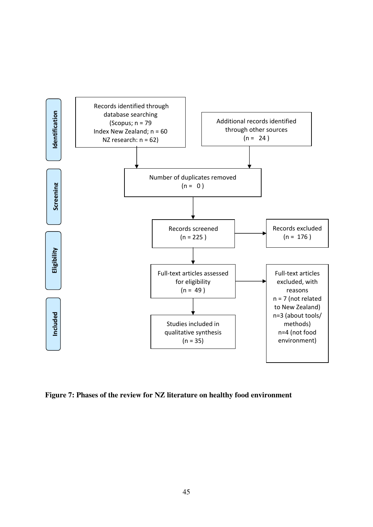

**Figure 7: Phases of the review for NZ literature on healthy food environment**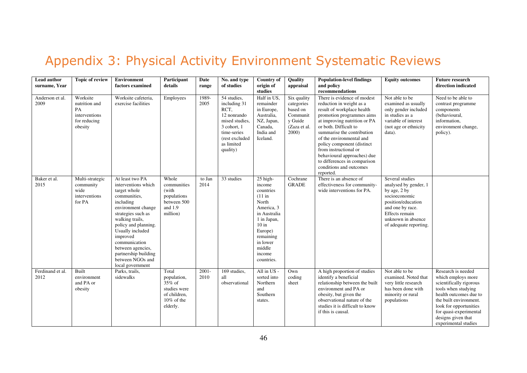### Appendix 3: Physical Activity Environment Systematic Reviews

| <b>Lead author</b><br>surname. Year | <b>Topic of review</b>                                                      | <b>Environment</b><br>factors examined                                                                                                                                                                                                                                                                           | Participant<br>details                                                                      | Date<br>range    | No. and type<br>of studies                                                                                                                     | Country of<br>origin of<br>studies                                                                                                                                                 | Quality<br>appraisal                                                                  | <b>Population-level findings</b><br>and policy<br>recommendations                                                                                                                                                                                                                                                                                                                                   | Equity outcomes                                                                                                                                                                       | <b>Future research</b><br>direction indicated                                                                                                                                                                                                    |
|-------------------------------------|-----------------------------------------------------------------------------|------------------------------------------------------------------------------------------------------------------------------------------------------------------------------------------------------------------------------------------------------------------------------------------------------------------|---------------------------------------------------------------------------------------------|------------------|------------------------------------------------------------------------------------------------------------------------------------------------|------------------------------------------------------------------------------------------------------------------------------------------------------------------------------------|---------------------------------------------------------------------------------------|-----------------------------------------------------------------------------------------------------------------------------------------------------------------------------------------------------------------------------------------------------------------------------------------------------------------------------------------------------------------------------------------------------|---------------------------------------------------------------------------------------------------------------------------------------------------------------------------------------|--------------------------------------------------------------------------------------------------------------------------------------------------------------------------------------------------------------------------------------------------|
| Anderson et al.<br>2009             | Worksite<br>nutrition and<br>PA<br>interventions<br>for reducing<br>obesity | Worksite cafeteria.<br>exercise facilities                                                                                                                                                                                                                                                                       | Employees                                                                                   | 1989-<br>2005    | 54 studies,<br>including 31<br>RCT.<br>12 nonrando<br>mised studies,<br>3 cohort, 1<br>time-series<br>(rest excluded<br>as limited<br>quality) | Half in US,<br>remainder<br>in Europe,<br>Australia,<br>NZ, Japan,<br>Canada,<br>India and<br>Iceland.                                                                             | Six quality<br>categories<br>based on<br>Communit<br>y Guide<br>(Zaza et al.<br>2000) | There is evidence of modest<br>reduction in weight as a<br>result of workplace health<br>promotion programmes aims<br>at improving nutrition or PA<br>or both. Difficult to<br>summarise the contribution<br>of the environmental and<br>policy component (distinct<br>from instructional or<br>behavioural approaches) due<br>to differences in comparison<br>conditions and outcomes<br>reported. | Not able to be<br>examined as usually<br>only gender included<br>in studies as a<br>variable of interest<br>(not age or ethnicity)<br>data).                                          | Need to be able to<br>contrast programme<br>components<br>(behavioural,<br>information,<br>environment change,<br>policy).                                                                                                                       |
| Baker et al.<br>2015                | Multi-strategic<br>community<br>wide<br>interventions<br>for PA             | At least two PA<br>interventions which<br>target whole<br>communities,<br>including<br>environment change<br>strategies such as<br>walking trails,<br>policy and planning.<br>Usually included<br>improved<br>communication<br>between agencies,<br>partnership building<br>between NGOs and<br>local government | Whole<br>communities<br>(with<br>populations<br>between 500<br>and 1.9<br>million)          | to Jan<br>2014   | 33 studies                                                                                                                                     | 25 high-<br>income<br>countries<br>$(11$ in<br>North<br>America, 3<br>in Australia<br>1 in Japan,<br>$10$ in<br>Europe)<br>remaining<br>in lower<br>middle<br>income<br>countries. | Cochrane<br><b>GRADE</b>                                                              | There is an absence of<br>effectiveness for community-<br>wide interventions for PA.                                                                                                                                                                                                                                                                                                                | Several studies<br>analysed by gender, 1<br>by age, 2 by<br>socioeconomic<br>position/education<br>and one by race.<br>Effects remain<br>unknown in absence<br>of adequate reporting. |                                                                                                                                                                                                                                                  |
| Ferdinand et al.<br>2012            | Built<br>environment<br>and PA or<br>obesity                                | Parks, trails,<br>sidewalks                                                                                                                                                                                                                                                                                      | Total<br>population,<br>35% of<br>studies were<br>of children,<br>$10\%$ of the<br>elderly. | $2001 -$<br>2010 | 169 studies,<br>all<br>observational                                                                                                           | All in US -<br>sorted into<br>Northern<br>and<br>Southern<br>states.                                                                                                               | Own<br>coding<br>sheet                                                                | A high proportion of studies<br>identify a beneficial<br>relationship between the built<br>environment and PA or<br>obesity, but given the<br>observational nature of the<br>studies it is difficult to know<br>if this is causal.                                                                                                                                                                  | Not able to be<br>examined. Noted that<br>very little research<br>has been done with<br>minority or rural<br>populations                                                              | Research is needed<br>which employs more<br>scientifically rigorous<br>tools when studying<br>health outcomes due to<br>the built environment.<br>look for opportunities<br>for quasi-experimental<br>designs given that<br>experimental studies |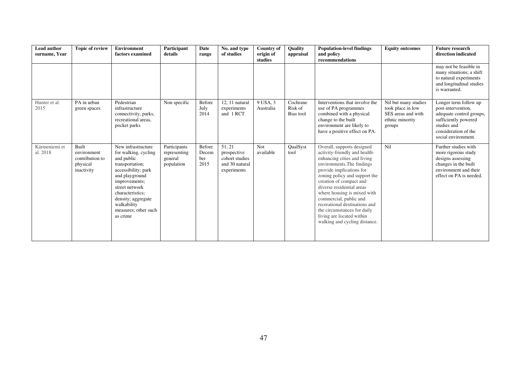| <b>Lead author</b><br>surname, Year | <b>Topic of review</b>                                            | <b>Environment</b><br>factors examined                                                                                                                                                                                                               | Participant<br>details                                | Date<br>range                  | No. and type<br>of studies                                               | <b>Country of</b><br>origin of<br>studies | Quality<br>appraisal             | <b>Population-level findings</b><br>and policy<br>${\bf recommendations}$                                                                                                                                                                                                                                                                                                                                                            | <b>Equity outcomes</b>                                                                       | <b>Future research</b><br>direction indicated                                                                                                                 |
|-------------------------------------|-------------------------------------------------------------------|------------------------------------------------------------------------------------------------------------------------------------------------------------------------------------------------------------------------------------------------------|-------------------------------------------------------|--------------------------------|--------------------------------------------------------------------------|-------------------------------------------|----------------------------------|--------------------------------------------------------------------------------------------------------------------------------------------------------------------------------------------------------------------------------------------------------------------------------------------------------------------------------------------------------------------------------------------------------------------------------------|----------------------------------------------------------------------------------------------|---------------------------------------------------------------------------------------------------------------------------------------------------------------|
|                                     |                                                                   |                                                                                                                                                                                                                                                      |                                                       |                                |                                                                          |                                           |                                  |                                                                                                                                                                                                                                                                                                                                                                                                                                      |                                                                                              | may not be feasible in<br>many situations; a shift<br>to natural experiments<br>and longitudinal studies<br>is warranted.                                     |
| Hunter et al.<br>2015               | PA in urban<br>green spaces                                       | Pedestrian<br>infrastructure<br>connectivity, parks,<br>recreational areas,<br>pocket parks                                                                                                                                                          | Non specific                                          | Before<br>July<br>2014         | 12, 11 natural<br>experiments<br>and 1 RCT                               | 9 USA, 3<br>Australia                     | Cochrane<br>Risk of<br>Bias tool | Interventions that involve the<br>use of PA programmes<br>combined with a physical<br>change to the built<br>environment are likely to<br>have a positive effect on PA.                                                                                                                                                                                                                                                              | Nil but many studies<br>took place in low<br>SES areas and with<br>ethnic minority<br>groups | Longer term follow up<br>post-intervention,<br>adequate control groups,<br>sufficiently powered<br>studies and<br>consideration of the<br>social environment. |
| Kärmeniemi et<br>al. 2018           | Built<br>environment<br>contribution to<br>physical<br>inactivity | New infrastructure<br>for walking, cycling<br>and public<br>transportation;<br>accessibility; park<br>and playground<br>improvements;<br>street network<br>characteristics;<br>density; aggregate<br>walkability<br>measures; other such<br>as crime | Participants<br>representing<br>general<br>population | Before<br>Decem<br>ber<br>2015 | 51, 21<br>prospective<br>cohort studies<br>and 30 natural<br>experiments | <b>Not</b><br>available                   | QualSyst<br>tool                 | Overall, supports designed<br>activity-friendly and health-<br>enhancing cities and living<br>environments. The findings<br>provide implications for<br>zoning policy and support the<br>creation of compact and<br>diverse residential areas<br>where housing is mixed with<br>commercial, public and<br>recreational destinations and<br>the circumstances for daily<br>living are located within<br>walking and cycling distance. | Nil                                                                                          | Further studies with<br>more rigorous study<br>designs assessing<br>changes in the built<br>environment and their<br>effect on PA is needed.                  |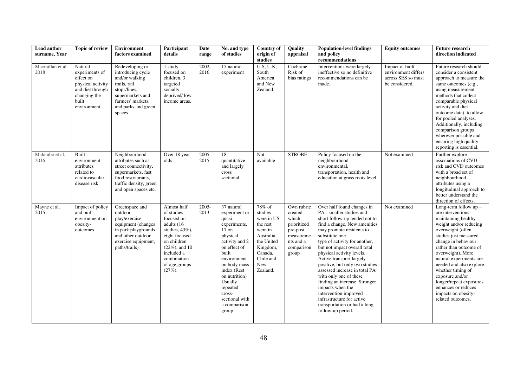| Lead author<br>surname, Year | <b>Topic of review</b>                                                                                                  | <b>Environment</b><br>factors examined                                                                                                                           | Participant<br>details                                                                                                                                                                      | Date<br>range | No. and type<br>of studies                                                                                                                                                                                                                                          | <b>Country of</b><br>origin of<br>studies                                                                                                  | Quality<br>appraisal                                                                                       | <b>Population-level findings</b><br>and policy<br>recommendations                                                                                                                                                                                                                                                                                                                                                                                                                                                                                            | <b>Equity outcomes</b>                                                         | <b>Future research</b><br>direction indicated                                                                                                                                                                                                                                                                                                                                                                 |
|------------------------------|-------------------------------------------------------------------------------------------------------------------------|------------------------------------------------------------------------------------------------------------------------------------------------------------------|---------------------------------------------------------------------------------------------------------------------------------------------------------------------------------------------|---------------|---------------------------------------------------------------------------------------------------------------------------------------------------------------------------------------------------------------------------------------------------------------------|--------------------------------------------------------------------------------------------------------------------------------------------|------------------------------------------------------------------------------------------------------------|--------------------------------------------------------------------------------------------------------------------------------------------------------------------------------------------------------------------------------------------------------------------------------------------------------------------------------------------------------------------------------------------------------------------------------------------------------------------------------------------------------------------------------------------------------------|--------------------------------------------------------------------------------|---------------------------------------------------------------------------------------------------------------------------------------------------------------------------------------------------------------------------------------------------------------------------------------------------------------------------------------------------------------------------------------------------------------|
| Macmillan et al.<br>2018     | Natural<br>experiments of<br>effect on<br>physical activity<br>and diet through<br>changing the<br>built<br>environment | Redeveloping or<br>introducing cycle<br>and/or walking<br>trails, rail<br>stops/lines,<br>supermarkets and<br>farmers' markets,<br>and parks and green<br>spaces | 1 study<br>focused on<br>children, 3<br>targeted<br>socially<br>deprived/low<br>income areas.                                                                                               | 2002-<br>2016 | 15 natural<br>experiment                                                                                                                                                                                                                                            | U.S, U.K,<br>South<br>America<br>and New<br>Zealand                                                                                        | Cochrane<br>Risk of<br>bias ratings                                                                        | Interventions were largely<br>ineffective so no definitive<br>recommendations can be<br>made.                                                                                                                                                                                                                                                                                                                                                                                                                                                                | Impact of built<br>environment differs<br>across SES so must<br>be considered. | Future research should<br>consider a consistent<br>approach to measure the<br>same outcomes (e.g.,<br>using measurement<br>methods that collect<br>comparable physical<br>activity and diet<br>outcome data), to allow<br>for pooled analyses.<br>Additionally, including<br>comparison groups<br>wherever possible and<br>ensuring high quality<br>reporting is essential.                                   |
| Malambo et al.<br>2016       | Built<br>environment<br>attributes<br>related to<br>cardiovascular<br>disease risk                                      | Neighbourhood<br>attributes such as<br>street connectivity,<br>supermarkets, fast<br>food restraurants,<br>traffic density, green<br>and open spaces etc.        | Over 18 year<br>olds                                                                                                                                                                        | 2005-<br>2015 | 18.<br>quantitative<br>and largely<br>cross<br>sectional                                                                                                                                                                                                            | Not<br>available                                                                                                                           | <b>STROBE</b>                                                                                              | Policy focused on the<br>neighbourhood<br>environmental,<br>transportation, health and<br>education at grass roots level                                                                                                                                                                                                                                                                                                                                                                                                                                     | Not examined                                                                   | Further explore<br>associations of CVD<br>risk and CVD outcomes<br>with a broad set of<br>neighbourhood<br>attributes using a<br>longitudinal approach to<br>better understand the<br>direction of effects.                                                                                                                                                                                                   |
| Mayne et al.<br>2015         | Impact of policy<br>and built<br>environment on<br>obesity-<br>outcomes                                                 | Greenspace and<br>outdoor<br>play/exercise<br>equipment (changes<br>in park playgrounds<br>and other outdoor<br>exercise equipment,<br>paths/trails)             | Almost half<br>of studies<br>focused on<br>adults (16<br>studies, $43\%$ ),<br>eight focused<br>on children<br>$(22\%)$ , and 10<br>included a<br>combination<br>of age groups<br>$(27%)$ . | 2005-<br>2013 | 37 natural<br>experiment or<br>quasi-<br>experiments,<br>$17$ on<br>physical<br>activity and 2<br>on effect of<br>built<br>environment<br>on body mass<br>index (Rest<br>on nutrition)<br>Usually<br>repeated<br>cross-<br>sectional with<br>a comparison<br>group. | 78% of<br>studies<br>were in US.<br>the rest<br>were in<br>Australia,<br>the United<br>Kingdom,<br>Canada,<br>Chile and<br>New<br>Zealand. | Own rubric<br>created<br>which<br>prioritized<br>pre-post<br>measureme<br>nts and a<br>comparison<br>group | Over half found changes in<br>PA - smaller studies and<br>short follow-up tended not to<br>find a change. New amenities<br>may promote residents to<br>substitute one<br>type of activity for another,<br>but not impact overall total<br>physical activity levels.<br>Active transport largely<br>positive, but only two studies<br>assessed increase in total PA<br>with only one of these<br>finding an increase. Stronger<br>impacts when the<br>intervention improved<br>infrastructure for active<br>transportation or had a long<br>follow-up period. | Not examined                                                                   | Long-term follow $up -$<br>are interventions<br>maintaining healthy<br>weight and/or reducing<br>overweight (often<br>studies just measured<br>change in behaviour<br>rather than outcome of<br>overweight). More<br>natural experiments are<br>needed and also explore<br>whether timing of<br>exposure and/or<br>longer/repeat exposures<br>enhances or reduces<br>impacts on obesity-<br>related outcomes. |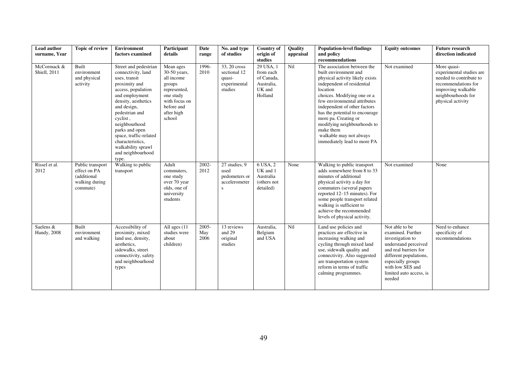| Lead author<br>surname, Year     | Topic of review                                                               | <b>Environment</b><br>factors examined                                                                                                                                                                                                                                                                                         | Participant<br>details                                                                                                                | Date<br>range        | No. and type<br>of studies                                                | <b>Country of</b><br>origin of<br>studies                               | <b>Ouality</b><br>appraisal | <b>Population-level findings</b><br>and policy<br>recommendations                                                                                                                                                                                                                                                                                                                                | <b>Equity outcomes</b>                                                                                                                                                                                           | <b>Future research</b><br>direction indicated                                                                                                              |
|----------------------------------|-------------------------------------------------------------------------------|--------------------------------------------------------------------------------------------------------------------------------------------------------------------------------------------------------------------------------------------------------------------------------------------------------------------------------|---------------------------------------------------------------------------------------------------------------------------------------|----------------------|---------------------------------------------------------------------------|-------------------------------------------------------------------------|-----------------------------|--------------------------------------------------------------------------------------------------------------------------------------------------------------------------------------------------------------------------------------------------------------------------------------------------------------------------------------------------------------------------------------------------|------------------------------------------------------------------------------------------------------------------------------------------------------------------------------------------------------------------|------------------------------------------------------------------------------------------------------------------------------------------------------------|
| McCormack &<br>Shiell, 2011      | Built<br>environment<br>and physical<br>activity                              | Street and pedestrian<br>connectivity, land<br>uses, transit<br>proximity and<br>access, population<br>and employment<br>density, aesthetics<br>and design,<br>pedestrian and<br>cyclist,<br>neighbourhood<br>parks and open<br>space, traffic-related<br>characteristics,<br>walkability sprawl<br>and neighbourhood<br>type. | Mean ages<br>30-50 years,<br>all income<br>groups<br>represented,<br>one study<br>with focus on<br>before and<br>after high<br>school | 1996-<br>2010        | 33, 20 cross<br>sectional 12<br>quasi-<br>experimental<br>studies         | 29 USA, 1<br>from each<br>of Canada,<br>Australia,<br>UK and<br>Holland | Nil                         | The association between the<br>built environment and<br>physical activity likely exists<br>independent of residential<br>location<br>choices. Modifying one or a<br>few environmental attributes<br>independent of other factors<br>has the potential to encourage<br>more pa. Creating or<br>modifying neighbourhoods to<br>make them<br>walkable may not always<br>immediately lead to more PA | Not examined                                                                                                                                                                                                     | More quasi-<br>experimental studies are<br>needed to contribute to<br>recommendations for<br>improving walkable<br>neighbourhoods for<br>physical activity |
| Rissel et al.<br>2012            | Public transport<br>effect on PA<br>(additional<br>walking during<br>commute) | Walking to public<br>transport                                                                                                                                                                                                                                                                                                 | Adult<br>commuters,<br>one study<br>over 70 year<br>olds, one of<br>university<br>students                                            | 2002-<br>2012        | $\overline{27}$ studies, 9<br>used<br>pedometers or<br>accelerometer<br>S | 6 USA, 2<br>UK and 1<br>Australia<br>(others not<br>detailed)           | None                        | Walking to public transport<br>adds somewhere from 8 to 33<br>minutes of additional<br>physical activity a day for<br>commuters (several papers<br>reported 12–15 minutes). For<br>some people transport related<br>walking is sufficient to<br>achieve the recommended<br>levels of physical activity.                                                                                          | Not examined                                                                                                                                                                                                     | None                                                                                                                                                       |
| Saelens &<br><b>Handy</b> , 2008 | Built<br>environment<br>and walking                                           | Accessibility of<br>proximity, mixed<br>land use, density,<br>aesthetics.<br>sidewalks, street<br>connectivity, safety<br>and neighbourhood<br>types                                                                                                                                                                           | All ages (11)<br>studies were<br>about<br>children)                                                                                   | 2005-<br>May<br>2006 | 13 reviews<br>and 29<br>original<br>studies                               | Australia,<br>Belgium<br>and USA                                        | Nil                         | Land use policies and<br>practices are effective in<br>increasing walking and<br>cycling through mixed land<br>use, sidewalk quality and<br>connectivity. Also suggested<br>are transportation system<br>reform in terms of traffic<br>calming programmes.                                                                                                                                       | Not able to be<br>examined. Further<br>investigation to<br>understand perceived<br>and real barriers for<br>different populations,<br>especially groups<br>with low SES and<br>limited auto access, is<br>needed | Need to enhance<br>specificity of<br>recommendations                                                                                                       |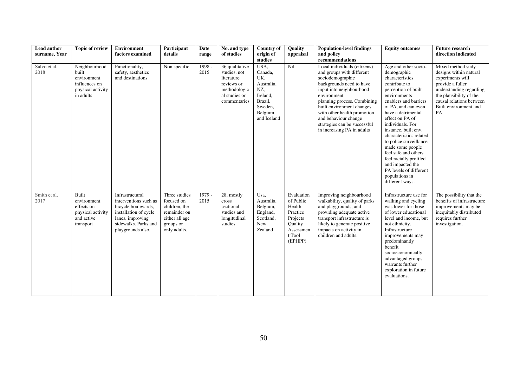| Lead author          | <b>Topic of review</b>                                                                   | Environment                                                                                                                                               | Participant                                                                                                 | Date           | No. and type                                                                                                | <b>Country of</b>                                                                                       | Quality                                                                                                | <b>Population-level findings</b>                                                                                                                                                                                                                                                                                                      | <b>Equity outcomes</b>                                                                                                                                                                                                                                                                                                                                                                                                                                            | <b>Future research</b>                                                                                                                                                                                |
|----------------------|------------------------------------------------------------------------------------------|-----------------------------------------------------------------------------------------------------------------------------------------------------------|-------------------------------------------------------------------------------------------------------------|----------------|-------------------------------------------------------------------------------------------------------------|---------------------------------------------------------------------------------------------------------|--------------------------------------------------------------------------------------------------------|---------------------------------------------------------------------------------------------------------------------------------------------------------------------------------------------------------------------------------------------------------------------------------------------------------------------------------------|-------------------------------------------------------------------------------------------------------------------------------------------------------------------------------------------------------------------------------------------------------------------------------------------------------------------------------------------------------------------------------------------------------------------------------------------------------------------|-------------------------------------------------------------------------------------------------------------------------------------------------------------------------------------------------------|
| surname, Year        |                                                                                          | factors examined                                                                                                                                          | details                                                                                                     | range          | of studies                                                                                                  | origin of<br>studies                                                                                    | appraisal                                                                                              | and policy<br>recommendations                                                                                                                                                                                                                                                                                                         |                                                                                                                                                                                                                                                                                                                                                                                                                                                                   | direction indicated                                                                                                                                                                                   |
| Salvo et al.<br>2018 | Neighbourhood<br>built<br>environment<br>influences on<br>physical activity<br>in adults | Functionality,<br>safety, aesthetics<br>and destinations                                                                                                  | Non specific                                                                                                | 1998 -<br>2015 | 36 qualitative<br>studies, not<br>literature<br>reviews or<br>methodologic<br>al studies or<br>commentaries | USA,<br>Canada,<br>UK,<br>Australia,<br>NZ,<br>Ireland,<br>Brazil,<br>Sweden,<br>Belgium<br>and Iceland | Nil                                                                                                    | Local individuals (citizens)<br>and groups with different<br>sociodemographic<br>backgrounds need to have<br>input into neighbourhood<br>environment<br>planning process. Combining<br>built environment changes<br>with other health promotion<br>and behaviour change<br>strategies can be successful<br>in increasing PA in adults | Age and other socio-<br>demographic<br>characteristics<br>contribute to<br>perception of built<br>environments<br>enablers and barriers<br>of PA, and can even<br>have a detrimental<br>effect on PA of<br>individuals. For<br>instance, built env.<br>characteristics related<br>to police surveillance<br>made some people<br>feel safe and others<br>feel racially profiled<br>and impacted the<br>PA levels of different<br>populations in<br>different ways. | Mixed method sudy<br>designs within natural<br>experiments will<br>provide a fuller<br>understanding regarding<br>the plausibility of the<br>causal relations between<br>Built environment and<br>PA. |
| Smith et al.<br>2017 | Built<br>environment<br>effects on<br>physical activity<br>and active<br>transport       | Infrastructural<br>interventions such as<br>bicycle boulevards,<br>installation of cycle<br>lanes, improving<br>sidewalks. Parks and<br>playgrounds also. | Three studies<br>focused on<br>children, the<br>remainder on<br>either all age<br>groups or<br>only adults. | 1979 -<br>2015 | 28, mostly<br>cross<br>sectional<br>studies and<br>longitudinal<br>studies.                                 | Usa,<br>Australia,<br>Belgium,<br>England,<br>Scotland,<br>New<br>Zealand                               | Evaluation<br>of Public<br>Health<br>Practice<br>Projects<br>Quality<br>Assessmen<br>t Tool<br>(EPHPP) | Improving neighbourhood<br>walkability, quality of parks<br>and playgrounds, and<br>providing adequate active<br>transport infrastructure is<br>likely to generate positive<br>impacts on activity in<br>children and adults.                                                                                                         | Infrastructure use for<br>walking and cycling<br>was lower for those<br>of lower educational<br>level and income, but<br>not ethnicity.<br>Infrastructure<br>improvements may<br>predominantly<br>benefit<br>socioeconomically<br>advantaged groups<br>warrants further<br>exploration in future<br>evaluations.                                                                                                                                                  | The possibility that the<br>benefits of infrastructure<br>improvements may be<br>inequitably distributed<br>requires further<br>investigation.                                                        |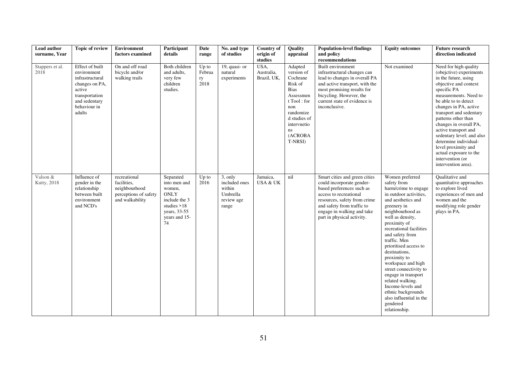| Lead author<br>surname. Year | <b>Topic of review</b>                                                                                                                     | <b>Environment</b><br>factors examined                                                   | Participant<br>details                                                                                                                       | Date<br>range                 | No. and type<br>of studies                                            | <b>Country of</b><br>origin of<br>studies | <b>Ouality</b><br>appraisal                                                                                                                                            | <b>Population-level findings</b><br>and policy<br>recommendations                                                                                                                                                                           | <b>Equity outcomes</b>                                                                                                                                                                                                                                                                                                                                                                                                                                                                              | <b>Future research</b><br>direction indicated                                                                                                                                                                                                                                                                                                                                                                                                    |
|------------------------------|--------------------------------------------------------------------------------------------------------------------------------------------|------------------------------------------------------------------------------------------|----------------------------------------------------------------------------------------------------------------------------------------------|-------------------------------|-----------------------------------------------------------------------|-------------------------------------------|------------------------------------------------------------------------------------------------------------------------------------------------------------------------|---------------------------------------------------------------------------------------------------------------------------------------------------------------------------------------------------------------------------------------------|-----------------------------------------------------------------------------------------------------------------------------------------------------------------------------------------------------------------------------------------------------------------------------------------------------------------------------------------------------------------------------------------------------------------------------------------------------------------------------------------------------|--------------------------------------------------------------------------------------------------------------------------------------------------------------------------------------------------------------------------------------------------------------------------------------------------------------------------------------------------------------------------------------------------------------------------------------------------|
| Stappers et al.<br>2018      | Effect of built<br>environment<br>infrastructural<br>changes on PA,<br>active<br>transportation<br>and sedentary<br>behaviour in<br>adults | On and off road<br>bicycle and/or<br>walking trails                                      | Both children<br>and adults,<br>very few<br>children<br>studies.                                                                             | Up to<br>Februa<br>ry<br>2018 | 19, quasi- or<br>natural<br>experiments                               | USA,<br>Australia,<br>Brazil, UK,         | Adapted<br>version of<br>Cochrane<br>Risk of<br><b>Bias</b><br>Assessmen<br>t Tool: for<br>non<br>randomize<br>d studies of<br>intervnetio<br>ns<br>(ACROBA<br>T-NRSI) | Built environment<br>infrastructural changes can<br>lead to changes in overall PA<br>and active transport, with the<br>most promising results for<br>bicycling. However, the<br>current state of evidence is<br>inconclusive.               | Not examined                                                                                                                                                                                                                                                                                                                                                                                                                                                                                        | Need for high quality<br>(obejctive) experiments<br>in the future, using<br>objective and context<br>specific PA<br>measurements. Need to<br>be able to to detect<br>changes in PA, active<br>transport and sedentary<br>patterns other than<br>changes in overall PA,<br>active transport and<br>sedentary level; and also<br>determine individual-<br>level proximity and<br>actual exposure to the<br>intervention (or<br>intervention area). |
| Valson &<br>Kutty, 2018      | Influence of<br>gender in the<br>relationship<br>between built<br>environment<br>and NCD's                                                 | recreational<br>facilities.<br>neighbourhood<br>perceptions of safety<br>and walkability | Separated<br>into men and<br>women,<br>$\mathop{\rm ONLY}\nolimits$<br>include the 3<br>studies $>18$<br>years, 33-55<br>years and 15-<br>74 | $Up$ to<br>2016               | 3, only<br>included ones<br>within<br>Umbrella<br>review age<br>range | Jamaica,<br><b>USA &amp; UK</b>           | nil                                                                                                                                                                    | Smart cities and green cities<br>could incorporate gender-<br>based preferences such as<br>access to recreational<br>resources, safety from crime<br>and safety from traffic to<br>engage in walking and take<br>part in physical activity. | Women preferred<br>safety from<br>harm/crime to engage<br>in outdoor activities,<br>and aesthetics and<br>greenery in<br>neighbourhood as<br>well as density,<br>proximity of<br>recreational facilities<br>and safety from<br>traffic. Men<br>prioritised access to<br>destinations,<br>proximity to<br>workspace and high<br>street connectivity to<br>engage in transport<br>related walking.<br>Income-levels and<br>ethnic backgrounds<br>also influential in the<br>gendered<br>relationship. | <b>Oualitative and</b><br>quantitative approaches<br>to explore lived<br>experiences of men and<br>women and the<br>modifying role gender<br>plays in PA.                                                                                                                                                                                                                                                                                        |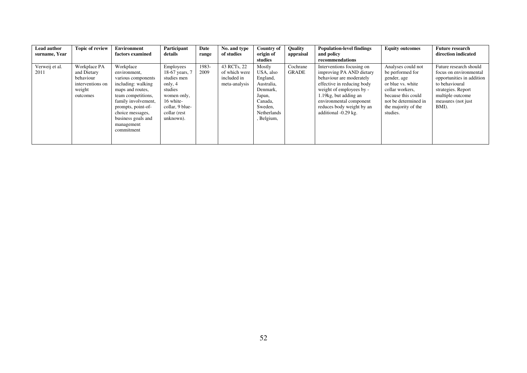| Lead author<br>surname, Year | <b>Topic of review</b>                                                             | <b>Environment</b><br>factors examined                                                                                                                                                                                             | Participant<br>details                                                                                                                       | Date<br>range | No. and type<br>of studies                                   | Country of<br>origin of                                                                                                       | <b>Ouality</b><br>appraisal | <b>Population-level findings</b><br>and policy                                                                                                                                                                                                       | <b>Equity outcomes</b>                                                                                                                                                         | <b>Future research</b><br>direction indicated                                                                                                                            |
|------------------------------|------------------------------------------------------------------------------------|------------------------------------------------------------------------------------------------------------------------------------------------------------------------------------------------------------------------------------|----------------------------------------------------------------------------------------------------------------------------------------------|---------------|--------------------------------------------------------------|-------------------------------------------------------------------------------------------------------------------------------|-----------------------------|------------------------------------------------------------------------------------------------------------------------------------------------------------------------------------------------------------------------------------------------------|--------------------------------------------------------------------------------------------------------------------------------------------------------------------------------|--------------------------------------------------------------------------------------------------------------------------------------------------------------------------|
|                              |                                                                                    |                                                                                                                                                                                                                                    |                                                                                                                                              |               |                                                              | studies                                                                                                                       |                             | recommendations                                                                                                                                                                                                                                      |                                                                                                                                                                                |                                                                                                                                                                          |
| Verweij et al.<br>2011       | Workplace PA<br>and Dietary<br>behaviour<br>interventions on<br>weight<br>outcomes | Workplace<br>environment,<br>various components<br>including: walking<br>maps and routes,<br>team competitions,<br>family involvement,<br>prompts, point-of-<br>choice messages,<br>business goals and<br>management<br>commitment | Employees<br>18-67 years, 7<br>studies men<br>only, 4<br>studies<br>women only,<br>16 white-<br>collar, 9 blue-<br>collar (rest<br>unknown). | 1983-<br>2009 | 43 RCTs, 22<br>of which were<br>included in<br>meta-analysis | Mostly<br>USA, also<br>England,<br>Australia,<br>Denmark,<br>Japan,<br>Canada,<br>Sweden,<br><b>Netherlands</b><br>, Belgium, | Cochrane<br><b>GRADE</b>    | Interventions focusing on<br>improving PA AND dietary<br>behaviour are moderately<br>effective in reducing body<br>weight of employees by -<br>1.19kg, but adding an<br>environmental component<br>reduces body weight by an<br>additional -0.29 kg. | Analyses could not<br>be performed for<br>gender, age<br>or blue vs. white<br>collar workers.<br>because this could<br>not be determined in<br>the majority of the<br>studies. | Future research should<br>focus on environmental<br>opportunities in addition<br>to behavioural<br>strategies. Report<br>multiple outcome<br>measures (not just<br>BMI). |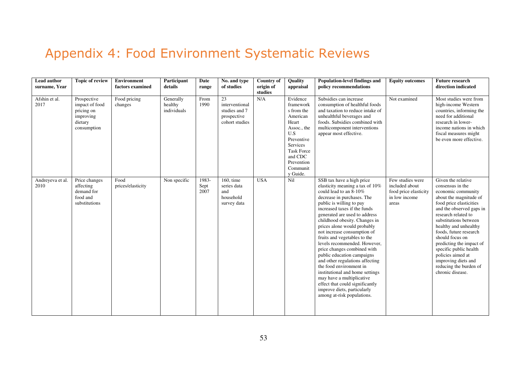# Appendix 4: Food Environment Systematic Reviews

| <b>Lead author</b><br>surname, Year | <b>Topic of review</b>                                                             | <b>Environment</b><br>factors examined | Participant<br>details              | Date<br>range         | No. and type<br>of studies                                             | <b>Country of</b><br>origin of<br>studies | Quality<br>appraisal                                                                                                                                                           | Population-level findings and<br>policy recommendations                                                                                                                                                                                                                                                                                                                                                                                                                                                                                                                                                                                                                     | <b>Equity outcomes</b>                                                                | <b>Future research</b><br>direction indicated                                                                                                                                                                                                                                                                                                                                                                       |
|-------------------------------------|------------------------------------------------------------------------------------|----------------------------------------|-------------------------------------|-----------------------|------------------------------------------------------------------------|-------------------------------------------|--------------------------------------------------------------------------------------------------------------------------------------------------------------------------------|-----------------------------------------------------------------------------------------------------------------------------------------------------------------------------------------------------------------------------------------------------------------------------------------------------------------------------------------------------------------------------------------------------------------------------------------------------------------------------------------------------------------------------------------------------------------------------------------------------------------------------------------------------------------------------|---------------------------------------------------------------------------------------|---------------------------------------------------------------------------------------------------------------------------------------------------------------------------------------------------------------------------------------------------------------------------------------------------------------------------------------------------------------------------------------------------------------------|
| Afshin et al.<br>2017               | Prospective<br>impact of food<br>pricing on<br>improving<br>dietary<br>consumption | Food pricing<br>changes                | Generally<br>healthy<br>individuals | From<br>1990          | 23<br>interventional<br>studies and 7<br>prospective<br>cohort studies | N/A                                       | Evidence<br>framework<br>s from the<br>American<br>Heart<br>Assoc., the<br>U.S<br>Preventive<br>Services<br><b>Task Force</b><br>and CDC<br>Prevention<br>Communit<br>y Guide. | Subsidies can increase<br>consumption of healthful foods<br>and taxation to reduce intake of<br>unhealthful beverages and<br>foods. Subsidies combined with<br>multicomponent interventions<br>appear most effective.                                                                                                                                                                                                                                                                                                                                                                                                                                                       | Not examined                                                                          | Most studies were from<br>high-income Western<br>countries, informing the<br>need for additional<br>research in lower-<br>income nations in which<br>fiscal measures might<br>be even more effective.                                                                                                                                                                                                               |
| Andreyeva et al.<br>2010            | Price changes<br>affecting<br>demand for<br>food and<br>substitutions              | Food<br>prices/elasticity              | Non specific                        | 1983-<br>Sept<br>2007 | $160$ , time<br>series data<br>and<br>household<br>survey data         | <b>USA</b>                                | Nil                                                                                                                                                                            | SSB tax have a high price<br>elasticity meaning a tax of 10%<br>could lead to an 8-10%<br>decrease in purchases. The<br>public is willing to pay<br>increased taxes if the funds<br>generated are used to address<br>childhood obesity. Changes in<br>prices alone would probably<br>not increase consumption of<br>fruits and vegetables to the<br>levels recommended. However,<br>price changes combined with<br>public education campaigns<br>and other regulations affecting<br>the food environment in<br>institutional and home settings<br>may have a multiplicative<br>effect that could significantly<br>improve diets, particularly<br>among at-risk populations. | Few studies were<br>included about<br>food price elasticity<br>in low income<br>areas | Given the relative<br>consensus in the<br>economic community<br>about the magnitude of<br>food price elasticities<br>and the observed gaps in<br>research related to<br>substitutions between<br>healthy and unhealthy<br>foods, future research<br>should focus on<br>predicting the impact of<br>specific public health<br>policies aimed at<br>improving diets and<br>reducing the burden of<br>chronic disease. |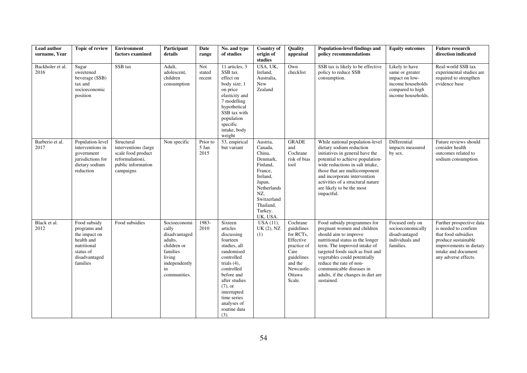| Lead author<br>surname, Year | <b>Topic of review</b>                                                                                               | <b>Environment</b><br>factors examined                                                                         | Participant<br>details                                                                                                        | Date<br>range             | No. and type<br>of studies                                                                                                                                                                                                                  | <b>Country of</b><br>origin of<br>studies                                                                                                                       | Quality<br>appraisal                                                                                                               | Population-level findings and<br>policy recommendations                                                                                                                                                                                                                                                                                | <b>Equity outcomes</b>                                                                                             | <b>Future research</b><br>direction indicated                                                                                                                            |
|------------------------------|----------------------------------------------------------------------------------------------------------------------|----------------------------------------------------------------------------------------------------------------|-------------------------------------------------------------------------------------------------------------------------------|---------------------------|---------------------------------------------------------------------------------------------------------------------------------------------------------------------------------------------------------------------------------------------|-----------------------------------------------------------------------------------------------------------------------------------------------------------------|------------------------------------------------------------------------------------------------------------------------------------|----------------------------------------------------------------------------------------------------------------------------------------------------------------------------------------------------------------------------------------------------------------------------------------------------------------------------------------|--------------------------------------------------------------------------------------------------------------------|--------------------------------------------------------------------------------------------------------------------------------------------------------------------------|
| Backholer et al.<br>2016     | Sugar<br>sweetened<br>beverage (SSB)<br>tax and<br>socioeconomic<br>position                                         | SSB tax                                                                                                        | Adult,<br>adolescent,<br>children<br>consumption                                                                              | Not<br>stated<br>recent   | 11 articles, 3<br>SSB tax<br>effect on<br>body size; 1<br>on price<br>elasticity and<br>7 modelling<br>hypothetical<br>SSB tax with<br>population<br>specific<br>intake, body<br>weight                                                     | USA, UK,<br>Ireland,<br>Australia,<br>New<br>Zealand                                                                                                            | Own<br>checklist                                                                                                                   | SSB tax is likely to be effective<br>policy to reduce SSB<br>consumption.                                                                                                                                                                                                                                                              | Likely to have<br>same or greater<br>impact on low-<br>income households<br>compared to high<br>income households. | Real-world SSB tax<br>experimental studies are<br>required to strengthen<br>evidence base                                                                                |
| Barberio et al.<br>2017      | Population-level<br>interventions in<br>government<br>jurisdictions for<br>dietary sodium<br>reduction               | Structural<br>interventions (large<br>scale food product<br>reformulation),<br>public information<br>campaigns | Non specific                                                                                                                  | Prior to<br>5 Jan<br>2015 | 53, empirical<br>but variant                                                                                                                                                                                                                | Austria,<br>Canada,<br>China,<br>Denmark,<br>Finland,<br>France,<br>Ireland,<br>Japan,<br>Netherlands<br>NZ,<br>Switzerland<br>Thailand,<br>Turkey,<br>UK, USA. | <b>GRADE</b><br>and<br>Cochrane<br>risk of bias<br>tool                                                                            | While national population-level<br>dietary sodium reduction<br>initiatives in general have the<br>potential to achieve population-<br>wide reductions in salt intake,<br>those that are multicomponent<br>and incorporate intervention<br>activities of a structural nature<br>are likely to be the most<br>impactful.                 | Differential<br>impacts measured<br>by sex.                                                                        | Future reviews should<br>consider health<br>outcomes related to<br>sodium consumption.                                                                                   |
| Black et al.<br>2012         | Food subsidy<br>programs and<br>the impact on<br>health and<br>nutritional<br>status of<br>disadvantaged<br>families | Food subsidies                                                                                                 | Socioeconomi<br>cally<br>disadvantaged<br>adults,<br>children or<br>families<br>living<br>independently<br>in<br>communities. | 1983-<br>2010             | Sixteen<br>articles<br>discussing<br>fourteen<br>studies, all<br>randomised<br>controlled<br>trials $(4)$ ,<br>controlled<br>before and<br>after studies<br>$(7)$ , or<br>interrupted<br>time series<br>analyses of<br>routine data<br>(3). | $\overline{USA}$ (11),<br>UK(2), NZ<br>(1)                                                                                                                      | Cochrane<br>guidelines<br>for RCTs,<br>Effective<br>practice of<br>Care<br>guidelines<br>and the<br>Newcastle-<br>Ottawa<br>Scale. | Food subsidy programmes for<br>pregnant women and children<br>should aim to improve<br>nutritional status in the longer<br>term. The improved intake of<br>targeted foods such as fruit and<br>vegetables could potentially<br>reduce the rate of non-<br>communicable diseases in<br>adults, if the changes in diet are<br>sustained. | Focused only on<br>socioeconomically<br>disadvantaged<br>individuals and<br>families.                              | Further prospective data<br>is needed to confirm<br>that food subsidies<br>produce sustainable<br>improvements in dietary<br>intake and document<br>any adverse effects. |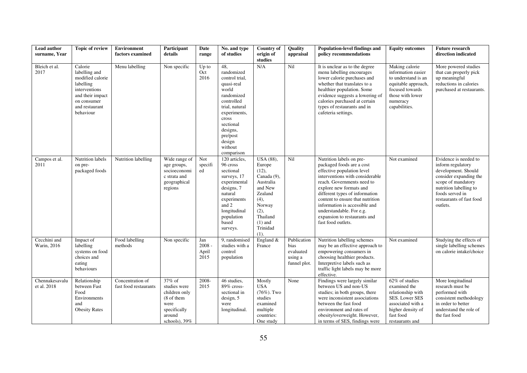| Lead author<br>surname. Year  | <b>Topic of review</b>                                                                                                                       | <b>Environment</b><br>factors examined    | Participant<br>details                                                                                      | Date<br>range                    | No. and type<br>of studies                                                                                                                                                                                | <b>Country of</b><br>origin of                                                                                                                        | Quality<br>appraisal                                        | <b>Population-level findings and</b><br>policy recommendations                                                                                                                                                                                                                                                                                                           | <b>Equity outcomes</b>                                                                                                                                 | <b>Future research</b><br>direction indicated                                                                                                                                                          |
|-------------------------------|----------------------------------------------------------------------------------------------------------------------------------------------|-------------------------------------------|-------------------------------------------------------------------------------------------------------------|----------------------------------|-----------------------------------------------------------------------------------------------------------------------------------------------------------------------------------------------------------|-------------------------------------------------------------------------------------------------------------------------------------------------------|-------------------------------------------------------------|--------------------------------------------------------------------------------------------------------------------------------------------------------------------------------------------------------------------------------------------------------------------------------------------------------------------------------------------------------------------------|--------------------------------------------------------------------------------------------------------------------------------------------------------|--------------------------------------------------------------------------------------------------------------------------------------------------------------------------------------------------------|
|                               |                                                                                                                                              |                                           |                                                                                                             |                                  |                                                                                                                                                                                                           | studies                                                                                                                                               |                                                             |                                                                                                                                                                                                                                                                                                                                                                          |                                                                                                                                                        |                                                                                                                                                                                                        |
| Bleich et al.<br>2017         | Calorie<br>labelling and<br>modified calorie<br>labelling<br>interventions<br>and their impact<br>on consumer<br>and restaurant<br>behaviour | Menu labelling                            | Non specific                                                                                                | $Up$ to<br>Oct<br>2016           | 48,<br>randomized<br>control trial,<br>quasi-real<br>world<br>randomized<br>controlled<br>trial, natural<br>experiments,<br>cross<br>sectional<br>designs,<br>pre/post<br>design<br>without<br>comparison | N/A                                                                                                                                                   | Nil                                                         | It is unclear as to the degree<br>menu labelling encourages<br>lower calorie purchases and<br>whether that translates to a<br>healthier population. Some<br>evidence suggests a lowering of<br>calories purchased at certain<br>types of restaurants and in<br>cafeteria settings.                                                                                       | Making calorie<br>information easier<br>to understand is an<br>equitable approach,<br>focused towards<br>those with lower<br>numeracy<br>capabilities. | More powered studies<br>that can properly pick<br>up meaningful<br>reductions in calories<br>purchased at restaurants.                                                                                 |
| Campos et al.<br>2011         | Nutrition labels<br>on pre-<br>packaged foods                                                                                                | Nutrition labelling                       | Wide range of<br>age groups,<br>socioeconomi<br>c strata and<br>geographical<br>regions                     | Not<br>specifi<br>ed             | $\overline{120}$ articles,<br>96 cross<br>sectional<br>surveys, 17<br>experimental<br>designs, 7<br>natural<br>experiments<br>and 2<br>longitudinal<br>population<br>based<br>surveys.                    | USA (88),<br>Europe<br>(12),<br>Canada (9),<br>Australia<br>and New<br>Zealand<br>(4),<br>Norway<br>(2),<br>Thailand<br>$(1)$ and<br>Trinidad<br>(1). | Nil                                                         | Nutrition labels on pre-<br>packaged foods are a cost<br>effective population level<br>interventions with considerable<br>reach. Governments need to<br>explore new formats and<br>different types of information<br>content to ensure that nutrition<br>information is accessible and<br>understandable. For e.g.<br>expansion to restaurants and<br>fast food outlets. | Not examined                                                                                                                                           | Evidence is needed to<br>inform regulatory<br>development. Should<br>consider expanding the<br>scope of mandatory<br>nutrition labelling to<br>foods served in<br>restaurants of fast food<br>outlets. |
| Cecchini and<br>Warin, 2016   | Impact of<br>labelling<br>systems on food<br>choices and<br>eating<br>behaviours                                                             | Food labelling<br>methods                 | Non specific                                                                                                | Jan<br>$2008 -$<br>April<br>2015 | 9, randomised<br>studies with a<br>control<br>population                                                                                                                                                  | England &<br>France                                                                                                                                   | Publication<br>bias<br>evaluated<br>using a<br>funnel plot. | Nutrition labelling schemes<br>may be an effective approach to<br>empowering consumers in<br>choosing healthier products.<br>Interpretive labels such as<br>traffic light labels may be more<br>effective.                                                                                                                                                               | Not examined                                                                                                                                           | Studying the effects of<br>single labelling schemes<br>on calorie intake/choice                                                                                                                        |
| Chennakesavalu<br>et al. 2018 | Relationship<br>between Fast<br>Food<br>Environments<br>and<br><b>Obesity Rates</b>                                                          | Concentration of<br>fast food restaurants | $37\%$ of<br>studies were<br>children only<br>(8 of them<br>were<br>specifically<br>around<br>schools), 39% | 2008-<br>2015                    | 46 studies,<br>89% cross-<br>sectional in<br>design, 5<br>were<br>longitudinal.                                                                                                                           | Mostly<br><b>USA</b><br>$(76\%)$ . Two<br>studies<br>examined<br>multiple<br>countries:<br>One study                                                  | None                                                        | Findings were largely similar<br>between US and non-US<br>studies; in both groups, there<br>were inconsistent associations<br>between the fast food<br>environment and rates of<br>obesity/overweight. However,<br>in terms of SES, findings were                                                                                                                        | 62% of studies<br>examined the<br>relationship with<br>SES. Lower SES<br>associated with a<br>higher density of<br>fast food<br>restaurants and        | More longitudinal<br>research must be<br>performed with<br>consistent methodology<br>in order to better<br>understand the role of<br>the fast food                                                     |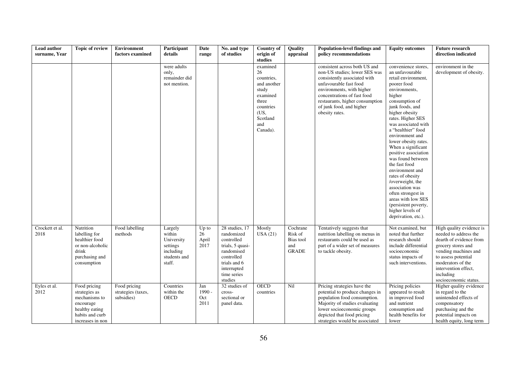| Lead author<br>surname, Year | <b>Topic of review</b>                                                                                               | Environment<br>factors examined                  | Participant<br>details                                                             | Date<br>range                  | No. and type<br>of studies                                                                                                                          | <b>Country of</b><br>origin of                                                                                                           | Quality<br>appraisal                                    | Population-level findings and<br>policy recommendations                                                                                                                                                                                                               | <b>Equity outcomes</b>                                                                                                                                                                                                                                                                                                                                                                                                                                                                                                                                       | <b>Future research</b><br>direction indicated                                                                                                                                                                                        |
|------------------------------|----------------------------------------------------------------------------------------------------------------------|--------------------------------------------------|------------------------------------------------------------------------------------|--------------------------------|-----------------------------------------------------------------------------------------------------------------------------------------------------|------------------------------------------------------------------------------------------------------------------------------------------|---------------------------------------------------------|-----------------------------------------------------------------------------------------------------------------------------------------------------------------------------------------------------------------------------------------------------------------------|--------------------------------------------------------------------------------------------------------------------------------------------------------------------------------------------------------------------------------------------------------------------------------------------------------------------------------------------------------------------------------------------------------------------------------------------------------------------------------------------------------------------------------------------------------------|--------------------------------------------------------------------------------------------------------------------------------------------------------------------------------------------------------------------------------------|
|                              |                                                                                                                      |                                                  | were adults<br>only,<br>remainder did<br>not mention.                              |                                |                                                                                                                                                     | studies<br>examined<br>26<br>countries.<br>and another<br>study<br>examined<br>three<br>countries<br>(US,<br>Scotland<br>and<br>Canada). |                                                         | consistent across both US and<br>non-US studies; lower SES was<br>consistently associated with<br>unfavourable fast food<br>environments, with higher<br>concentrations of fast food<br>restaurants, higher consumption<br>of junk food, and higher<br>obesity rates. | convenience stores,<br>an unfavourable<br>retail environment,<br>poorer food<br>environments,<br>higher<br>consumption of<br>junk foods, and<br>higher obesity<br>rates. Higher SES<br>was associated with<br>a "healthier" food<br>environment and<br>lower obesity rates.<br>When a significant<br>positive association<br>was found between<br>the fast food<br>environment and<br>rates of obesity<br>/overweight, the<br>association was<br>often strongest in<br>areas with low SES<br>(persistent poverty,<br>higher levels of<br>deprivation, etc.). | environment in the<br>development of obesity.                                                                                                                                                                                        |
| Crockett et al.<br>2018      | Nutrition<br>labelling for<br>healthier food<br>or non-alcoholic<br>drink<br>purchasing and<br>consumption           | Food labelling<br>methods                        | Largely<br>within<br>University<br>settings<br>including<br>students and<br>staff. | Up to<br>26<br>April<br>2017   | 28 studies, 17<br>randomized<br>controlled<br>trials, 5 quasi-<br>randomised<br>controlled<br>trials and 6<br>interrupted<br>time series<br>studies | Mostly<br>USA(21)                                                                                                                        | Cochrane<br>Risk of<br>Bias tool<br>and<br><b>GRADE</b> | Tentatively suggests that<br>nutrition labelling on menus in<br>restaurants could be used as<br>part of a wider set of measures<br>to tackle obesity.                                                                                                                 | Not examined, but<br>noted that further<br>research should<br>include differential<br>socioeconomic<br>status impacts of<br>such interventions.                                                                                                                                                                                                                                                                                                                                                                                                              | High quality evidence is<br>needed to address the<br>dearth of evidence from<br>grocery stores and<br>vending machines and<br>to assess potential<br>moderators of the<br>intervention effect,<br>including<br>socioeconomic status. |
| Eyles et al.<br>2012         | Food pricing<br>strategies as<br>mechanisms to<br>encourage<br>healthy eating<br>habits and curb<br>increases in non | Food pricing<br>strategies (taxes,<br>subsidies) | Countries<br>within the<br><b>OECD</b>                                             | Jan<br>$1990 -$<br>Oct<br>2011 | 32 studies of<br>cross-<br>sectional or<br>panel data.                                                                                              | <b>OECD</b><br>countries                                                                                                                 | Nil                                                     | Pricing strategies have the<br>potential to produce changes in<br>population food consumption.<br>Majority of studies evaluating<br>lower socioeconomic groups<br>depicted that food pricing<br>strategies would be associated                                        | Pricing policies<br>appeared to result<br>in improved food<br>and nutrient<br>consumption and<br>health benefits for<br>lower                                                                                                                                                                                                                                                                                                                                                                                                                                | Higher quality evidence<br>in regard to the<br>unintended effects of<br>compensatory<br>purchasing and the<br>potential impacts on<br>health equity, long term                                                                       |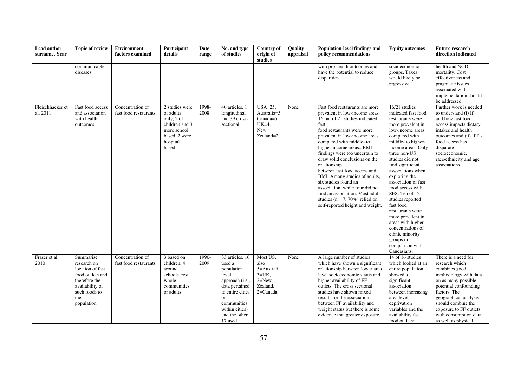| Lead author<br>surname, Year | <b>Topic of review</b>                                                                                                                     | Environment<br>factors examined           | Participant<br>details                                                                                            | Date<br>range | No. and type<br>of studies                                                                                                                                                          | <b>Country of</b><br>origin of<br>studies                                         | Quality<br>appraisal | Population-level findings and<br>policy recommendations                                                                                                                                                                                                                                                                                                                                                                                                                                                                                                     | <b>Equity outcomes</b>                                                                                                                                                                                                                                                                                                                                                                                                                                                                                         | <b>Future research</b><br>direction indicated                                                                                                                                                                                                                            |
|------------------------------|--------------------------------------------------------------------------------------------------------------------------------------------|-------------------------------------------|-------------------------------------------------------------------------------------------------------------------|---------------|-------------------------------------------------------------------------------------------------------------------------------------------------------------------------------------|-----------------------------------------------------------------------------------|----------------------|-------------------------------------------------------------------------------------------------------------------------------------------------------------------------------------------------------------------------------------------------------------------------------------------------------------------------------------------------------------------------------------------------------------------------------------------------------------------------------------------------------------------------------------------------------------|----------------------------------------------------------------------------------------------------------------------------------------------------------------------------------------------------------------------------------------------------------------------------------------------------------------------------------------------------------------------------------------------------------------------------------------------------------------------------------------------------------------|--------------------------------------------------------------------------------------------------------------------------------------------------------------------------------------------------------------------------------------------------------------------------|
|                              | communicable<br>diseases.                                                                                                                  |                                           |                                                                                                                   |               |                                                                                                                                                                                     |                                                                                   |                      | with pro health outcomes and<br>have the potential to reduce<br>disparities.                                                                                                                                                                                                                                                                                                                                                                                                                                                                                | socioeconomic<br>groups. Taxes<br>would likely be<br>regressive.                                                                                                                                                                                                                                                                                                                                                                                                                                               | health and NCD<br>mortality. Cost<br>effectiveness and<br>pragmatic issues<br>associated with<br>implementation should<br>be addressed.                                                                                                                                  |
| Fleischhacker et<br>al. 2011 | Fast food access<br>and association<br>with health<br>outcomes                                                                             | Concentration of<br>fast food restaurants | 2 studies were<br>of adults<br>only, 2 of<br>children and 3<br>more school<br>based, 2 were<br>hospital<br>based. | 1998-<br>2008 | 40 articles, 1<br>longitudinal<br>and 39 cross-<br>sectional.                                                                                                                       | $USA = 25$<br>Australia=5<br>$Canada=5$ ,<br>$UK=4$ ,<br>New<br>Zealand=2         | None                 | Fast food restaurants are more<br>prevalent in low-income areas.<br>16 out of 21 studies indicated<br>fast<br>food restaurants were more<br>prevalent in low-income areas<br>compared with middle-to<br>higher-income areas BMI<br>findings were too uncertain to<br>draw solid conclusions on the<br>relationship<br>between fast food access and<br>BMI. Among studies of adults,<br>six studies found an<br>association, while four did not<br>find an association. Most adult<br>studies ( $n = 7,70\%$ ) relied on<br>self-reported height and weight. | 16/21 studies<br>indicated fast food<br>restaurants were<br>more prevalent in<br>low-income areas<br>compared with<br>middle- to higher-<br>income areas. Only<br>three non-US<br>studies did not<br>find significant<br>associations when<br>exploring the<br>association of fast<br>food access with<br>SES. Ten of 12<br>studies reported<br>fast food<br>restaurants were<br>more prevalent in<br>areas with higher<br>concentrations of<br>ethnic minority<br>groups in<br>comparison with<br>Caucasians. | Further work is needed<br>to understand (i) If<br>and how fast food<br>access impacts dietary<br>intakes and health<br>outcomes and (ii) If fast<br>food access has<br>disparate<br>socioeconomic,<br>race/ethnicity and age<br>associations.                            |
| Fraser et al.<br>2010        | Summarise<br>research on<br>location of fast<br>food outlets and<br>therefore the<br>availability of<br>such foods to<br>the<br>population | Concentration of<br>fast food restaurants | 3 based on<br>children, 4<br>around<br>schools, rest<br>whole<br>communities<br>or adults                         | 1990-<br>2009 | 33 articles, 16<br>used a<br>population<br>level<br>approach (i.e.,<br>data pertained<br>to entire cities<br><b>or</b><br>communities<br>within cities)<br>and the other<br>17 used | Most US,<br>also<br>5=Australia<br>$3=UK$ ,<br>$2 = New$<br>Zealand,<br>2=Canada. | None                 | A large number of studies<br>which have shown a significant<br>relationship between lower area<br>level socioeconomic status and<br>higher availability of FF<br>outlets. The cross sectional<br>studies have shown mixed<br>results for the association<br>between FF availability and<br>weight status but there is some<br>evidence that greater exposure                                                                                                                                                                                                | 14 of 16 studies<br>which looked at an<br>entire population<br>showed a<br>significant<br>association<br>between increasing<br>area level<br>deprivation<br>variables and the<br>availability fast<br>food outlets:                                                                                                                                                                                                                                                                                            | There is a need for<br>research which<br>combines good<br>methodology with data<br>on as many possible<br>potential confounding<br>factors. The<br>geographical analysis<br>should combine the<br>exposure to FF outlets<br>with consumption data<br>as well as physical |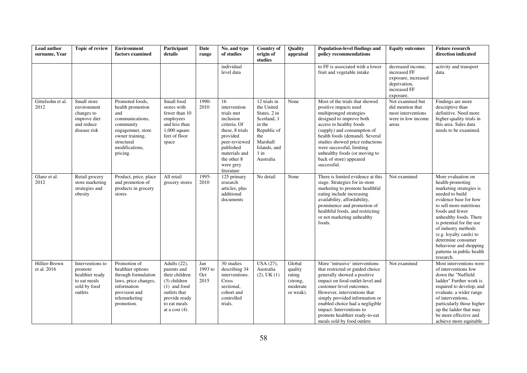| Lead author<br>surname, Year | <b>Topic of review</b>                                                                    | Environment<br>factors examined                                                                                                                                | Participant<br>details                                                                                                                                   | Date<br>range                 | No. and type<br>of studies                                                                                                                                                            | <b>Country of</b><br>origin of<br>studies                                                                                                    | Quality<br>appraisal                                             | <b>Population-level findings and</b><br>policy recommendations                                                                                                                                                                                                                                                                                                   | <b>Equity outcomes</b>                                                                                | <b>Future research</b><br>direction indicated                                                                                                                                                                                                                                                                                                                 |
|------------------------------|-------------------------------------------------------------------------------------------|----------------------------------------------------------------------------------------------------------------------------------------------------------------|----------------------------------------------------------------------------------------------------------------------------------------------------------|-------------------------------|---------------------------------------------------------------------------------------------------------------------------------------------------------------------------------------|----------------------------------------------------------------------------------------------------------------------------------------------|------------------------------------------------------------------|------------------------------------------------------------------------------------------------------------------------------------------------------------------------------------------------------------------------------------------------------------------------------------------------------------------------------------------------------------------|-------------------------------------------------------------------------------------------------------|---------------------------------------------------------------------------------------------------------------------------------------------------------------------------------------------------------------------------------------------------------------------------------------------------------------------------------------------------------------|
|                              |                                                                                           |                                                                                                                                                                |                                                                                                                                                          |                               | individual<br>level data                                                                                                                                                              |                                                                                                                                              |                                                                  | to FF is associated with a lower<br>fruit and vegetable intake                                                                                                                                                                                                                                                                                                   | decreased income,<br>increased FF<br>exposure, increased<br>deprivation,<br>increased FF<br>exposure. | activity and transport<br>data.                                                                                                                                                                                                                                                                                                                               |
| Gittelsohn et al.<br>2012    | Small store<br>environment<br>changes to<br>improve diet<br>and reduce<br>disease risk    | Promoted foods,<br>health promotion<br>and<br>communications,<br>community<br>engagemnet, store<br>owner training,<br>structural<br>modifications,<br>pricing. | Small food<br>stores with<br>fewer than 10<br>employees<br>and less than<br>$1,000$ square<br>feet of floor<br>space                                     | 1990-<br>2010                 | 16<br>intervention<br>trials met<br>inclusion<br>criteria. Of<br>these, 8 trials<br>provided<br>peer-reviewed<br>published<br>materials and<br>the other 8<br>were grey<br>literature | 12 trials in<br>the United<br>States, 2 in<br>Scotland, 1<br>in the<br>Republic of<br>the<br>Marshall<br>Islands, and<br>$1$ in<br>Australia | None                                                             | Most of the trials that showed<br>positive impacts used<br>multipronged strategies<br>designed to improve both<br>access to healthy foods<br>(supply) and consumption of<br>health foods (demand). Several<br>studies showed price reductions<br>were successful, limiting<br>unhealthy foods (or moving to<br>back of store) appeared<br>successful.            | Not examined but<br>did mention that<br>most interventions<br>were in low income<br>areas             | Findings are more<br>descriptive than<br>definitive. Need more<br>higher-quality trials in<br>this area. Sales data<br>needs to be examined.                                                                                                                                                                                                                  |
| Glanz et al.<br>2012         | Retail grocery<br>store marketing<br>strategies and<br>obesity                            | Product, price, place<br>and promotion of<br>products in grocery<br>stores                                                                                     | All retail<br>grocery stores                                                                                                                             | 1995-<br>2010                 | 125 primary<br>research<br>articles, plus<br>additional<br>documents                                                                                                                  | No detail                                                                                                                                    | None                                                             | There is limited evidence at this<br>stage. Strategies for in-store<br>marketing to promote healthful<br>eating include increasing<br>availability, affordability,<br>prominence and promotion of<br>healthful foods, and restricting<br>or not marketing unhealthy<br>foods.                                                                                    | Not examined                                                                                          | More evaluation on<br>health-promoting<br>marketing strategies is<br>needed to build<br>evidence base for how<br>to sell more-nutritious<br>foods and fewer<br>unhealthy foods. There<br>is potential for the use<br>of industry methods<br>(e.g. loyalty cards) to<br>determine consumer<br>behaviour and shopping<br>patterns in public health<br>research. |
| Hillier-Brown<br>et al. 2016 | Interventions to<br>promote<br>healthier ready<br>to eat meals<br>sold by food<br>outlets | Promotion of<br>healthier options<br>through formulation<br>laws, price changes,<br>information<br>provision and<br>telemarketing<br>promotion.                | Adults $(22)$ ,<br>parents and<br>their children<br>(3) children<br>$(1)$ and food<br>outlets that<br>provide ready<br>to eat meals<br>at a cost $(4)$ . | Jan<br>1993 to<br>Oct<br>2015 | 30 studies<br>describing 34<br>interventions.<br>Cross<br>sectional,<br>cohort and<br>controlled<br>trials.                                                                           | USA (27),<br>Australia<br>$(2)$ , UK $(1)$                                                                                                   | Global<br>quality<br>rating<br>(strong,<br>moderate<br>or weak). | More 'intrusive' interventions<br>that restricted or guided choice<br>generally showed a positive<br>impact on food-outlet-level and<br>customer-level outcomes.<br>However, interventions that<br>simply provided information or<br>enabled choice had a negligible<br>impact. Interventions to<br>promote healthier ready-to-eat<br>meals sold by food outlets | Not examined                                                                                          | Most interventions were<br>of interventions low<br>down the "Nuffield<br>ladder" Further work is<br>required to develop, and<br>evaluate, a wider range<br>of interventions.<br>particularly those higher<br>up the ladder that may<br>be more effective and<br>achieve more equitable                                                                        |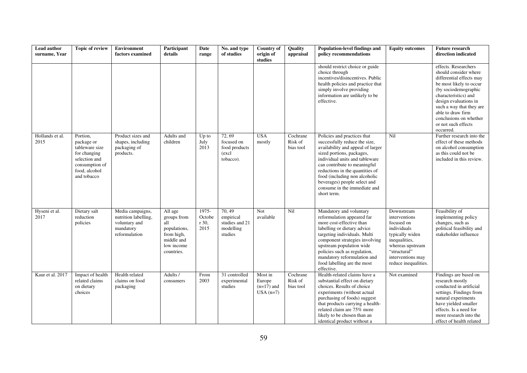| Lead author<br>surname, Year | <b>Topic of review</b>                                                                                                      | <b>Environment</b><br>factors examined                                                  | Participant<br>details                                                                                | Date<br>range                    | No. and type<br>of studies                                   | <b>Country of</b><br>origin of<br>studies       | Quality<br>appraisal             | Population-level findings and<br>policy recommendations                                                                                                                                                                                                                                                                                             | <b>Equity outcomes</b>                                                                                                                                                        | <b>Future research</b><br>direction indicated                                                                                                                                                                                                                                                |
|------------------------------|-----------------------------------------------------------------------------------------------------------------------------|-----------------------------------------------------------------------------------------|-------------------------------------------------------------------------------------------------------|----------------------------------|--------------------------------------------------------------|-------------------------------------------------|----------------------------------|-----------------------------------------------------------------------------------------------------------------------------------------------------------------------------------------------------------------------------------------------------------------------------------------------------------------------------------------------------|-------------------------------------------------------------------------------------------------------------------------------------------------------------------------------|----------------------------------------------------------------------------------------------------------------------------------------------------------------------------------------------------------------------------------------------------------------------------------------------|
|                              |                                                                                                                             |                                                                                         |                                                                                                       |                                  |                                                              |                                                 |                                  | should restrict choice or guide<br>choice through<br>incentives/disincentives. Public<br>health policies and practice that<br>simply involve providing<br>information are unlikely to be<br>effective.                                                                                                                                              |                                                                                                                                                                               | effects. Researchers<br>should consider where<br>differential effects may<br>be most likely to occur<br>(by sociodemographic<br>characteristics) and<br>design evaluations in<br>such a way that they are<br>able to draw firm<br>conclusions on whether<br>or not such effects<br>occurred. |
| Hollands et al.<br>2015      | Portion.<br>package or<br>tableware size<br>for changing<br>selection and<br>consumption of<br>food, alcohol<br>and tobacco | Product sizes and<br>shapes, including<br>packaging of<br>products.                     | Adults and<br>children                                                                                | $Up$ to<br>July<br>2013          | 72,69<br>focused on<br>food products<br>(excl<br>tobacco).   | <b>USA</b><br>mostly                            | Cochrane<br>Risk of<br>bias tool | Policies and practices that<br>successfully reduce the size,<br>availability and appeal of larger<br>sized portions, packages,<br>individual units and tableware<br>can contribute to meaningful<br>reductions in the quantities of<br>food (including non alcoholic<br>beverages) people select and<br>consume in the immediate and<br>short term. | Nil                                                                                                                                                                           | Further research into the<br>effect of these methods<br>on alcohol consumption<br>as this could not be<br>included in this review.                                                                                                                                                           |
| Hyseni et al.<br>2017        | Dietary salt<br>reduction<br>policies                                                                                       | Media campaigns,<br>nutrition labelling,<br>voluntary and<br>mandatory<br>reformulation | All age<br>groups from<br>all<br>populations,<br>from high,<br>middle and<br>low income<br>countries. | 1975-<br>Octobe<br>r 30,<br>2015 | 70.49<br>empirical<br>studies and 21<br>modelling<br>studies | Not<br>available                                | Nil                              | Mandatory and voluntary<br>reformulation appeared far<br>more cost-effective than<br>labelling or dietary advice<br>targeting individuals. Multi<br>component strategies involving<br>upstream population wide<br>policies such as regulation,<br>mandatory reformulation and<br>food labelling are the most<br>effective.                          | Downstream<br>interventions<br>focused on<br>individuals<br>typically widen<br>inequalities,<br>whereas upstream<br>"structural"<br>interventions may<br>reduce inequalities. | Feasibility of<br>implementing policy<br>changes, such as<br>political feasibility and<br>stakeholder influence                                                                                                                                                                              |
| Kaur et al. 2017             | Impact of health<br>related claims<br>on dietary<br>choices                                                                 | Health related<br>claims on food<br>packaging                                           | Adults /<br>consumers                                                                                 | From<br>2003                     | 31 controlled<br>experimental<br>studies                     | Most in<br>Europe<br>$(n=17)$ and<br>$USA(n=7)$ | Cochrane<br>Risk of<br>bias tool | Health-related claims have a<br>substantial effect on dietary<br>choices. Results of choice<br>experiments (without actual<br>purchasing of foods) suggest<br>that products carrying a health-<br>related claim are 75% more<br>likely to be chosen than an<br>identical product without a                                                          | Not examined                                                                                                                                                                  | Findings are based on<br>research mostly<br>conducted in artificial<br>settings. Findings from<br>natural experiments<br>have yielded smaller<br>effects. Is a need for<br>more research into the<br>effect of health related                                                                |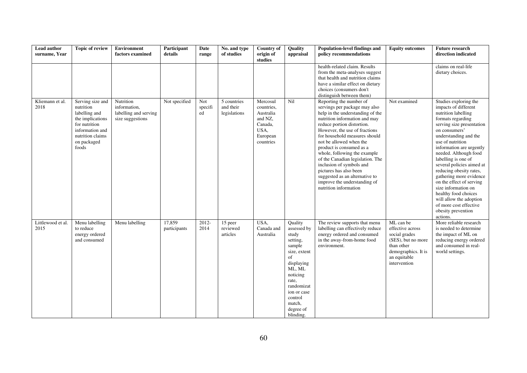| Lead author<br>surname, Year | <b>Topic of review</b>                                                                                                                             | <b>Environment</b><br>factors examined                                 | Participant<br>details | Date<br>range        | No. and type<br>of studies               | <b>Country of</b><br>origin of<br>studies                                                  | Quality<br>appraisal                                                                                                                                                                                 | Population-level findings and<br>policy recommendations                                                                                                                                                                                                                                                                                                                                                                                                                                                   | <b>Equity outcomes</b>                                                                                                                    | <b>Future research</b><br>direction indicated                                                                                                                                                                                                                                                                                                                                                                                                                                                                         |
|------------------------------|----------------------------------------------------------------------------------------------------------------------------------------------------|------------------------------------------------------------------------|------------------------|----------------------|------------------------------------------|--------------------------------------------------------------------------------------------|------------------------------------------------------------------------------------------------------------------------------------------------------------------------------------------------------|-----------------------------------------------------------------------------------------------------------------------------------------------------------------------------------------------------------------------------------------------------------------------------------------------------------------------------------------------------------------------------------------------------------------------------------------------------------------------------------------------------------|-------------------------------------------------------------------------------------------------------------------------------------------|-----------------------------------------------------------------------------------------------------------------------------------------------------------------------------------------------------------------------------------------------------------------------------------------------------------------------------------------------------------------------------------------------------------------------------------------------------------------------------------------------------------------------|
|                              |                                                                                                                                                    |                                                                        |                        |                      |                                          |                                                                                            |                                                                                                                                                                                                      | health-related claim. Results<br>from the meta-analyses suggest<br>that health and nutrition claims<br>have a similar effect on dietary<br>choices (consumers don't<br>distinguish between them)                                                                                                                                                                                                                                                                                                          |                                                                                                                                           | claims on real-life<br>dietary choices.                                                                                                                                                                                                                                                                                                                                                                                                                                                                               |
| Kliemann et al.<br>2018      | Serving size and<br>nutrition<br>labelling and<br>the implications<br>for nutrition<br>information and<br>nutrition claims<br>on packaged<br>foods | Nutrition<br>information,<br>labelling and serving<br>size suggestions | Not specified          | Not<br>specifi<br>ed | 5 countries<br>and their<br>legislations | Mercosul<br>countries,<br>Australia<br>and NZ.<br>Canada,<br>USA,<br>European<br>countries | Nil                                                                                                                                                                                                  | Reporting the number of<br>servings per package may also<br>help in the understanding of the<br>nutrition information and may<br>reduce portion distortion.<br>However, the use of fractions<br>for household measures should<br>not be allowed when the<br>product is consumed as a<br>whole, following the example<br>of the Canadian legislation. The<br>inclusion of symbols and<br>pictures has also been<br>suggested as an alternative to<br>improve the understanding of<br>nutrition information | Not examined                                                                                                                              | Studies exploring the<br>impacts of different<br>nutrition labelling<br>formats regarding<br>serving size presentation<br>on consumers'<br>understanding and the<br>use of nutrition<br>information are urgently<br>needed. Although food<br>labelling is one of<br>several policies aimed at<br>reducing obesity rates,<br>gathering more evidence<br>on the effect of serving<br>size information on<br>healthy food choices<br>will allow the adoption<br>of more cost effective<br>obesity prevention<br>actions. |
| Littlewood et al.<br>2015    | Menu labelling<br>to reduce<br>energy ordered<br>and consumed                                                                                      | Menu labelling                                                         | 17,859<br>participants | 2012-<br>2014        | 15 peer<br>reviewed<br>articles          | USA,<br>Canada and<br>Australia                                                            | Quality<br>assessed by<br>study<br>setting,<br>sample<br>size, extent<br>of<br>displaying<br>ML, ML<br>noticing<br>rate,<br>randomizat<br>ion or case<br>control<br>match,<br>degree of<br>blinding. | The review supports that menu<br>labelling can effectively reduce<br>energy ordered and consumed<br>in the away-from-home food<br>environment.                                                                                                                                                                                                                                                                                                                                                            | ML can be<br>effective across<br>social grades<br>(SES), but no more<br>than other<br>demographics. It is<br>an equitable<br>intervention | More reliable research<br>is needed to determine<br>the impact of ML on<br>reducing energy ordered<br>and consumed in real-<br>world settings.                                                                                                                                                                                                                                                                                                                                                                        |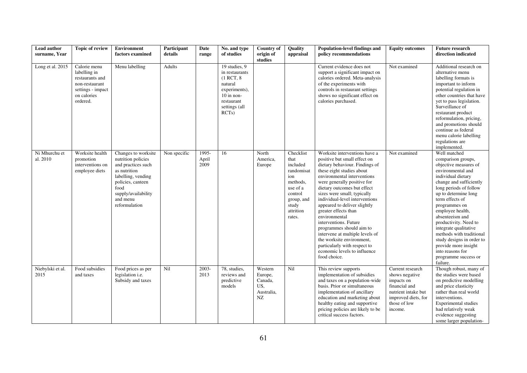| Lead author<br>surname, Year | Topic of review                                                                                                   | <b>Environment</b><br>factors examined                                                                                                                                                 | Participant<br>details | Date<br>range          | No. and type<br>of studies                                                                                                              | <b>Country of</b><br>origin of<br>studies                | Quality<br>appraisal                                                                                                                | Population-level findings and<br>policy recommendations                                                                                                                                                                                                                                                                                                                                                                                                                                                                                                                  | <b>Equity outcomes</b>                                                                                                                     | <b>Future research</b><br>direction indicated                                                                                                                                                                                                                                                                                                                                                                                                             |
|------------------------------|-------------------------------------------------------------------------------------------------------------------|----------------------------------------------------------------------------------------------------------------------------------------------------------------------------------------|------------------------|------------------------|-----------------------------------------------------------------------------------------------------------------------------------------|----------------------------------------------------------|-------------------------------------------------------------------------------------------------------------------------------------|--------------------------------------------------------------------------------------------------------------------------------------------------------------------------------------------------------------------------------------------------------------------------------------------------------------------------------------------------------------------------------------------------------------------------------------------------------------------------------------------------------------------------------------------------------------------------|--------------------------------------------------------------------------------------------------------------------------------------------|-----------------------------------------------------------------------------------------------------------------------------------------------------------------------------------------------------------------------------------------------------------------------------------------------------------------------------------------------------------------------------------------------------------------------------------------------------------|
| Long et al. 2015             | Calorie menu<br>labelling in<br>restaurants and<br>non-restaurant<br>settings - impact<br>on calories<br>ordered. | Menu labelling                                                                                                                                                                         | Adults                 |                        | 19 studies, 9<br>in restaurants<br>$(1$ RCT, $8$<br>natural<br>experiments),<br>$10$ in non-<br>restaurant<br>settings (all<br>$RCTs$ ) |                                                          |                                                                                                                                     | Current evidence does not<br>support a significant impact on<br>calories ordered. Meta-analysis<br>of the experiments with<br>controls in restaurant settings<br>shows no significant effect on<br>calories purchased.                                                                                                                                                                                                                                                                                                                                                   | Not examined                                                                                                                               | Additional research on<br>alternative menu<br>labelling formats is<br>important to inform<br>potential regulation in<br>other countries that have<br>yet to pass legislation.<br>Surveillance of<br>restaurant product<br>reformulation, pricing,<br>and promotions should<br>continue as federal<br>menu calorie labelling<br>regulations are<br>implemented.                                                                                            |
| Ni Mhurchu et<br>al. 2010    | Worksite health<br>promotion<br>interventions on<br>employee diets                                                | Changes to worksite<br>nutrition policies<br>and practices such<br>as nutrition<br>labelling, vending<br>policies, canteen<br>food<br>supply/availability<br>and menu<br>reformulation | Non specific           | 1995-<br>April<br>2009 | 16                                                                                                                                      | North<br>America,<br>Europe                              | Checklist<br>that<br>included<br>randomisat<br>ion<br>methods.<br>use of a<br>control<br>group, and<br>study<br>attrition<br>rates. | Worksite interventions have a<br>positive but small effect on<br>dietary behaviour. Findings of<br>these eight studies about<br>environmental interventions<br>were generally positive for<br>dietary outcomes but effect<br>sizes were small; typically<br>individual-level interventions<br>appeared to deliver slightly<br>greater effects than<br>environmental<br>interventions. Future<br>programmes should aim to<br>intervene at multiple levels of<br>the worksite environment,<br>particularly with respect to<br>economic levels to influence<br>food choice. | Not examined                                                                                                                               | Well matched<br>comparison groups,<br>objective measures of<br>environmental and<br>individual dietary<br>change and sufficiently<br>long periods of follow<br>up to determine long<br>term effects of<br>programmes on<br>employee health,<br>absenteeism and<br>productivity. Need to<br>integrate qualitative<br>methods with traditional<br>study designs in order to<br>provide more insight<br>into reasons for<br>programme success or<br>failure. |
| Niebylski et al.<br>2015     | Food subsidies<br>and taxes                                                                                       | Food prices as per<br>legislation <i>i.e.</i><br>Subsidy and taxes                                                                                                                     | Nil                    | $2003 -$<br>2013       | 78, studies,<br>reviews and<br>predictive<br>models                                                                                     | Western<br>Europe,<br>Canada,<br>US.<br>Australia,<br>NZ | Nil                                                                                                                                 | This review supports<br>implementation of subsidies<br>and taxes on a population-wide<br>basis. Prior or simultaneous<br>implementation of ancillary<br>education and marketing about<br>healthy eating and supportive<br>pricing policies are likely to be<br>critical success factors.                                                                                                                                                                                                                                                                                 | Current research<br>shows negative<br>impacts on<br>financial and<br>nutrient intake but<br>improved diets, for<br>those of low<br>income. | Though robust, many of<br>the studies were based<br>on predictive modelling<br>and price elasticity<br>rather than real world<br>interventions.<br>Experimental studies<br>had relatively weak<br>evidence suggesting<br>some larger population-                                                                                                                                                                                                          |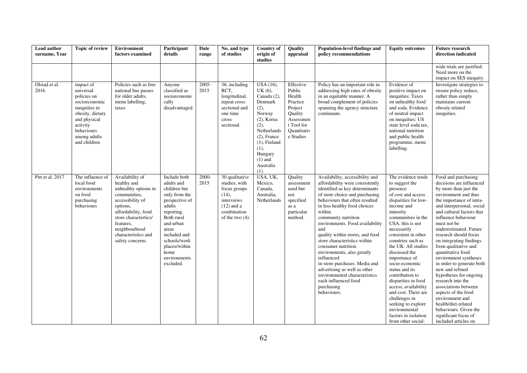| Lead author<br>surname, Year | <b>Topic of review</b>                                                                                                                                                | <b>Environment</b><br>factors examined                                                                                                                                                                                        | Participant<br>details                                                                                                                                                                                                          | Date<br>range | No. and type<br>of studies                                                                                                     | Country of<br>origin of<br>studies                                                                                                                                                                | Quality<br>appraisal                                                                                                   | Population-level findings and<br>policy recommendations                                                                                                                                                                                                                                                                                                                                                                                                                                                                                                                         | <b>Equity outcomes</b>                                                                                                                                                                                                                                                                                                                                                                                                                                                                                                    | <b>Future research</b><br>direction indicated                                                                                                                                                                                                                                                                                                                                                                                                                                                                                                                                                                                                     |
|------------------------------|-----------------------------------------------------------------------------------------------------------------------------------------------------------------------|-------------------------------------------------------------------------------------------------------------------------------------------------------------------------------------------------------------------------------|---------------------------------------------------------------------------------------------------------------------------------------------------------------------------------------------------------------------------------|---------------|--------------------------------------------------------------------------------------------------------------------------------|---------------------------------------------------------------------------------------------------------------------------------------------------------------------------------------------------|------------------------------------------------------------------------------------------------------------------------|---------------------------------------------------------------------------------------------------------------------------------------------------------------------------------------------------------------------------------------------------------------------------------------------------------------------------------------------------------------------------------------------------------------------------------------------------------------------------------------------------------------------------------------------------------------------------------|---------------------------------------------------------------------------------------------------------------------------------------------------------------------------------------------------------------------------------------------------------------------------------------------------------------------------------------------------------------------------------------------------------------------------------------------------------------------------------------------------------------------------|---------------------------------------------------------------------------------------------------------------------------------------------------------------------------------------------------------------------------------------------------------------------------------------------------------------------------------------------------------------------------------------------------------------------------------------------------------------------------------------------------------------------------------------------------------------------------------------------------------------------------------------------------|
|                              |                                                                                                                                                                       |                                                                                                                                                                                                                               |                                                                                                                                                                                                                                 |               |                                                                                                                                |                                                                                                                                                                                                   |                                                                                                                        |                                                                                                                                                                                                                                                                                                                                                                                                                                                                                                                                                                                 |                                                                                                                                                                                                                                                                                                                                                                                                                                                                                                                           | wide trials are justified.<br>Need more on the<br>impact on SES inequity.                                                                                                                                                                                                                                                                                                                                                                                                                                                                                                                                                                         |
| Olstad et al.<br>2016        | impact of<br>universal<br>policies on<br>socioeconomic<br>inequities in<br>obesity, dietary<br>and physical<br>activity<br>behaviours<br>among adults<br>and children | Policies such as free<br>national bus passes<br>for older adults,<br>menu labelling,<br>taxes                                                                                                                                 | Anyone<br>classified as<br>socioeconomi<br>cally<br>disadvantaged                                                                                                                                                               | 2005-<br>2015 | 36, including<br>RCT,<br>longitudinal,<br>repeat cross<br>sectional and<br>one time<br>cross<br>sectional.                     | USA (16),<br>UK(6),<br>Canada (2),<br>Denmark<br>(2),<br>Norway<br>$(2)$ , Korea<br>(2),<br>Netherlands<br>$(2)$ , France<br>$(1)$ , Finland<br>(1),<br>Hungary<br>$(1)$ and<br>Australia<br>(1). | Effective<br>Public<br>Health<br>Practice<br>Project<br>Ouality<br>Assessmen<br>t Tool for<br>Ouantitativ<br>e Studies | Policy has an important role in<br>addressing high rates of obesity<br>in an equitable manner. A<br>broad complement of policies<br>spanning the agency structure<br>continuum.                                                                                                                                                                                                                                                                                                                                                                                                 | Evidence of<br>positive impact on<br>inequities: Taxes<br>on unhealthy food<br>and soda. Evidence<br>of neutral impact<br>on inequities: US<br>state level soda tax,<br>national nutrition<br>and public health<br>programme, menu<br>labelling.                                                                                                                                                                                                                                                                          | Investigate strategies to<br>ensure policy reduce,<br>rather than simply<br>maintains current<br>obesity related<br>inequities.                                                                                                                                                                                                                                                                                                                                                                                                                                                                                                                   |
| Pitt et al. 2017             | The influence of<br>local food<br>environments<br>on food<br>purchasing<br>behaviours                                                                                 | Availability of<br>healthy and<br>unhealthy options in<br>communities,<br>accessibility of<br>options,<br>affordability, food<br>store charactertics/<br>features,<br>neighbourhood<br>characteristics and<br>safety concerns | Include both<br>adults and<br>children but<br>only from the<br>perspective of<br>adults<br>reporting.<br>Both rural<br>and urban<br>areas<br>included and<br>schools/work<br>places/within<br>home<br>environments<br>excluded. | 2000-<br>2015 | 30 qualitative<br>studies, with<br>focus groups<br>$(14)$ ,<br>interviews<br>$(12)$ and a<br>combination<br>of the two $(4)$ . | USA, UK,<br>Mexico,<br>Canada,<br>Australia,<br>Netherlands                                                                                                                                       | Quality<br>assessment<br>used but<br>not<br>specified<br>as a<br>particular<br>method.                                 | Availability, accessibility and<br>affordability were consistently<br>identified as key determinants<br>of store choice and purchasing<br>behaviours that often resulted<br>in less healthy food choices<br>within<br>community nutrition<br>environments. Food availability<br>and<br>quality within stores, and food<br>store characteristics within<br>consumer nutrition<br>environments, also greatly<br>influenced<br>in-store purchases. Media and<br>advertising as well as other<br>environmental characteristics<br>each influenced food<br>purchasing<br>behaviours. | The evidence tends<br>to suggest the<br>presence<br>of cost and access<br>disparities for low-<br>income and<br>minority<br>communities in the<br>USA, this is not<br>necessarily<br>consistent in other<br>countries such as<br>the UK. All studies<br>discussed the<br>importance of<br>socio-economic<br>status and its<br>contribution to<br>disparities in food<br>access, availability<br>and cost. There are<br>challenges in<br>seeking to explore<br>environmental<br>factors in isolation<br>from other social- | Food and purchasing<br>decisions are influenced<br>by more than just the<br>environment and thus<br>the importance of intra-<br>and interpersonal, social<br>and cultural factors that<br>influence behaviour<br>must not be<br>underestimated. Future<br>research should focus<br>on integrating findings<br>from qualitative and<br>quantitative food<br>environment syntheses<br>in order to generate both<br>new and refined<br>hypotheses for ongoing<br>research into the<br>associations between<br>aspects of the food<br>environment and<br>health/diet-related<br>behaviours. Given the<br>significant focus of<br>included articles on |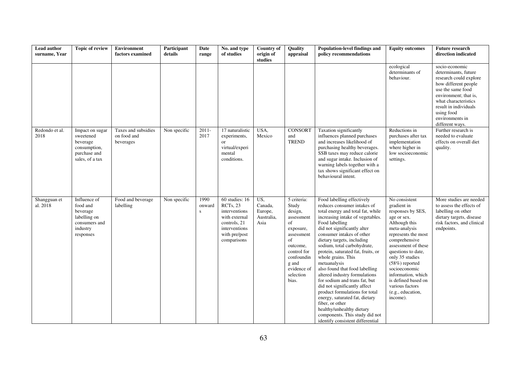| Lead author<br>surname, Year | <b>Topic of review</b>                                                                         | <b>Environment</b><br>factors examined          | Participant<br>details | <b>Date</b><br>range           | No. and type<br>of studies                                                                                                    | Country of<br>origin of<br>studies              | Quality<br>appraisal                                                                                                                                                        | <b>Population-level findings and</b><br>policy recommendations                                                                                                                                                                                                                                                                                                                                                                                                                                                                                                                                                                                                                          | <b>Equity outcomes</b>                                                                                                                                                                                                                                                                                                                           | <b>Future research</b><br>direction indicated                                                                                                                                                                                               |
|------------------------------|------------------------------------------------------------------------------------------------|-------------------------------------------------|------------------------|--------------------------------|-------------------------------------------------------------------------------------------------------------------------------|-------------------------------------------------|-----------------------------------------------------------------------------------------------------------------------------------------------------------------------------|-----------------------------------------------------------------------------------------------------------------------------------------------------------------------------------------------------------------------------------------------------------------------------------------------------------------------------------------------------------------------------------------------------------------------------------------------------------------------------------------------------------------------------------------------------------------------------------------------------------------------------------------------------------------------------------------|--------------------------------------------------------------------------------------------------------------------------------------------------------------------------------------------------------------------------------------------------------------------------------------------------------------------------------------------------|---------------------------------------------------------------------------------------------------------------------------------------------------------------------------------------------------------------------------------------------|
|                              |                                                                                                |                                                 |                        |                                |                                                                                                                               |                                                 |                                                                                                                                                                             |                                                                                                                                                                                                                                                                                                                                                                                                                                                                                                                                                                                                                                                                                         | ecological<br>determinants of<br>behaviour.                                                                                                                                                                                                                                                                                                      | socio-economic<br>determinants, future<br>research could explore<br>how different people<br>use the same food<br>environment; that is,<br>what characteristics<br>result in individuals<br>using food<br>environments in<br>different ways. |
| Redondo et al.<br>2018       | Impact on sugar<br>sweetened<br>beverage<br>consumption,<br>purchase and<br>sales, of a tax    | Taxes and subsidies<br>on food and<br>beverages | Non specific           | $2011 -$<br>2017               | 17 naturalistic<br>experiments,<br>or<br>virtual/experi<br>mental<br>conditions.                                              | USA,<br>Mexico                                  | <b>CONSORT</b><br>and<br><b>TREND</b>                                                                                                                                       | Taxation significantly<br>influences planned purchases<br>and increases likelihood of<br>purchasing healthy beverages.<br>SSB taxes may reduce calorie<br>and sugar intake. Inclusion of<br>warning labels together with a<br>tax shows significant effect on<br>behavioural intent.                                                                                                                                                                                                                                                                                                                                                                                                    | Reductions in<br>purchases after tax<br>implementation<br>where higher in<br>low socioeconomic<br>settings.                                                                                                                                                                                                                                      | Further research is<br>needed to evaluate<br>effects on overall diet<br>quality.                                                                                                                                                            |
| Shangguan et<br>al. 2018     | Influence of<br>food and<br>beverage<br>labelling on<br>consumers and<br>industry<br>responses | Food and beverage<br>labelling                  | Non specific           | 1990<br>onward<br>$\mathbf{s}$ | 60 studies: 16<br>RCTs, 23<br>interventions<br>with external<br>controls, 21<br>interventions<br>with pre/post<br>comparisons | US,<br>Canada,<br>Europe,<br>Australia,<br>Asia | 5 criteria:<br>Study<br>design,<br>assessment<br>of<br>exposure,<br>assessment<br>of<br>outcome,<br>control for<br>confoundin<br>g and<br>evidence of<br>selection<br>bias. | Food labelling effectively<br>reduces consumer intakes of<br>total energy and total fat, while<br>increasing intake of vegetables.<br>Food labelling<br>did not significantly alter<br>consumer intakes of other<br>dietary targets, including<br>sodium, total carbohydrate,<br>protein, saturated fat, fruits, or<br>whole grains. This<br>metaanalysis<br>also found that food labelling<br>altered industry formulations<br>for sodium and trans fat, but<br>did not significantly affect<br>product formulations for total<br>energy, saturated fat, dietary<br>fiber, or other<br>healthy/unhealthy dietary<br>components. This study did not<br>identify consistent differential | No consistent<br>gradient in<br>responses by SES,<br>age or sex.<br>Although this<br>meta-analysis<br>represents the most<br>comprehensive<br>assessment of these<br>questions to date,<br>only 35 studies<br>$(58%)$ reported<br>socioeconomic<br>information, which<br>is defined based on<br>various factors<br>(e.g., education,<br>income). | More studies are needed<br>to assess the effects of<br>labelling on other<br>dietary targets, disease<br>risk factors, and clinical<br>endpoints.                                                                                           |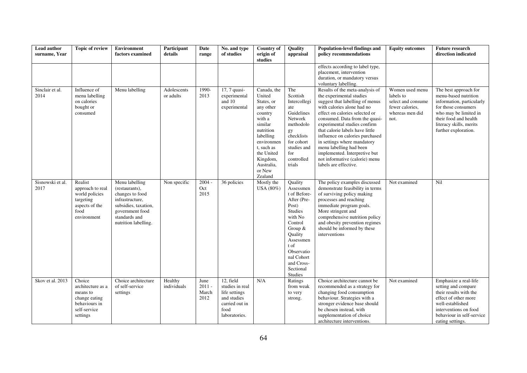| Lead author<br>surname. Year | <b>Topic of review</b>                                                                                | Environment<br>factors examined                                                                                                                            | Participant<br>details   | Date<br>range                     | No. and type<br>of studies                                                                              | <b>Country of</b><br>origin of<br>studies                                                                                                                                                           | Quality<br>appraisal                                                                                                                                                                                              | Population-level findings and<br>policy recommendations                                                                                                                                                                                                                                                                                                                                                                                                      | <b>Equity outcomes</b>                                                                           | <b>Future research</b><br>direction indicated                                                                                                                                                          |
|------------------------------|-------------------------------------------------------------------------------------------------------|------------------------------------------------------------------------------------------------------------------------------------------------------------|--------------------------|-----------------------------------|---------------------------------------------------------------------------------------------------------|-----------------------------------------------------------------------------------------------------------------------------------------------------------------------------------------------------|-------------------------------------------------------------------------------------------------------------------------------------------------------------------------------------------------------------------|--------------------------------------------------------------------------------------------------------------------------------------------------------------------------------------------------------------------------------------------------------------------------------------------------------------------------------------------------------------------------------------------------------------------------------------------------------------|--------------------------------------------------------------------------------------------------|--------------------------------------------------------------------------------------------------------------------------------------------------------------------------------------------------------|
|                              |                                                                                                       |                                                                                                                                                            |                          |                                   |                                                                                                         |                                                                                                                                                                                                     |                                                                                                                                                                                                                   | effects according to label type,<br>placement, intervention<br>duration, or mandatory versus<br>voluntary labelling.                                                                                                                                                                                                                                                                                                                                         |                                                                                                  |                                                                                                                                                                                                        |
| Sinclair et al.<br>2014      | Influence of<br>menu labelling<br>on calories<br>bought or<br>consumed                                | Menu labelling                                                                                                                                             | Adolescents<br>or adults | 1990-<br>2013                     | 17, 7 quasi-<br>experimental<br>and 10<br>experimental                                                  | Canada, the<br>United<br>States, or<br>any other<br>country<br>with a<br>similar<br>nutrition<br>labelling<br>environmen<br>t, such as<br>the United<br>Kingdom,<br>Australia,<br>or New<br>Zealand | The<br>Scottish<br>Intercollegi<br>ate<br>Guidelines<br>Network<br>methodolo<br>gy<br>checklists<br>for cohort<br>studies and<br>for<br>controlled<br>trials                                                      | Results of the meta-analysis of<br>the experimental studies<br>suggest that labelling of menus<br>with calories alone had no<br>effect on calories selected or<br>consumed. Data from the quasi-<br>experimental studies confirm<br>that calorie labels have little<br>influence on calories purchased<br>in settings where mandatory<br>menu labelling had been<br>implemented. Interpretive but<br>not informative (calorie) menu<br>labels are effective. | Women used menu<br>labels to<br>select and consume<br>fewer calories.<br>whereas men did<br>not. | The best approach for<br>menu-based nutrition<br>information, particularly<br>for those consumers<br>who may be limited in<br>their food and health<br>literacy skills, merits<br>further exploration. |
| Sisnowski et al.<br>2017     | Realist<br>approach to real<br>world policies<br>targeting<br>aspects of the<br>food<br>environment   | Menu labelling<br>(restaurants),<br>changes to food<br>infrastructure,<br>subsidies, taxation,<br>government food<br>standards and<br>nutrition labelling. | Non specific             | $2004 -$<br>Oct<br>2015           | 36 policies                                                                                             | Mostly the<br>USA (80%)                                                                                                                                                                             | Quality<br>Assessmen<br>t of Before-<br>After (Pre-<br>Post)<br><b>Studies</b><br>with No<br>Control<br>Group &<br>Quality<br>Assessmen<br>t of<br>Observatio<br>nal Cohort<br>and Cross-<br>Sectional<br>Studies | The policy examples discussed<br>demonstrate feasibility in terms<br>of surviving policy making<br>processes and reaching<br>immediate program goals.<br>More stringent and<br>comprehensive nutrition policy<br>and obesity prevention regimes<br>should be informed by these<br>interventions                                                                                                                                                              | Not examined                                                                                     | Nil                                                                                                                                                                                                    |
| Skov et al. 2013             | Choice<br>architecture as a<br>means to<br>change eating<br>behaviours in<br>self-service<br>settings | Choice architecture<br>of self-service<br>settings                                                                                                         | Healthy<br>individuals   | June<br>$2011 -$<br>March<br>2012 | 12, field<br>studies in real<br>life settings<br>and studies<br>carried out in<br>food<br>laboratories. | N/A                                                                                                                                                                                                 | Ratings<br>from weak<br>to very<br>strong.                                                                                                                                                                        | Choice architecture cannot be<br>recommended as a strategy for<br>changing food consumption<br>behaviour. Strategies with a<br>stronger evidence base should<br>be chosen instead, with<br>supplementation of choice<br>architecture interventions.                                                                                                                                                                                                          | Not examined                                                                                     | Emphasize a real-life<br>setting and compare<br>their results with the<br>effect of other more<br>well-established<br>interventions on food<br>behaviour in self-service<br>eating settings.           |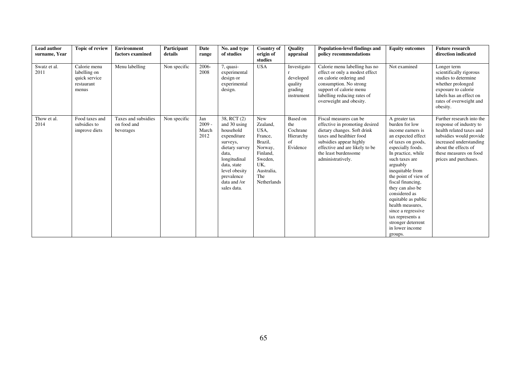| <b>Lead author</b><br>surname, Year | <b>Topic of review</b>                                               | <b>Environment</b><br>factors examined          | Participant<br>details | Date<br>range                    | No. and type<br>of studies                                                                                                                                                                  | <b>Country of</b><br>origin of<br>studies                                                                                  | Quality<br>appraisal                                         | <b>Population-level findings and</b><br>policy recommendations                                                                                                                                                                | <b>Equity outcomes</b>                                                                                                                                                                                                                                                                                                                                                                                                   | <b>Future research</b><br>direction indicated                                                                                                                                                                     |
|-------------------------------------|----------------------------------------------------------------------|-------------------------------------------------|------------------------|----------------------------------|---------------------------------------------------------------------------------------------------------------------------------------------------------------------------------------------|----------------------------------------------------------------------------------------------------------------------------|--------------------------------------------------------------|-------------------------------------------------------------------------------------------------------------------------------------------------------------------------------------------------------------------------------|--------------------------------------------------------------------------------------------------------------------------------------------------------------------------------------------------------------------------------------------------------------------------------------------------------------------------------------------------------------------------------------------------------------------------|-------------------------------------------------------------------------------------------------------------------------------------------------------------------------------------------------------------------|
| Swatz et al.<br>2011                | Calorie menu<br>labelling on<br>quick service<br>restaurant<br>menus | Menu labelling                                  | Non specific           | 2006-<br>2008                    | 7, quasi-<br>experimental<br>design or<br>experimental<br>design.                                                                                                                           | <b>USA</b>                                                                                                                 | Investigato<br>developed<br>quality<br>grading<br>instrument | Calorie menu labelling has no<br>effect or only a modest effect<br>on calorie ordering and<br>consumption. No strong<br>support of calorie menu<br>labelling reducing rates of<br>overweight and obesity.                     | Not examined                                                                                                                                                                                                                                                                                                                                                                                                             | Longer term<br>scientifically rigorous<br>studies to determine<br>whether prolonged<br>exposure to calorie<br>labels has an effect on<br>rates of overweight and<br>obesity.                                      |
| Thow et al.<br>2014                 | Food taxes and<br>subsidies to<br>improve diets                      | Taxes and subsidies<br>on food and<br>beverages | Non specific           | Jan<br>$2009 -$<br>March<br>2012 | 38, RCT (2)<br>and 30 using<br>household<br>expenditure<br>surveys,<br>dietary survey<br>data.<br>longitudinal<br>data, state<br>level obesity<br>prevalence<br>data and /or<br>sales data. | New<br>Zealand,<br>USA,<br>France,<br>Brazil,<br>Norway,<br>Finland.<br>Sweden,<br>UK.<br>Australia,<br>The<br>Netherlands | Based on<br>the<br>Cochrane<br>Hierarchy<br>of<br>Evidence   | Fiscal measures can be<br>effective in promoting desired<br>dietary changes. Soft drink<br>taxes and healthier food<br>subsidies appear highly<br>effective and are likely to be<br>the least burdensome<br>administratively. | A greater tax<br>burden for low<br>income earners is<br>an expected effect<br>of taxes on goods,<br>especially foods.<br>In practice, while<br>such taxes are<br>arguably<br>inequitable from<br>the point of view of<br>fiscal financing,<br>they can also be<br>considered as<br>equitable as public<br>health measures,<br>since a regressive<br>tax represents a<br>stronger deterrent<br>in lower income<br>groups. | Further research into the<br>response of industry to<br>health related taxes and<br>subsidies would provide<br>increased understanding<br>about the effects of<br>these measures on food<br>prices and purchases. |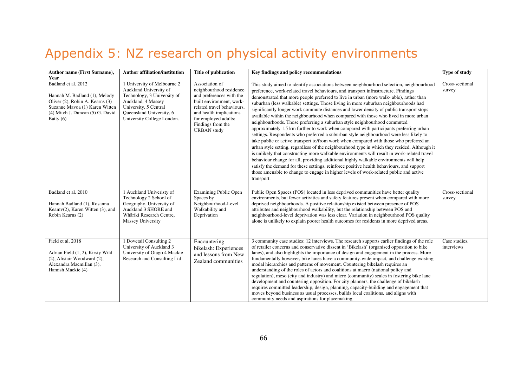# Appendix 5: NZ research on physical activity environments

| Author name (First Surname),<br>Year                                                                                                                                         | <b>Author affiliation/institution</b>                                                                                                                                                         | <b>Title of publication</b>                                                                                                                                                                                                   | Key findings and policy recommendations                                                                                                                                                                                                                                                                                                                                                                                                                                                                                                                                                                                                                                                                                                                                                                                                                                                                                                                                                                                                                                                                                                                                                                                                                                                                                                                                                               | Type of study               |
|------------------------------------------------------------------------------------------------------------------------------------------------------------------------------|-----------------------------------------------------------------------------------------------------------------------------------------------------------------------------------------------|-------------------------------------------------------------------------------------------------------------------------------------------------------------------------------------------------------------------------------|-------------------------------------------------------------------------------------------------------------------------------------------------------------------------------------------------------------------------------------------------------------------------------------------------------------------------------------------------------------------------------------------------------------------------------------------------------------------------------------------------------------------------------------------------------------------------------------------------------------------------------------------------------------------------------------------------------------------------------------------------------------------------------------------------------------------------------------------------------------------------------------------------------------------------------------------------------------------------------------------------------------------------------------------------------------------------------------------------------------------------------------------------------------------------------------------------------------------------------------------------------------------------------------------------------------------------------------------------------------------------------------------------------|-----------------------------|
| Badland et al. 2012<br>Hannah M. Badland (1), Melody<br>Oliver (2), Robin A. Kearns (3)<br>Suzanne Mavoa (1) Karen Witten<br>(4) Mitch J. Duncan (5) G. David<br>Batty $(6)$ | 1 University of Melbourne 2<br>Auckland University of<br>Technology, 3 University of<br>Auckland, 4 Massey<br>University, 5 Central<br>Queensland University, 6<br>University College London. | Association of<br>neighbourhood residence<br>and preferences with the<br>built environment, work-<br>related travel behaviours.<br>and health implications<br>for employed adults:<br>Findings from the<br><b>URBAN</b> study | This study aimed to identify associations between neighbourhood selection, neighbourhood<br>preference, work-related travel behaviours, and transport infrastructure. Findings<br>demonstrated that more people preferred to live in urban (more walk-able), rather than<br>suburban (less walkable) settings. Those living in more suburban neighbourhoods had<br>significantly longer work commute distances and lower density of public transport stops<br>available within the neighbourhood when compared with those who lived in more urban<br>neighbourhoods. Those preferring a suburban style neighbourhood commuted<br>approximately 1.5 km further to work when compared with participants preferring urban<br>settings. Respondents who preferred a suburban style neighbourhood were less likely to<br>take public or active transport to/from work when compared with those who preferred an<br>urban style setting, regardless of the neighbourhood type in which they resided. Although it<br>is unlikely that constructing more walkable environments will result in work-related travel<br>behaviour change for all, providing additional highly walkable environments will help<br>satisfy the demand for these settings, reinforce positive health behaviours, and support<br>those amenable to change to engage in higher levels of work-related public and active<br>transport. | Cross-sectional<br>survey   |
| Badland et al. 2010<br>Hannah Badland (1), Rosanna<br>Keamv $(2)$ , Karen Witten $(3)$ , and<br>Robin Kearns (2)                                                             | 1 Auckland Univeristy of<br>Technology 2 School of<br>Geography, University of<br>Auckland 3 SHORE and<br>Whāriki Research Centre,<br>Massey University                                       | <b>Examining Public Open</b><br>Spaces by<br>Neighbourhood-Level<br>Walkability and<br>Deprivation                                                                                                                            | Public Open Spaces (POS) located in less deprived communities have better quality<br>environments, but fewer activities and safety features present when compared with more<br>deprived neighbourhoods. A positive relationship existed between presence of POS<br>attributes and neighbourhood walkability, but the relationship between POS and<br>neighbourhood-level deprivation was less clear. Variation in neighbourhood POS quality<br>alone is unlikely to explain poorer health outcomes for residents in more deprived areas.                                                                                                                                                                                                                                                                                                                                                                                                                                                                                                                                                                                                                                                                                                                                                                                                                                                              | Cross-sectional<br>survey   |
| Field et al. 2018<br>Adrian Field (1, 2), Kirsty Wild<br>(2), Alistair Woodward (2),<br>Alexandra Macmillan (3),<br>Hamish Mackie (4)                                        | 1 Dovetail Consulting 2<br>University of Auckland 3<br>University of Otago 4 Mackie<br>Research and Consulting Ltd                                                                            | Encountering<br>bikelash: Experiences<br>and lessons from New<br>Zealand communities                                                                                                                                          | 3 community case studies; 12 interviews. The research supports earlier findings of the role<br>of retailer concerns and conservative dissent in 'Bikelash' (organised opposition to bike<br>lanes), and also highlights the importance of design and engagement in the process. More<br>fundamentally however, bike lanes have a community-wide impact, and challenge existing<br>modal hierarchies and patterns of movement. Countering bikelash requires an<br>understanding of the roles of actors and coalitions at macro (national policy and<br>regulation), meso (city and industry) and micro (community) scales in fostering bike lane<br>development and countering opposition. For city planners, the challenge of bikelash<br>requires committed leadership, design, planning, capacity-building and engagement that<br>moves beyond business as usual processes, builds local coalitions, and aligns with<br>community needs and aspirations for placemaking.                                                                                                                                                                                                                                                                                                                                                                                                                            | Case studies,<br>interviews |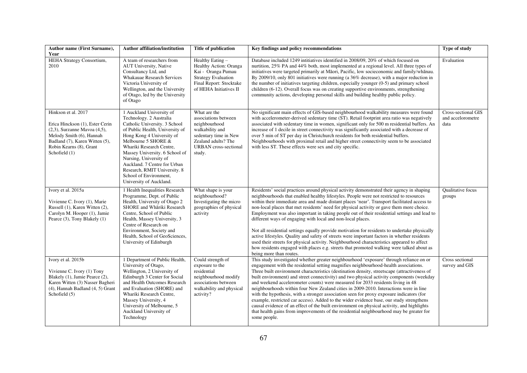| Author name (First Surname),<br>Year                                                                                                                                                                   | <b>Author affiliation/institution</b>                                                                                                                                                                                                                                                                                                                                                    | <b>Title of publication</b>                                                                                                                                        | Key findings and policy recommendations                                                                                                                                                                                                                                                                                                                                                                                                                                                                                                                                                                                                                                                                                                                                                                                                                                                                                                                                | Type of study                                    |
|--------------------------------------------------------------------------------------------------------------------------------------------------------------------------------------------------------|------------------------------------------------------------------------------------------------------------------------------------------------------------------------------------------------------------------------------------------------------------------------------------------------------------------------------------------------------------------------------------------|--------------------------------------------------------------------------------------------------------------------------------------------------------------------|------------------------------------------------------------------------------------------------------------------------------------------------------------------------------------------------------------------------------------------------------------------------------------------------------------------------------------------------------------------------------------------------------------------------------------------------------------------------------------------------------------------------------------------------------------------------------------------------------------------------------------------------------------------------------------------------------------------------------------------------------------------------------------------------------------------------------------------------------------------------------------------------------------------------------------------------------------------------|--------------------------------------------------|
| <b>HEHA Strategy Consortium,</b><br>2010                                                                                                                                                               | A team of researchers from<br>AUT University, Native<br>Consultancy Ltd, and<br>Whakauae Research Services<br>Victoria University of<br>Wellington, and the University<br>of Otago, led by the University<br>of Otago                                                                                                                                                                    | Healthy Eating -<br>Healthy Action: Oranga<br>Kai - Oranga Pumau<br><b>Strategy Evaluation</b><br>Final Report: Stocktake<br>of HEHA Initiatives II                | Database included 1249 intitiatives identified in 2008/09, 20% of which focused on<br>nurtition, 25% PA and 44% both, most implemented at a regional level. All three types of<br>initiatives were targeted primarily at Māori, Pacific, low socieconomic and family/whānau.<br>By 2009/10, only 801 initiatives were running (a 36% decrease), with a major reduction in<br>the number of initiatives targeting children, especially younger (0-5) and primary school<br>children (6-12). Overall focus was on creating supportive environments, strengthening<br>community actions, developing personal skills and building healthy public policy.                                                                                                                                                                                                                                                                                                                   | Evaluation                                       |
| Hinkson et al. 2017<br>Erica Hinckson (1), Ester Cerin<br>$(2,3)$ , Surzanne Mavoa $(4,5)$ ,<br>Melody Smith (6), Hannah<br>Badland (7), Karen Witten (5),<br>Robin Kearns (8), Grant<br>Schofield (1) | 1 Auckland University of<br>Technology. 2 Australia<br>Catholic University. 3 School<br>of Public Health, University of<br>Hong Kong 4 University of<br>Melbourne 5 SHORE &<br>Whariki Research Centre,<br>Massey University. 6 School of<br>Nursing, University of<br>Auckland. 7 Centre for Urban<br>Research, RMIT University. 8<br>School of Environment,<br>University of Auckland. | What are the<br>associations between<br>neighbourhood<br>walkability and<br>sedentary time in New<br>Zealand adults? The<br><b>URBAN</b> cross-sectional<br>study. | No significant main effects of GIS-based neighbourhood walkability measures were found<br>with accelerometer-derived sedentary time (ST). Retail footprint area ratio was negatively<br>associated with sedentary time in women, significant only for 500 m residential buffers. An<br>increase of 1 decile in street connectivity was significantly associated with a decrease of<br>over 5 min of ST per day in Christchurch residents for both residential buffers.<br>Neighbourhoods with proximal retail and higher street connectivity seem to be associated<br>with less ST. These effects were sex and city specific.                                                                                                                                                                                                                                                                                                                                          | Cross-sectional GIS<br>and accelorometre<br>data |
| Ivory et al. 2015a<br>Vivienne C. Ivory (1), Marie<br>Russell (1), Karen Witten (2),<br>Carolyn M. Hooper (1), Jamie<br>Pearce (3), Tony Blakely (1)                                                   | 1 Health Inequalities Research<br>Programme, Dept. of Public<br>Health, University of Otago 2<br>SHORE and Whāriki Research<br>Centre, School of Public<br>Health, Massey University, 3<br>Centre of Research on<br>Environment, Society and<br>Health, School of GeoSciences,<br>University of Edinburgh                                                                                | What shape is your<br>neighbourhood?<br>Investigating the micro<br>geographies of physical<br>activity                                                             | Residents' social practices around physical activity demonstrated their agency in shaping<br>neighbourhoods that enabled healthy lifestyles. People were not restricted to resources<br>within their immediate area and made distant places 'near'. Transport facilitated access to<br>non-local places that met residents' need for physical activity or gave them more choice.<br>Employment was also important in taking people out of their residential settings and lead to<br>different ways of engaging with local and non-local places.<br>Not all residential settings equally provide motivation for residents to undertake physically<br>active lifestyles. Quality and safety of streets were important factors in whether residents<br>used their streets for physical activity. Neighbourhood characteristics appeared to affect<br>how residents engaged with places e.g. streets that promoted walking were talked about as<br>being more than routes. | Qualitative focus<br>groups                      |
| Ivory et al. 2015b<br>Vivienne C. Ivory (1) Tony<br>Blakely (1), Jamie Pearce (2),<br>Karen Witten (3) Nasser Bagheri<br>(4), Hannah Badland (4, 5) Grant<br>Schofield (5)                             | 1 Department of Public Health,<br>University of Otago,<br>Wellington, 2 University of<br>Edinburgh 3 Center for Social<br>and Health Outcomes Research<br>and Evaluation (SHORE) and<br>Whariki Research Centre,<br>Massey University, 4<br>University of Melbourne, 5<br>Auckland University of<br>Technology                                                                           | Could strength of<br>exposure to the<br>residential<br>neighbourhood modify<br>associations between<br>walkability and physical<br>activity?                       | This study investigated whether greater neighbourhood 'exposure' through reliance on or<br>engagement with the residential setting magnifies neighbourhood-health associations.<br>Three built environment characteristics (destination density, streetscape (attractiveness of<br>built environment) and street connectivity) and two physical activity components (weekday<br>and weekend accelerometer counts) were measured for 2033 residents living in 48<br>neighbourhoods within four New Zealand cities in 2009-2010. Interactions were in line<br>with the hypothesis, with a stronger association seen for proxy exposure indicators (for<br>example, restricted car access). Added to the wider evidence base, our study strengthens<br>causal evidence of an effect of the built environment on physical activity, and highlights<br>that health gains from improvements of the residential neighbourhood may be greater for<br>some people.              | Cross sectional<br>survey and GIS                |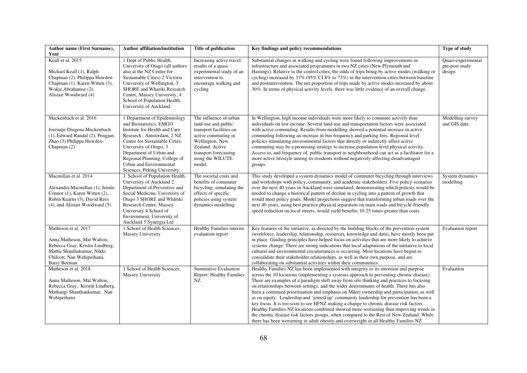| Author name (First Surname),<br>Year                                                                                                                                    | <b>Author affiliation/institution</b>                                                                                                                                                                                                                                                                   | <b>Title of publication</b>                                                                                                                                                                  | Key findings and policy recommendations                                                                                                                                                                                                                                                                                                                                                                                                                                                                                                                                                                                                                                                                                                                                                                                                                                                                                                | <b>Type of study</b>                           |
|-------------------------------------------------------------------------------------------------------------------------------------------------------------------------|---------------------------------------------------------------------------------------------------------------------------------------------------------------------------------------------------------------------------------------------------------------------------------------------------------|----------------------------------------------------------------------------------------------------------------------------------------------------------------------------------------------|----------------------------------------------------------------------------------------------------------------------------------------------------------------------------------------------------------------------------------------------------------------------------------------------------------------------------------------------------------------------------------------------------------------------------------------------------------------------------------------------------------------------------------------------------------------------------------------------------------------------------------------------------------------------------------------------------------------------------------------------------------------------------------------------------------------------------------------------------------------------------------------------------------------------------------------|------------------------------------------------|
| Keall et al. 2015<br>Michael Keall (1), Ralph<br>Chapman (2), Philippa Howden-<br>Chapman (1), Karen Witten (3),<br>Wokje Abrahamse (2),<br>Alistair Woodward (4)       | 1 Dept of Public Health,<br>University of Otago (all authors<br>also at the NZ Centre for<br>Sustainable Cities) 2 Victoria<br>University of Wellington, 3<br>SHORE and Whariki Research<br>Centre, Massey University, 4<br>School of Population Health,<br>University of Auckland                      | Increasing active travel:<br>results of a quasi-<br>experimental study of an<br>intervention to<br>encourage walking and<br>cycling                                                          | Substantial changes in walking and cycling were found following improvements in<br>infrastructure and associated programmes in two NZ cities (New Plymouth and<br>Hastings). Relative to the control cities, the odds of trips being by active modes (walking or<br>cycling) increased by 37% (95% CI 8% to 73%) in the intervention cities between baseline<br>and postintervention. The net proportion of trips made by active modes increased by about<br>30%. In terms of physical activity levels, there was little evidence of an overall change.                                                                                                                                                                                                                                                                                                                                                                                | Quasi-experimental<br>pre-post study<br>design |
| Mackenbach et al. 2016<br>Joreintje Dingena Mackenbach<br>(1), Edward Randal (2), Pengjun<br>Zhao (3) Philippa Howden-<br>Chapman (2)                                   | 1 Department of Epidemiology<br>and Biostatistics, EMGO<br>Institute for Health and Care<br>Research, Amsterdam, 2 NZ<br>Centre for Sustainable Cities,<br>University of Otago, 3<br>Department of Urban and<br>Regional Planning, College of<br>Urban and Environmental<br>Sciences, Peking University | The influence of urban<br>land-use and public<br>transport facilities on<br>active commuting in<br>Wellington, New<br>Zealand: Active<br>transport forecasting<br>using the WILUTE<br>model. | In Wellington, high income individuals were more likely to commute actively than<br>individuals on low income. Several land-use and transportation factors were associated<br>with active commuting. Results from modelling showed a potential increase in active<br>commuting following an increase in bus frequency and parking fees. Regional level<br>policies stimulating environmental factors that directly or indirectly affect active<br>commuting may be a promising strategy to increase population level physical activity.<br>Access to, and frequency of, public transport in neighbourhood can act as a facilitator for a<br>more active lifestyle among its residents without negatively affecting disadvantaged<br>groups.                                                                                                                                                                                            | Modelling survey<br>and GIS data               |
| Macmillan et al. 2014<br>Alexandra Macmillan (1), Jennie<br>Connor (1), Karen Witten (2),<br>Robin Kearns (3), David Rees<br>(4), and Alistair Woodward (5)             | 1. School of Population Health,<br>University of Auckland 2<br>Department of Preventive and<br>Social Medicine, University of<br>Otago 3 SHORE and Whāriki<br>Research Centre, Massey<br>University 4 School of<br>Environment, University of<br>Auckland 5 Synergia Ltd                                | The societal costs and<br>benefits of commuter<br>bicycling: simulating the<br>effects of specific<br>policies using system<br>dynamics modelling                                            | This study developed a system dynamics model of commuter bicycling through interviews<br>and workshops with policy, community, and academic stakeholders. Five policy scenarios<br>over the next 40 years in Auckland were simulated, demonstrating which policies would be<br>needed to change a historical pattern of decline in cycling into a pattern of growth that<br>would meet policy goals. Model projections suggest that transforming urban roads over the<br>next 40 years, using best practice physical separation on main roads and bicycle-friendly<br>speed reduction on local streets, would yield benefits 10-25 times greater than costs.                                                                                                                                                                                                                                                                           | System dynamics<br>modelling                   |
| Matheson et al. 2017<br>Anna Matheson, Mat Walton,<br>Rebecca Gray, Kristin Lindberg,<br>Mathu Shanthakumar, Nikki<br>Chilcott, Nan Wehipeihana,<br><b>Barry Borman</b> | 1 School of Health Sciences,<br>Massey University                                                                                                                                                                                                                                                       | Healthy Families interim<br>evaluation report                                                                                                                                                | Key features of the initiative, as directed by the building blocks of the prevention system<br>(workforce, leadership, relationship, resources, knowledge and data), have mostly been put<br>in place. Guiding principles have helped focus on activities that are more likely to achieve<br>systems change. There are strong indications that local adaptations of the initiative to local<br>cultural and environmental circumstances is occurring. Most locations have begun to<br>consolidate their stakeholder relationships, as well as their own purpose, and are<br>collaborating on substantial activities within their communities.                                                                                                                                                                                                                                                                                          | Evaluation report                              |
| Matheson et al. 2018<br>Anna Matheson, Mat Walton,<br>Rebecca Gray, Kirstin Lindberg,<br>Mathangi Shanthankumar, Nan<br>Wehipeihana                                     | 1 School of Health Sciences,<br>Massey University                                                                                                                                                                                                                                                       | <b>Summative Evaluation</b><br><b>Report: Healthy Families</b><br>NZ.                                                                                                                        | Healthy Families NZ has been implemented with integrity to its intention and purpose<br>across the 10 locations (implementing a systems approach to preventing chronic disease).<br>There are examples of a paradigm shift away from silo thinking and practices to focusing<br>on relationships between settings, and the wider determinants of health. There has also<br>been a continued prioritisation and emphasis on Māori ownership and participation, as well<br>as on equity. Leadership and 'joined up' community leadership for prevention has been a<br>key focus. It is too soon to see HFNZ making a change to chronic disease risk factors.<br>Healthy Families NZ locations combined showed more worsening than improving trends in<br>the chronic disease risk factors groups, when compared to the Rest of New Zealand. While<br>there has been worsening in adult obesity and overweight in all Healthy Families NZ | Evaluation                                     |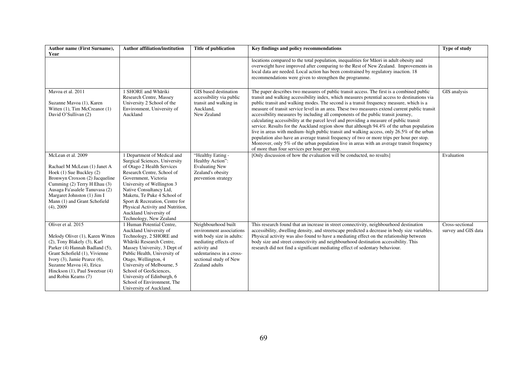| Author name (First Surname),<br>Year                                                                                                                                                                                                                                           | <b>Author affiliation/institution</b>                                                                                                                                                                                                                                                                                                                               | <b>Title of publication</b>                                                                                                                                                                   | Key findings and policy recommendations                                                                                                                                                                                                                                                                                                                                                                                                                                                                                                                                                                                                                                                                                                                                                                                                                                                                                                                                                                    | Type of study                          |
|--------------------------------------------------------------------------------------------------------------------------------------------------------------------------------------------------------------------------------------------------------------------------------|---------------------------------------------------------------------------------------------------------------------------------------------------------------------------------------------------------------------------------------------------------------------------------------------------------------------------------------------------------------------|-----------------------------------------------------------------------------------------------------------------------------------------------------------------------------------------------|------------------------------------------------------------------------------------------------------------------------------------------------------------------------------------------------------------------------------------------------------------------------------------------------------------------------------------------------------------------------------------------------------------------------------------------------------------------------------------------------------------------------------------------------------------------------------------------------------------------------------------------------------------------------------------------------------------------------------------------------------------------------------------------------------------------------------------------------------------------------------------------------------------------------------------------------------------------------------------------------------------|----------------------------------------|
|                                                                                                                                                                                                                                                                                |                                                                                                                                                                                                                                                                                                                                                                     |                                                                                                                                                                                               | locations compared to the total population, inequalities for Māori in adult obesity and<br>overweight have improved after comparing to the Rest of New Zealand. Improvements in<br>local data are needed. Local action has been constrained by regulatory inaction. 18<br>recommendations were given to strengthen the programme.                                                                                                                                                                                                                                                                                                                                                                                                                                                                                                                                                                                                                                                                          |                                        |
| Mavoa et al. 2011<br>Suzanne Mavoa (1), Karen<br>Witten $(1)$ , Tim McCreanor $(1)$<br>David O'Sullivan (2)                                                                                                                                                                    | 1 SHORE and Whāriki<br>Research Centre, Massey<br>University 2 School of the<br>Environment, University of<br>Auckland                                                                                                                                                                                                                                              | GIS based destination<br>accessibility via public<br>transit and walking in<br>Auckland,<br>New Zealand                                                                                       | The paper describes two measures of public transit access. The first is a combined public<br>transit and walking accessibility index, which measures potential access to destinations via<br>public transit and walking modes. The second is a transit frequency measure, which is a<br>measure of transit service level in an area. These two measures extend current public transit<br>accessibility measures by including all components of the public transit journey,<br>calculating accessibility at the parcel level and providing a measure of public transit<br>service. Results for the Auckland region show that although 94.4% of the urban population<br>live in areas with medium-high public transit and walking access, only 26.5% of the urban<br>population also have an average transit frequency of two or more trips per hour per stop.<br>Moreover, only 5% of the urban population live in areas with an average transit frequency<br>of more than four services per hour per stop. | GIS analysis                           |
| McLean et al. 2009<br>Rachael M McLean (1) Janet A<br>Hoek (1) Sue Buckley (2)<br>Bronwyn Croxson (2) Jacqueline<br>Cumming (2) Terry H Ehau (3)<br>Ausaga Fa'asalele Tanuvasa (2)<br>Margaret Johnston (1) Jim I<br>Mann (1) and Grant Schofield<br>$(4)$ , 2009              | 1 Department of Medical and<br>Surgical Sciences, University<br>of Otago 2 Health Services<br>Research Centre, School of<br>Government, Victoria<br>University of Wellington 3<br>Native Consultancy Ltd,<br>Maketu, Te Puke 4 School of<br>Sport & Recreation, Centre for<br>Physical Activity and Nutrition,<br>Auckland University of<br>Technology, New Zealand | "Healthy Eating -<br>Healthy Action":<br><b>Evaluating New</b><br>Zealand's obesity<br>prevention strategy                                                                                    | [Only discussion of how the evaluation will be conducted, no results]                                                                                                                                                                                                                                                                                                                                                                                                                                                                                                                                                                                                                                                                                                                                                                                                                                                                                                                                      | Evaluation                             |
| Oliver et al. 2015<br>Melody Oliver (1), Karen Witten<br>(2), Tony Blakely (3), Karl<br>Parker (4) Hannah Badland (5),<br>Grant Schofield (1), Vivienne<br>Ivory (3), Jamie Pearce (6),<br>Suzanne Mavoa (4), Erica<br>Hinckson (1), Paul Sweetsur (4)<br>and Robin Kearns (7) | 1 Human Potential Centre,<br>Auckland University of<br>Technology, 2 SHORE and<br>Whāriki Research Centre,<br>Massey University, 3 Dept of<br>Public Health, University of<br>Otago, Wellington, 4<br>University of Melbourne, 5<br>School of GeoSciences,<br>University of Edinburgh, 6<br>School of Environment, The<br>University of Auckland.                   | Neighbourhood built<br>environment associations<br>with body size in adults:<br>mediating effects of<br>activity and<br>sedentariness in a cross-<br>sectional study of New<br>Zealand adults | This research found that an increase in street connectivity, neighbourhood destination<br>accessibility, dwelling density, and streetscape predicted a decrease in body size variables.<br>Physical activity was also found to have a mediating effect on the relationship between<br>body size and street connectivity and neighbourhood destination accessibility. This<br>research did not find a significant mediating effect of sedentary behaviour.                                                                                                                                                                                                                                                                                                                                                                                                                                                                                                                                                  | Cross-sectional<br>survey and GIS data |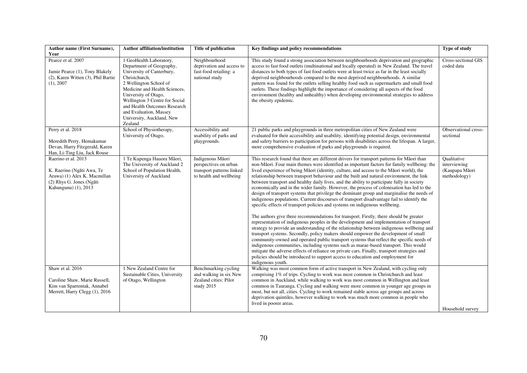| Author name (First Surname),<br>Year                                                                                                 | <b>Author affiliation/institution</b>                                                                                                                                                                                                                                                                                    | Title of publication                                                                              | Key findings and policy recommendations                                                                                                                                                                                                                                                                                                                                                                                                                                                                                                                                                                                                                                                                                                                                                                                                                                                                                                                                                                                                                                                                                                                                                                                                                                                                                                                                                                                                                                                                                                                                                                                | Type of study                                                 |
|--------------------------------------------------------------------------------------------------------------------------------------|--------------------------------------------------------------------------------------------------------------------------------------------------------------------------------------------------------------------------------------------------------------------------------------------------------------------------|---------------------------------------------------------------------------------------------------|------------------------------------------------------------------------------------------------------------------------------------------------------------------------------------------------------------------------------------------------------------------------------------------------------------------------------------------------------------------------------------------------------------------------------------------------------------------------------------------------------------------------------------------------------------------------------------------------------------------------------------------------------------------------------------------------------------------------------------------------------------------------------------------------------------------------------------------------------------------------------------------------------------------------------------------------------------------------------------------------------------------------------------------------------------------------------------------------------------------------------------------------------------------------------------------------------------------------------------------------------------------------------------------------------------------------------------------------------------------------------------------------------------------------------------------------------------------------------------------------------------------------------------------------------------------------------------------------------------------------|---------------------------------------------------------------|
| Pearce et al. 2007<br>Jamie Pearce (1), Tony Blakely<br>(2), Karen Witten (3), Phil Bartie<br>(1), 2007                              | 1 GeoHealth Laboratory,<br>Department of Geography,<br>University of Canterbury,<br>Christchurch,<br>2 Wellington School of<br>Medicine and Health Sciences,<br>University of Otago,<br>Wellington 3 Centre for Social<br>and Health Outcomes Research<br>and Evaluation, Massey<br>University, Auckland, New<br>Zealand | Neighbourhood<br>deprivation and access to<br>fast-food retailing: a<br>national study            | This study found a strong association between neighbourhoods deprivation and geographic<br>access to fast food outlets (multinational and locally operated) in New Zealand. The travel<br>distances to both types of fast food outlets were at least twice as far in the least socially<br>deprived neighbourhoods compared to the most deprived neighbourhoods. A similar<br>pattern was found for the outlets selling healthy food such as supermarkets and small food<br>outlets. These findings highlight the importance of considering all aspects of the food<br>environment (healthy and unhealthy) when developing environmental strategies to address<br>the obesity epidemic.                                                                                                                                                                                                                                                                                                                                                                                                                                                                                                                                                                                                                                                                                                                                                                                                                                                                                                                                | Cross-sectional GIS<br>coded data                             |
| Perry et al. 2018<br>Meredith Perry, Hemakumar<br>Devan, Harry Fitzgerald, Karen<br>Han, Li-Ting Liu, Jack Rouse                     | School of Physiotherapy,<br>University of Otago,                                                                                                                                                                                                                                                                         | Accessibility and<br>usability of parks and<br>playgrounds.                                       | 21 public parks and playgrounds in three metropolitan cities of New Zealand were<br>evaluated for their accessibility and usability, identifying potential design, environmental<br>and safety barriers to participation for persons with disabilities across the lifespan. A larger,<br>more comprehensive evaluation of parks and playgrounds is required.                                                                                                                                                                                                                                                                                                                                                                                                                                                                                                                                                                                                                                                                                                                                                                                                                                                                                                                                                                                                                                                                                                                                                                                                                                                           | Observational cross-<br>sectional                             |
| Raerino et al. 2013<br>K. Raerino (Ngāti Awa, Te<br>Arawa) (1) Alex K. Macmillan<br>(2) Rhys G. Jones (Ngāti<br>Kahungunu) (1), 2013 | 1 Te Kupenga Hauora Māori,<br>The University of Auckland 2<br>School of Population Health,<br>University of Auckland                                                                                                                                                                                                     | Indigenous Māori<br>perspectives on urban<br>transport patterns linked<br>to health and wellbeing | This research found that there are different drivers for transport patterns for Māori than<br>non-Māori. Four main themes were identified as important factors for family wellbeing: the<br>lived experience of being Māori (identity, culture, and access to the Māori world), the<br>relationship between transport behaviour and the built and natural environment, the link<br>between transport and healthy daily lives, and the ability to participate fully in society<br>economically and in the wider family. However, the process of colonisation has led to the<br>design of transport systems that privilege the dominant group and marginalise the needs of<br>indigenous populations. Current discourses of transport disadvantage fail to identify the<br>specific effects of transport policies and systems on indigenous wellbeing.<br>The authors give three recommendations for transport. Firstly, there should be greater<br>representation of indigenous peoples in the development and implementation of transport<br>strategy to provide an understanding of the relationship between indigenous wellbeing and<br>transport systems. Secondly, policy makers should empower the development of small<br>community-owned and operated public transport systems that reflect the specific needs of<br>indigenous communities, including systems such as marae-based transport. This would<br>mitigate the adverse effects of reliance on private cars. Finally, transport strategies and<br>policies should be introduced to support access to education and employment for<br>indigenous youth. | Qualitative<br>interviewing<br>(Kaupapa Māori<br>methodology) |
| Shaw et al. 2016<br>Caroline Shaw, Marie Russell,<br>Kim van Sparrentak, Annabel<br>Merrett, Harry Clegg (1), 2016                   | 1 New Zealand Centre for<br>Sustainable Cities, University<br>of Otago, Wellington                                                                                                                                                                                                                                       | Benchmarking cycling<br>and walking in six New<br>Zealand cities: Pilot<br>study 2015             | Walking was most common form of active transport in New Zealand, with cycling only<br>comprising 1% of trips. Cycling to work was most common in Christchurch and least<br>common in Auckland, while walking to work was most common in Wellington and least<br>common in Tauranga. Cycling and walking were more common in younger age groups in<br>most, but not all, cities. Cycling to work remained stable across age groups and across<br>deprivation quintiles, however walking to work was much more common in people who<br>lived in poorer areas.                                                                                                                                                                                                                                                                                                                                                                                                                                                                                                                                                                                                                                                                                                                                                                                                                                                                                                                                                                                                                                                            | Household survey                                              |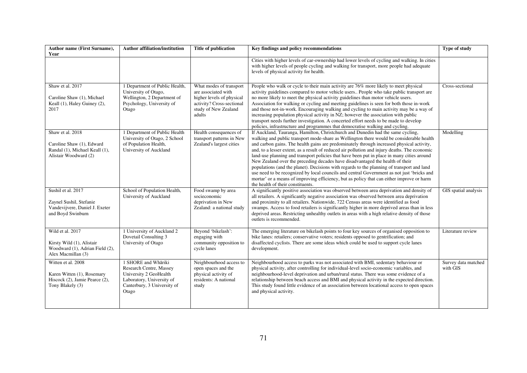| Author name (First Surname),<br>Year                                                                     | <b>Author affiliation/institution</b>                                                                                                         | <b>Title of publication</b>                                                                                                                | Key findings and policy recommendations                                                                                                                                                                                                                                                                                                                                                                                                                                                                                                                                                                                                                                                                                                                                                                                                                                                | <b>Type of study</b>            |
|----------------------------------------------------------------------------------------------------------|-----------------------------------------------------------------------------------------------------------------------------------------------|--------------------------------------------------------------------------------------------------------------------------------------------|----------------------------------------------------------------------------------------------------------------------------------------------------------------------------------------------------------------------------------------------------------------------------------------------------------------------------------------------------------------------------------------------------------------------------------------------------------------------------------------------------------------------------------------------------------------------------------------------------------------------------------------------------------------------------------------------------------------------------------------------------------------------------------------------------------------------------------------------------------------------------------------|---------------------------------|
|                                                                                                          |                                                                                                                                               |                                                                                                                                            | Cities with higher levels of car-ownership had lower levels of cycling and walking. In cities<br>with higher levels of people cycling and walking for transport, more people had adequate<br>levels of physical activity for health.                                                                                                                                                                                                                                                                                                                                                                                                                                                                                                                                                                                                                                                   |                                 |
| Shaw et al. 2017<br>Caroline Shaw (1), Michael<br>Keall (1), Haley Guiney (2),<br>2017                   | 1 Department of Public Health,<br>University of Otago,<br>Wellington, 2 Department of<br>Psychology, University of<br>Otago                   | What modes of transport<br>are associated with<br>higher levels of physical<br>activity? Cross-sectional<br>study of New Zealand<br>adults | People who walk or cycle to their main activity are 76% more likely to meet physical<br>activity guidelines compared to motor vehicle users People who take public transport are<br>no more likely to meet the physical activity guidelines than motor vehicle users.<br>Association for walking or cycling and meeting guidelines is seen for both those in-work<br>and those not-in-work. Encouraging walking and cycling to main activity may be a way of<br>increasing population physical activity in NZ; however the association with public<br>transport needs further investigation. A concerted effort needs to be made to develop<br>policies, infrastructure and programmes that democratise walking and cycling.                                                                                                                                                           | Cross-sectional                 |
| Shaw et al. 2018<br>Caroline Shaw (1), Edward<br>Randal (1), Michael Keall (1),<br>Alistair Woodward (2) | 1 Department of Public Health<br>University of Otago, 2 School<br>of Population Health,<br>University of Auckland                             | Health consequences of<br>transport patterns in New<br>Zealand's largest cities                                                            | If Auckland, Tauranga, Hamilton, Christchurch and Dunedin had the same cycling,<br>walking and public transport mode-share as Wellington there would be considerable health<br>and carbon gains. The health gains are predominately through increased physical activity,<br>and, to a lesser extent, as a result of reduced air pollution and injury deaths. The economic<br>land-use planning and transport policies that have been put in place in many cities around<br>New Zealand over the preceding decades have disadvantaged the health of their<br>populations (and the planet). Decisions with regards to the planning of transport and land<br>use need to be recognized by local councils and central Government as not just 'bricks and<br>mortar' or a means of improving efficiency, but as policy that can either improve or harm<br>the health of their constituents. | Modelling                       |
| Sushil et al. 2017<br>Zaynel Sushil, Stefanie<br>Vandevijvere, Daniel J. Exeter<br>and Boyd Swinburn     | School of Population Health,<br>University of Auckland                                                                                        | Food swamp by area<br>socieconomic<br>deprivation in New<br>Zealand: a national study                                                      | A significantly positive association was observed between area deprivation and density of<br>all retailers. A significantly negative association was observed between area deprivation<br>and proximity to all retailers. Nationwide, 722 Census areas were identified as food<br>swamps. Access to food retailers is significantly higher in more deprived areas than in less<br>deprived areas. Restricting unhealthy outlets in areas with a high relative density of those<br>outlets is recommended.                                                                                                                                                                                                                                                                                                                                                                              | GIS spatial analysis            |
| Wild et al. 2017<br>Kirsty Wild (1), Alistair<br>Woodward (1), Adrian Field (2),<br>Alex Macmillan (3)   | 1 University of Auckland 2<br>Dovetail Consulting 3<br>University of Otago                                                                    | Beyond 'bikelash':<br>engaging with<br>community opposition to<br>cycle lanes                                                              | The emerging literature on bikelash points to four key sources of organised opposition to<br>bike lanes: retailers; conservative voters; residents opposed to gentrification; and<br>disaffected cyclists. There are some ideas which could be used to support cycle lanes<br>development.                                                                                                                                                                                                                                                                                                                                                                                                                                                                                                                                                                                             | Literature review               |
| Witten et al. 2008<br>Karen Witten (1), Rosemary<br>Hiscock (2), Jamie Pearce (2),<br>Tony Blakely (3)   | 1 SHORE and Whāriki<br>Research Centre, Massey<br>University 2 GeoHealth<br>Laboratory, University of<br>Canterbury, 3 University of<br>Otago | Neighbourhood access to<br>open spaces and the<br>physical activity of<br>residents: A national<br>study                                   | Neighbourhood access to parks was not associated with BMI, sedentary behaviour or<br>physical activity, after controlling for individual-level socio-economic variables, and<br>neighbourhood-level deprivation and urban/rural status. There was some evidence of a<br>relationship between beach access and BMI and physical activity in the expected direction.<br>This study found little evidence of an association between locational access to open spaces<br>and physical activity.                                                                                                                                                                                                                                                                                                                                                                                            | Survey data matched<br>with GIS |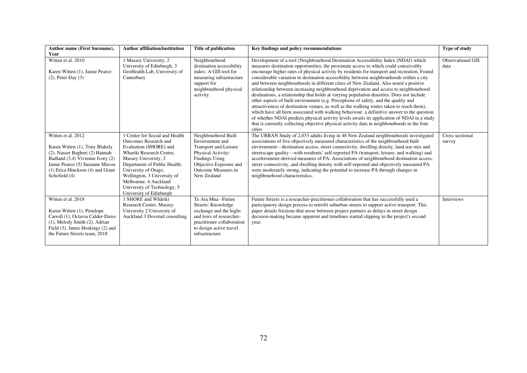| <b>Author name (First Surname),</b>                                                                                                                                                                               | <b>Author affiliation/institution</b>                                                                                                                                                                                                                                                                                  | <b>Title of publication</b>                                                                                                                                                    | Key findings and policy recommendations                                                                                                                                                                                                                                                                                                                                                                                                                                                                                                                                                                                                                                                                                                                                                                                                                                                                                                                                                                                                                                                                                                      | Type of study                    |
|-------------------------------------------------------------------------------------------------------------------------------------------------------------------------------------------------------------------|------------------------------------------------------------------------------------------------------------------------------------------------------------------------------------------------------------------------------------------------------------------------------------------------------------------------|--------------------------------------------------------------------------------------------------------------------------------------------------------------------------------|----------------------------------------------------------------------------------------------------------------------------------------------------------------------------------------------------------------------------------------------------------------------------------------------------------------------------------------------------------------------------------------------------------------------------------------------------------------------------------------------------------------------------------------------------------------------------------------------------------------------------------------------------------------------------------------------------------------------------------------------------------------------------------------------------------------------------------------------------------------------------------------------------------------------------------------------------------------------------------------------------------------------------------------------------------------------------------------------------------------------------------------------|----------------------------------|
| Year<br>Witten et al. 2010<br>Karen Witten (1), Jamie Pearce<br>$(2)$ , Peter Day $(3)$                                                                                                                           | 1 Massey University, 2<br>University of Edinburgh, 3<br>GeoHealth Lab, University of<br>Canterbury                                                                                                                                                                                                                     | Neighbourhood<br>destination accessibility<br>index: A GIS tool for<br>measuring infrastructure<br>support for<br>neighbourhood physical<br>activity.                          | Development of a tool (Neighbourhood Destination Accessibility Index (NDAI) which<br>measures destination opportunities, the proximate access to which could conceivably<br>encourage higher rates of physical activity by residents for transport and recreation. Found<br>considerable variation in destination accessibility between neighbourhoods within a city<br>and between neighbourhoods in different cities of New Zealand. Also noted a positive<br>relationship between increasing neighbourhood deprivation and access to neighbourhood<br>destinations, a relationship that holds at varying population densities. Does not include<br>other aspects of built environment (e.g. Perceptions of safety, and the quality and<br>attractiveness of destination venues, as well as the walking routes taken to reach them),<br>which have all been associated with walking behaviour. a definitive answer to the question<br>of whether NDAI predicts physical activity levels awaits its application of NDAI in a study<br>that is currently collecting objective physical activity data in neighbourhoods in the four<br>cities | <b>Observational GIS</b><br>data |
| Witten et al. 2012<br>Karen Witten (1), Tony Blakely<br>(2), Nasser Bagheri (2) Hannah<br>Badland (3,4) Vivienne Ivory (2)<br>Jamie Pearce (5) Suzanne Mavoa<br>(1) Erica Hinckson (4) and Grant<br>Schofield (4) | 1 Center for Social and Health<br><b>Outcomes Research and</b><br>Evaluation (SHORE) and<br>Whariki Research Centre,<br>Massey University, 2<br>Department of Public Health,<br>University of Otago,<br>Wellington, 3 University of<br>Melbourne, 4 Auckland<br>University of Technology, 5<br>University of Edinburgh | Neighbourhood Built<br>Environment and<br>Transport and Leisure<br>Physical Activity:<br><b>Findings Using</b><br>Objective Exposure and<br>Outcome Measures in<br>New Zealand | The URBAN Study of 2,033 adults living in 48 New Zealand neighbourhoods investigated<br>associations of five objectively measured characteristics of the neighbourhood built<br>environment—destination access, street connectivity, dwelling density, land-use mix and<br>streetscape quality—with residents' self-reported PA (transport, leisure, and walking) and<br>accelerometer-derived measures of PA. Associations of neighbourhood destination access,<br>street connectivity, and dwelling density with self-reported and objectively measured PA<br>were moderately strong, indicating the potential to increase PA through changes in<br>neighbourhood characteristics.                                                                                                                                                                                                                                                                                                                                                                                                                                                         | Cross sectional<br>survey        |
| Witten et al. 2018<br>Karen Witten (1), Penelope<br>Carroll (1), Octavia Calder-Dawe<br>$(1)$ , Melody Smith $(2)$ , Adrian<br>Field (3), Jamie Hoskings (2) and<br>the Future Streets team, 2018                 | 1 SHORE and Whāriki<br>Research Centre, Massey<br>University 2 University of<br>Auckland 3 Dovetail consulting                                                                                                                                                                                                         | Te Ara Mua-Future<br>Streets: Knowledge<br>exchange and the highs<br>and lows of researcher-<br>practitioner collaboration<br>to design active travel<br>infrastructure        | Future Streets is a researcher-practitioner collaboration that has successfully used a<br>participatory design process to retrofit suburban streets to support active transport. This<br>paper details frictions that arose between project partners as delays in street design<br>decision-making became apparent and timelines started slipping in the project's second<br>year.                                                                                                                                                                                                                                                                                                                                                                                                                                                                                                                                                                                                                                                                                                                                                           | Interviews                       |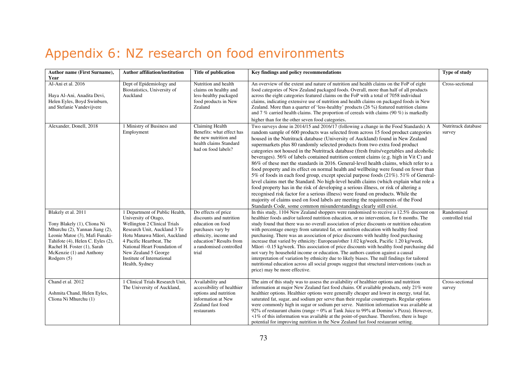## Appendix 6: NZ research on food environments

| Author name (First Surname),<br>Year                                                                                                                                                                                                    | <b>Author affiliation/institution</b>                                                                                                                                                                                                                                                     | Title of publication                                                                                                                                                             | Key findings and policy recommendations                                                                                                                                                                                                                                                                                                                                                                                                                                                                                                                                                                                                                                                                                                                                                                                                                                                                                                                                                                                                                                                                                                                                                                                              | Type of study                  |
|-----------------------------------------------------------------------------------------------------------------------------------------------------------------------------------------------------------------------------------------|-------------------------------------------------------------------------------------------------------------------------------------------------------------------------------------------------------------------------------------------------------------------------------------------|----------------------------------------------------------------------------------------------------------------------------------------------------------------------------------|--------------------------------------------------------------------------------------------------------------------------------------------------------------------------------------------------------------------------------------------------------------------------------------------------------------------------------------------------------------------------------------------------------------------------------------------------------------------------------------------------------------------------------------------------------------------------------------------------------------------------------------------------------------------------------------------------------------------------------------------------------------------------------------------------------------------------------------------------------------------------------------------------------------------------------------------------------------------------------------------------------------------------------------------------------------------------------------------------------------------------------------------------------------------------------------------------------------------------------------|--------------------------------|
| Al-Ani et al. 2016<br>Haya Al-Ani, Anadita Devi,<br>Helen Eyles, Boyd Swinburn,<br>and Stefanie Vandevijvere                                                                                                                            | Dept of Epidemiology and<br>Biostatistics, University of<br>Auckland                                                                                                                                                                                                                      | Nutrition and health<br>claims on healthy and<br>less-healthy packaged<br>food products in New<br>Zealand                                                                        | An overview of the extent and nature of nutrition and health claims on the FoP of eight<br>food categories of New Zealand packaged foods. Overall, more than half of all products<br>across the eight categories featured claims on the FoP with a total of 7058 individual<br>claims, indicating extensive use of nutrition and health claims on packaged foods in New<br>Zealand. More than a quarter of 'less-healthy' products (26 %) featured nutrition claims<br>and 7 % carried health claims. The proportion of cereals with claims $(90\%)$ is markedly<br>higher than for the other seven food categories.                                                                                                                                                                                                                                                                                                                                                                                                                                                                                                                                                                                                                 | Cross-sectional                |
| Alexander, Donell, 2018                                                                                                                                                                                                                 | 1 Ministry of Business and<br>Employment                                                                                                                                                                                                                                                  | Claiming Health<br>Benefits: what effect has<br>the new nutrition and<br>health claims Standard<br>had on food labels?                                                           | Two surveys done in 2014/15 and 2016/17 (following a change in the Food Standards) A<br>random sample of 600 products was selected from across 15 food product categories<br>housed in the Nutritrack database (University of Auckland) found in New Zealand<br>supermarkets plus 80 randomly selected products from two extra food product<br>categories not housed in the Nutritrack database (fresh fruits/vegetables and alcoholic<br>beverages). 56% of labels contained nutrition content claims (e.g. high in Vit C) and<br>86% of these met the standards in 2016. General-level health claims, which refer to a<br>food property and its effect on normal health and wellbeing were found on fewer than<br>5% of foods in each food group, except special purpose foods (21%). 51% of General-<br>level claims met the Standard. No high-level health claims (which explain what role a<br>food property has in the risk of developing a serious illness, or risk of altering a<br>recognised risk factor for a serious illness) were found on products. While the<br>majority of claims used on food labels are meeting the requirements of the Food<br>Standards Code, some common misunderstandings clearly still exist. | Nutritrack database<br>survey  |
| Blakely et al. 2011<br>Tony Blakely (1), Cliona Ni<br>Mhurchu (2), Yannan Jiang (2),<br>Leonie Matoe (3), Mafi Funaki-<br>Tahifote (4), Helen C. Eyles (2),<br>Rachel H. Foster (1), Sarah<br>McKenzie (1) and Anthony<br>Rodgers $(5)$ | 1 Department of Public Health,<br>University of Otago,<br>Wellington 2 Clinical Trials<br>Research Unit, Auckland 3 Te<br>Hotu Manawa Māori, Auckland<br>4 Pacific Heartbeat, The<br>National Heart Foundation of<br>New Zealand 5 George<br>Institute of International<br>Health, Sydney | Do effects of price<br>discounts and nutrition<br>education on food<br>purchases vary by<br>ethnicity, income and<br>education? Results from<br>a randomised controlled<br>trial | In this study, 1104 New Zealand shoppers were randomised to receive a 12.5% discount on<br>healthier foods and/or tailored nutrition education, or no intervention, for 6 months. The<br>study found that there was no overall association of price discounts or nutrition education<br>with percentage energy from saturated fat, or nutrition education with healthy food<br>purchasing. There was an association of price discounts with healthy food purchasing<br>increase that varied by ethnicity: European/other 1.02 kg/week, Pacific 1.20 kg/week,<br>Māori -0.15 kg/week. This association of price discounts with healthy food purchasing did<br>not vary by household income or education. The authors caution against a causal<br>interpretation of variation by ethnicity due to likely biases. The null findings for tailored<br>nutritional education across all social groups suggest that structural interventions (such as<br>price) may be more effective.                                                                                                                                                                                                                                                      | Randomised<br>controlled trial |
| Chand et al. 2012<br>Ashmita Chand, Helen Eyles,<br>Cliona Ni Mhurchu (1)                                                                                                                                                               | 1 Clinical Trials Research Unit.<br>The University of Auckland,                                                                                                                                                                                                                           | Availability and<br>accessibility of healthier<br>options and nutrition<br>information at New<br>Zealand fast food<br>restaurants                                                | The aim of this study was to assess the availability of healthier options and nutrition<br>information at major New Zealand fast food chains. Of available products, only 21% were<br>healthier options. Healthier options were generally cheaper and lower in energy, total fat,<br>saturated fat, sugar, and sodium per serve than their regular counterparts. Regular options<br>were commonly high in sugar or sodium per serve. Nutrition information was available at<br>92% of restaurant chains (range = 0% at Tank Juice to 99% at Domino's Pizza). However,<br>$\leq$ 1% of this information was available at the point-of-purchase. Therefore, there is huge<br>potential for improving nutrition in the New Zealand fast food restaurant setting.                                                                                                                                                                                                                                                                                                                                                                                                                                                                        | Cross-sectional<br>survey      |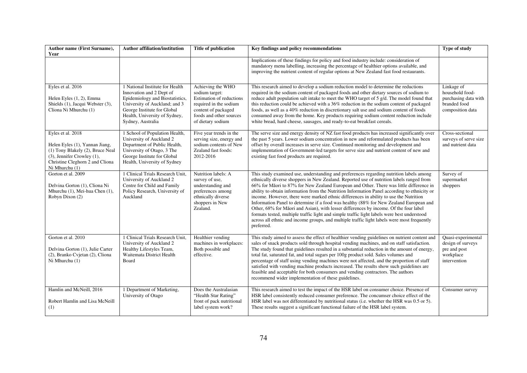| Author name (First Surname),<br>Year                                                                                                                                       | <b>Author affiliation/institution</b>                                                                                                                                                                                | <b>Title of publication</b>                                                                                                                                      | Key findings and policy recommendations                                                                                                                                                                                                                                                                                                                                                                                                                                                                                                                                                                                                                                                                                                                                                                                                                                | Type of study                                                                             |
|----------------------------------------------------------------------------------------------------------------------------------------------------------------------------|----------------------------------------------------------------------------------------------------------------------------------------------------------------------------------------------------------------------|------------------------------------------------------------------------------------------------------------------------------------------------------------------|------------------------------------------------------------------------------------------------------------------------------------------------------------------------------------------------------------------------------------------------------------------------------------------------------------------------------------------------------------------------------------------------------------------------------------------------------------------------------------------------------------------------------------------------------------------------------------------------------------------------------------------------------------------------------------------------------------------------------------------------------------------------------------------------------------------------------------------------------------------------|-------------------------------------------------------------------------------------------|
|                                                                                                                                                                            |                                                                                                                                                                                                                      |                                                                                                                                                                  | Implications of these findings for policy and food industry include: consideration of<br>mandatory menu labelling, increasing the percentage of healthier options available, and<br>improving the nutrient content of regular options at New Zealand fast food restaurants.                                                                                                                                                                                                                                                                                                                                                                                                                                                                                                                                                                                            |                                                                                           |
| Eyles et al. 2016<br>Helen Eyles (1, 2), Emma<br>Shields (1), Jacqui Webster (3),<br>Cliona Ni Mhurchu (1)                                                                 | 1 National Institute for Health<br>Innovation and 2 Dept of<br>Epidemiology and Biostatistics,<br>University of Auckland; and 3<br>George Institute for Global<br>Health, University of Sydney,<br>Sydney, Australia | Achieving the WHO<br>sodium target:<br>Estimation of reductions<br>required in the sodium<br>content of packaged<br>foods and other sources<br>of dietary sodium | This research aimed to develop a sodium reduction model to determine the reductions<br>required in the sodium content of packaged foods and other dietary sources of sodium to<br>reduce adult population salt intake to meet the WHO target of 5 g/d. The model found that<br>this reduction could be achieved with a 36% reduction in the sodium content of packaged<br>foods, as well as a 40% reduction in discretionary salt use and sodium content of foods<br>consumed away from the home. Key products requiring sodium content reduction include<br>white bread, hard cheese, sausages, and ready-to-eat breakfast cereals.                                                                                                                                                                                                                                   | Linkage of<br>household food-<br>purchasing data with<br>branded food<br>composition data |
| Eyles et al. 2018<br>Helen Eyles (1), Yannan Jiang,<br>(1) Tony Blakely (2), Bruce Neal<br>(3), Jennifer Crowley (1),<br>Christine Cleghorn 2 and Cliona<br>Ni Mhurchu (1) | 1 School of Population Health,<br>University of Auckland 2<br>Department of Public Health,<br>University of Otago, 3 The<br>George Institute for Global<br>Health, University of Sydney                              | Five year trends in the<br>serving size, energy and<br>sodium contents of New<br>Zealand fast foods:<br>2012-2016                                                | The serve size and energy density of NZ fast food products has increased significantly over<br>the past 5 years. Lower sodium concentration in new and reformulated products has been<br>offset by overall increases in serve size. Continued monitoring and development and<br>implementation of Government-led targets for serve size and nutrient content of new and<br>existing fast food products are required.                                                                                                                                                                                                                                                                                                                                                                                                                                                   | Cross-sectional<br>surveys of serve size<br>and nutrient data                             |
| Gorton et al. 2009<br>Delvina Gorton (1), Cliona Ni<br>Mhurchu (1), Mei-hua Chen (1),<br>Robyn Dixon (2)                                                                   | 1 Clinical Trials Research Unit,<br>University of Auckland 2<br>Centre for Child and Family<br>Policy Research, University of<br>Auckland                                                                            | Nutrition labels: A<br>survey of use,<br>understanding and<br>preferences among<br>ethnically diverse<br>shoppers in New<br>Zealand.                             | This study examined use, understanding and preferences regarding nutrition labels among<br>ethnically diverse shoppers in New Zealand. Reported use of nutrition labels ranged from<br>66% for Māori to 87% for New Zealand European and Other. There was little difference in<br>ability to obtain information from the Nutrition Information Panel according to ethnicity or<br>income. However, there were marked ethnic differences in ability to use the Nutrition<br>Information Panel to determine if a food was healthy (88% for New Zealand European and<br>Other, 68% for Māori and Asian), with lesser differences by income. Of the four label<br>formats tested, multiple traffic light and simple traffic light labels were best understood<br>across all ethnic and income groups, and multiple traffic light labels were most frequently<br>preferred. | Survey of<br>supermarket<br>shoppers                                                      |
| Gorton et al. 2010<br>Delvina Gorton (1), Julie Carter<br>(2), Branko Cvjetan (2), Cliona<br>Ni Mhurchu (1)                                                                | 1 Clinical Trials Research Unit,<br>University of Auckland 2<br>Healthy Lifestyles Team,<br>Waitemata District Health<br>Board                                                                                       | Healthier vending<br>machines in workplaces:<br>Both possible and<br>effective.                                                                                  | This study aimed to assess the effect of healthier vending guidelines on nutrient content and<br>sales of snack products sold through hospital vending machines, and on staff satisfaction.<br>The study found that guidelines resulted in a substantial reduction in the amount of energy,<br>total fat, saturated fat, and total sugars per 100g product sold. Sales volumes and<br>percentage of staff using vending machines were not affected, and the proportion of staff<br>satisfied with vending machine products increased. The results show such guidelines are<br>feasible and acceptable for both consumers and vending contractors. The authors<br>recommend wider implementation of these guidelines.                                                                                                                                                   | Quasi-experimental<br>design of surveys<br>pre and post<br>workplace<br>intervention      |
| Hamlin and McNeill, 2016<br>Robert Hamlin and Lisa McNeill<br>(1)                                                                                                          | 1 Department of Marketing,<br>University of Otago                                                                                                                                                                    | Does the Australasian<br>"Health Star Rating"<br>front of pack nutritional<br>label system work?                                                                 | This research aimed to test the impact of the HSR label on consumer choice. Presence of<br>HSR label consistently reduced consumer preference. The concumser choice effect of the<br>HSR label was not differentiated by nutritional status (i.e. whether the HSR was 0.5 or 5).<br>These results suggest a significant functional failure of the HSR label system.                                                                                                                                                                                                                                                                                                                                                                                                                                                                                                    | Consumer survey                                                                           |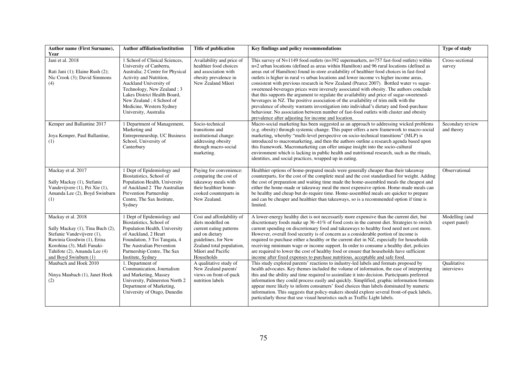| <b>Author name (First Surname),</b>                                                                                                                                                                       | <b>Author affiliation/institution</b>                                                                                                                                                                                                                                                              | <b>Title of publication</b>                                                                                                                                                        | Key findings and policy recommendations                                                                                                                                                                                                                                                                                                                                                                                                                                                                                                                                                                                                                                                                                                                                                                                                                                                                                                                                                               | Type of study                   |
|-----------------------------------------------------------------------------------------------------------------------------------------------------------------------------------------------------------|----------------------------------------------------------------------------------------------------------------------------------------------------------------------------------------------------------------------------------------------------------------------------------------------------|------------------------------------------------------------------------------------------------------------------------------------------------------------------------------------|-------------------------------------------------------------------------------------------------------------------------------------------------------------------------------------------------------------------------------------------------------------------------------------------------------------------------------------------------------------------------------------------------------------------------------------------------------------------------------------------------------------------------------------------------------------------------------------------------------------------------------------------------------------------------------------------------------------------------------------------------------------------------------------------------------------------------------------------------------------------------------------------------------------------------------------------------------------------------------------------------------|---------------------------------|
| Year<br>Jani et al. 2018<br>Rati Jani (1); Elaine Rush (2);<br>Nic Crook (3); David Simmons<br>(4)                                                                                                        | 1 School of Clinical Sciences,<br>University of Canberra,<br>Australia; 2 Centre for Physical<br>Activity and Nutrition,<br>Auckland University of<br>Technology, New Zealand; 3<br>Lakes District Health Board,<br>New Zealand ; 4 School of<br>Medicine, Western Sydney<br>University, Australia | Availability and price of<br>healthier food choices<br>and association with<br>obesity prevalence in<br>New Zealand Māori                                                          | This survey of $N=1149$ food outlets (n=392 supermarkets, n=757 fast-food outlets) within<br>n=2 urban locations (defined as areas within Hamilton) and 96 rural locations (defined as<br>areas out of Hamilton) found in-store availability of healthier food choices in fast-food<br>outlets is higher in rural vs urban locations and lower income vs higher income areas,<br>consistent with previous research in New Zealand (Pearce 2007). Bottled water vs sugar-<br>sweetened-beverages prices were inversely associated with obesity. The authors conclude<br>that this supports the argument to regulate the availability and price of sugar-sweetened-<br>beverages in NZ. The positive association of the availability of trim milk with the<br>prevalence of obesity warrants investigation into individual's dietary and food-purchase<br>behaviour. No association between number of fast-food outlets with cluster and obesity<br>prevalence after adjusting for income and location. | Cross-sectional<br>survey       |
| Kemper and Ballantine 2017<br>Joya Kemper, Paul Ballantine,<br>(1)                                                                                                                                        | 1 Department of Management,<br>Marketing and<br>Entrepreneurship, UC Business<br>School, University of<br>Canterbury                                                                                                                                                                               | Socio-technical<br>transitions and<br>institutional change:<br>addressing obesity<br>through macro-social<br>marketing.                                                            | Macro-social marketing has been suggested as an approach to addressing wicked problems<br>(e.g. obesity) through systemic change. This paper offers a new framework to macro-social<br>marketing, whereby "multi-level perspective on socio-technical transitions" (MLP) is<br>introduced to macromarketing, and then the authors outline a research agenda based upon<br>this framework. Macromarketing can offer unique insight into the socio-cultural<br>environment which is lacking in public health and nutritional research, such as the rituals,<br>identities, and social practices, wrapped up in eating.                                                                                                                                                                                                                                                                                                                                                                                  | Secondary review<br>and theory  |
| Mackay et al. 2017<br>Sally Mackay (1), Stefanie<br>Vandevijvere (1), Pei Xie (1),<br>Amanda Lee (2), Boyd Swinburn<br>(1)                                                                                | 1 Dept of Epidemiology and<br>Biostatistics, School of<br>Population Health, University<br>of Auckland 2 The Australian<br>Prevention Partnership<br>Centre, The Sax Institute,<br>Sydney                                                                                                          | Paying for convenience:<br>comparing the cost of<br>takeaway meals with<br>their healthier home-<br>cooked counterparts in<br>New Zealand.                                         | Healthier options of home-prepared meals were generally cheaper than their takeaway<br>counterparts, for the cost of the complete meal and the cost standardised for weight. Adding<br>the cost of preparation and waiting time made the home-assembled meals the cheapest and<br>either the home-made or takeaway meal the most expensive option. Home-made meals can<br>be healthy and cheap but do require time. Home-assembled meals are quicker to prepare<br>and can be cheaper and healthier than takeaways, so is a recommended option if time is<br>limited.                                                                                                                                                                                                                                                                                                                                                                                                                                 | Observational                   |
| Mackay et al. 2018<br>Sally Mackay (1), Tina Buch (2),<br>Stefanie Vandevijvere (1),<br>Rawinia Goodwin (1), Erina<br>Korohina (3), Mafi Funaki-<br>Tahifote (2), Amanda Lee (4)<br>and Boyd Swinburn (1) | 1 Dept of Epidemiology and<br>Biostatistics, School of<br>Population Health, University<br>of Auckland, 2 Heart<br>Foundation, 3 Toi Tangata, 4<br>The Australian Prevention<br>Partnership Centre, The Sax<br>Institute, Sydney                                                                   | Cost and affordability of<br>diets modelled on<br>current eating patterns<br>and on dietary<br>guidelines, for New<br>Zealand total population,<br>Māori and Pacific<br>Households | A lower-energy healthy diet is not necessarily more expensive than the current diet, but<br>discretionary foods make up $36-41\%$ of food costs in the current diet. Strategies to switch<br>current spending on discretionary food and takeaways to healthy food need not cost more.<br>However, overall food security is of concern as a considerable portion of income is<br>required to purchase either a healthy or the current diet in NZ, especially for households<br>receiving minimum wage or income support. In order to consume a healthy diet, policies<br>are required to lower the cost of healthy food or ensure that households have sufficient<br>income after fixed expenses to purchase nutritious, acceptable and safe food.                                                                                                                                                                                                                                                     | Modelling (and<br>expert panel) |
| Maubach and Hoek 2010<br>Ninya Maubach (1), Janet Hoek<br>(2)                                                                                                                                             | 1. Department of<br>Communication, Journalism<br>and Marketing, Massey<br>University, Palmerston North 2<br>Department of Marketing,<br>University of Otago, Dunedin                                                                                                                               | A qualitative study of<br>New Zealand parents'<br>views on front-of-pack<br>nutrition labels                                                                                       | This study explored parents' reactions to industry-led labels and formats proposed by<br>health advocates. Key themes included the volume of information, the ease of interpreting<br>this and the ability and time required to assimilate it into decision. Participants preferred<br>information they could process easily and quickly. Simplified, graphic information formats<br>appear more likely to inform consumers' food choices than labels dominated by numeric<br>information. This suggests that policy-makers should explore several front-of-pack labels,<br>particularly those that use visual heuristics such as Traffic Light labels.                                                                                                                                                                                                                                                                                                                                               | Oualitative<br>interviews       |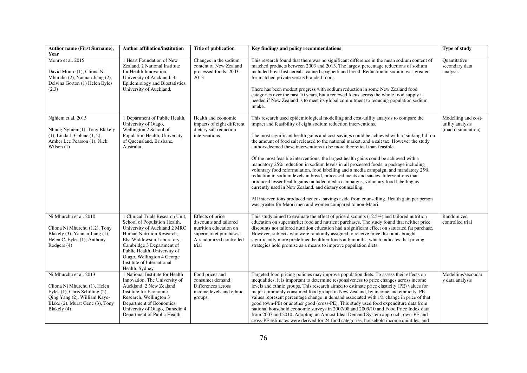| Author name (First Surname),<br>Year                                                                                                                                        | <b>Author affiliation/institution</b>                                                                                                                                                                                                                                                                  | <b>Title of publication</b>                                                                                                        | Key findings and policy recommendations                                                                                                                                                                                                                                                                                                                                                                                                                                                                                                                                                                                                                                                                                                                                                                                                                                                                                                                                                                                                                                                                         | Type of study                                                 |
|-----------------------------------------------------------------------------------------------------------------------------------------------------------------------------|--------------------------------------------------------------------------------------------------------------------------------------------------------------------------------------------------------------------------------------------------------------------------------------------------------|------------------------------------------------------------------------------------------------------------------------------------|-----------------------------------------------------------------------------------------------------------------------------------------------------------------------------------------------------------------------------------------------------------------------------------------------------------------------------------------------------------------------------------------------------------------------------------------------------------------------------------------------------------------------------------------------------------------------------------------------------------------------------------------------------------------------------------------------------------------------------------------------------------------------------------------------------------------------------------------------------------------------------------------------------------------------------------------------------------------------------------------------------------------------------------------------------------------------------------------------------------------|---------------------------------------------------------------|
| Monro et al. 2015<br>David Monro (1), Cliona Ni<br>Mhurchu (2), Yannan Jiang (2),<br>Delvina Gorton (1) Helen Eyles<br>(2,3)                                                | 1 Heart Foundation of New<br>Zealand. 2 National Institute<br>for Health Innovation,<br>University of Auckland. 3.<br>Epidemiology and Biostatistics,<br>University of Auckland.                                                                                                                       | Changes in the sodium<br>content of New Zealand<br>processed foods: 2003-<br>2013                                                  | This research found that there was no significant difference in the mean sodium content of<br>matched products between 2003 and 2013. The largest percentage reductions of sodium<br>included breakfast cereals, canned spaghetti and bread. Reduction in sodium was greater<br>for matched private versus branded foods<br>There has been modest progress with sodium reduction in some New Zealand food<br>categories over the past 10 years, but a renewed focus across the whole food supply is<br>needed if New Zealand is to meet its global commitment to reducing population sodium<br>intake.                                                                                                                                                                                                                                                                                                                                                                                                                                                                                                          | Ouantitative<br>secondary data<br>analysis                    |
| Nghiem et al. 2015<br>Nhung Nghiem(1), Tony Blakely<br>(1), Linda J. Cobiac (1, 2),<br>Amber Lee Pearson (1), Nick<br>Wilson $(1)$                                          | 1 Department of Public Health,<br>University of Otago,<br>Wellington 2 School of<br>Population Health, University<br>of Queensland, Brisbane,<br>Australia                                                                                                                                             | Health and economic<br>impacts of eight different<br>dietary salt reduction<br>interventions                                       | This research used epidemiological modelling and cost-utility analysis to compare the<br>impact and feasibility of eight sodium reduction interventions.<br>The most significant health gains and cost savings could be achieved with a 'sinking lid' on<br>the amount of food salt released to the national market, and a salt tax. However the study<br>authors deemed these interventions to be more theoretical than feasible.<br>Of the most feasible interventions, the largest health gains could be achieved with a<br>mandatory 25% reduction in sodium levels in all processed foods, a package including<br>voluntary food reformulation, food labelling and a media campaign, and mandatory 25%<br>reduction in sodium levels in bread, processed meats and sauces. Interventions that<br>produced lesser health gains included media campaigns, voluntary food labelling as<br>currently used in New Zealand, and dietary counselling.<br>All interventions produced net cost savings aside from counselling. Health gain per person<br>was greater for Māori men and women compared to non-Māori. | Modelling and cost-<br>utility analysis<br>(macro simulation) |
| Ni Mhurchu et al. 2010<br>Cliona Ni Mhurchu (1,2), Tony<br>Blakely (3), Yannan Jiang (1),<br>Helen C. Eyles (1), Anthony<br>Rodgers (4)                                     | 1 Clinical Trials Research Unit,<br>School of Population Health,<br>University of Auckland 2 MRC<br>Human Nutrition Research,<br>Elsi Widdowson Laboratory,<br>Cambridge 3 Department of<br>Public Health, University of<br>Otago, Wellington 4 George<br>Institute of International<br>Health, Sydney | Effects of price<br>discounts and tailored<br>nutrition education on<br>supermarket purchases:<br>A randomized controlled<br>trial | This study aimed to evaluate the effect of price discounts $(12.5\%)$ and tailored nutrition<br>education on supermarket food and nutrient purchases. The study found that neither price<br>discounts nor tailored nutrition education had a significant effect on saturated fat purchase.<br>However, subjects who were randomly assigned to receive price discounts bought<br>significantly more predefined healthier foods at 6 months, which indicates that pricing<br>strategies hold promise as a means to improve population diets.                                                                                                                                                                                                                                                                                                                                                                                                                                                                                                                                                                      | Randomized<br>controlled trial                                |
| Ni Mhurchu et al. 2013<br>Cliona Ni Mhurchu (1), Helen<br>Eyles (1), Chris Schilling (2),<br>Qing Yang (2), William Kaye-<br>Blake (2), Murat Genc (3), Tony<br>Blakely (4) | 1 National Institute for Health<br>Innovation, The University of<br>Auckland. 2 New Zealand<br>Institute for Economic<br>Research, Wellington 3<br>Department of Economics,<br>University of Otago, Dunedin 4<br>Department of Public Health,                                                          | Food prices and<br>consumer demand:<br>Differences across<br>income levels and ethnic<br>groups.                                   | Targeted food pricing policies may improve population diets. To assess their effects on<br>inequalities, it is important to determine responsiveness to price changes across income<br>levels and ethnic groups. This research aimed to estimate price elasticity (PE) values for<br>major commonly consumed food groups in New Zealand, by income and ethnicity. PE<br>values represent percentage change in demand associated with 1% change in price of that<br>good (own-PE) or another good (cross-PE). This study used food expenditure data from<br>national household economic surveys in 2007/08 and 2009/10 and Food Price Index data<br>from 2007 and 2010. Adopting an Almost Ideal Demand System approach, own-PE and<br>cross-PE estimates were derived for 24 food categories, household income quintiles, and                                                                                                                                                                                                                                                                                   | Modelling/secondar<br>y data analysis                         |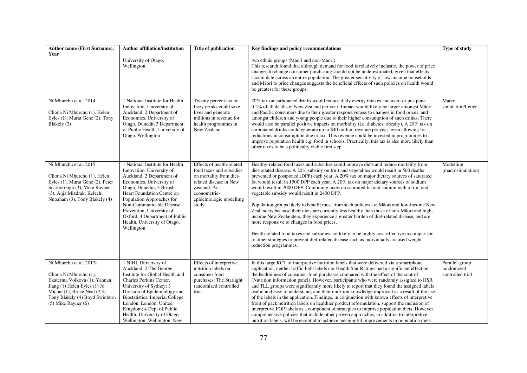| Author name (First Surname),<br>Year                                                                                                                                                                                | <b>Author affiliation/institution</b>                                                                                                                                                                                                                                                                                                                  | Title of publication                                                                                                                                                          | Key findings and policy recommendations                                                                                                                                                                                                                                                                                                                                                                                                                                                                                                                                                                                                                                                                                                                                                                                                                                                                                                                                                                                                                               | Type of study                                    |
|---------------------------------------------------------------------------------------------------------------------------------------------------------------------------------------------------------------------|--------------------------------------------------------------------------------------------------------------------------------------------------------------------------------------------------------------------------------------------------------------------------------------------------------------------------------------------------------|-------------------------------------------------------------------------------------------------------------------------------------------------------------------------------|-----------------------------------------------------------------------------------------------------------------------------------------------------------------------------------------------------------------------------------------------------------------------------------------------------------------------------------------------------------------------------------------------------------------------------------------------------------------------------------------------------------------------------------------------------------------------------------------------------------------------------------------------------------------------------------------------------------------------------------------------------------------------------------------------------------------------------------------------------------------------------------------------------------------------------------------------------------------------------------------------------------------------------------------------------------------------|--------------------------------------------------|
|                                                                                                                                                                                                                     | University of Otago,<br>Wellington                                                                                                                                                                                                                                                                                                                     |                                                                                                                                                                               | two ethnic groups (Māori and non-Māori).<br>This research found that although demand for food is relatively inelastic, the power of price<br>changes to change consumer purchasing should not be underestimated, given that effects<br>accumulate across an entire population. The greater sensitivity of low-income households<br>and Māori to price changes suggests the beneficial effects of such policies on health would<br>be greatest for these groups.                                                                                                                                                                                                                                                                                                                                                                                                                                                                                                                                                                                                       |                                                  |
| Ni Mhurchu et al. 2014<br>Cliona Ni Mhurchu (1), Helen<br>Eyles (1), Murat Genc (2), Tony<br>Blakely (3)                                                                                                            | 1 National Institute for Health<br>Innovation, University of<br>Auckland, 2 Department of<br>Economics, University of<br>Otago, Dunedin 3 Department<br>of Public Health, University of<br>Otago, Wellington                                                                                                                                           | Twenty percent tax on<br>fizzy drinks could save<br>lives and generate<br>millions in revenue for<br>health programmes in<br>New Zealand.                                     | 20% tax on carbonated drinks would reduce daily energy intakes and avert or postpone<br>0.2% of all deaths in New Zealand per year. Impact would likely be larger amongst Māori<br>and Pacific consumers due to their greater responsiveness to changes in food prices, and<br>amongst children and young people due to their higher consumption of such drinks. There<br>would also be parallel positive impacts on morbidity (i.e. diabetes, obesity). A 20% tax on<br>carbonated drinks could generate up to \$40 million revenue per year, even allowing for<br>reductions in consumption due to tax. This revenue could be invested in programmes to<br>improve population health e.g. food in schools. Practically, this tax is also more likely than<br>other taxes to be a politically viable first step.                                                                                                                                                                                                                                                     | Macro<br>simulation/Letter                       |
| Ni Mhurchu et al. 2015<br>Cliona Ni Mhurchu (1), Helen<br>Eyles (1), Murat Genc (2), Peter<br>Scarborough (3), Mike Rayner<br>(3), Anja Mizdrak, Kelechi<br>Nnoaham (3), Tony Blakely (4)                           | 1 National Institute for Health<br>Innovation, University of<br>Auckland, 2 Department of<br>Economics, University of<br>Otago, Dunedin, 3 British<br>Heart Foundation Centre on<br>Population Approaches for<br>Non-Communicable Disease<br>Prevention, University of<br>Oxford, 4 Department of Public<br>Health, University of Otago,<br>Wellington | Effects of health-related<br>food taxes and subsidies<br>on mortality from diet-<br>related disease in New<br>Zealand: An<br>econometric-<br>epidemiologic modelling<br>study | Healthy-related food taxes and subsidies could improve diets and reduce mortality from<br>diet-related disease. A 20% subsidy on fruit and vegetables would result in 560 deaths<br>prevented or postponed (DPP) each year. A 20% tax on major dietary sources of saturated<br>fat would result in 1500 DPP each year. A 20% tax on major dietary sources of sodium<br>would result in 2000 DPP. Combining taxes on saturated fat and sodium with a fruit and<br>vegetable subsidy would result in 2400 DPP.<br>Population groups likely to benefit most from such policies are Māori and low-income New<br>Zealanders because their diets are currently less healthy than those of non-Māori and high-<br>income New Zealanders, they experience a greater burden of diet-related disease, and are<br>more responsive to changes in food prices.<br>Health-related food taxes and subsidies are likely to be highly cost-effective in comparison<br>to other strategies to prevent diet-related disease such as individually-focused weight<br>reduction programmes. | Modelling<br>(macrosimulation)                   |
| Ni Mhurchu et al. 2017a<br>Cliona Ni Mhurchu (1),<br>Ekaterina Volkova (1), Yannan<br>Jiang $(1)$ Helen Eyles $(1)$ Jo<br>Michie (1), Bruce Neal (2,3)<br>Tony Blakely (4) Boyd Swinburn<br>$(5)$ Mike Rayner $(6)$ | 1 NIHI, University of<br>Auckland; 2 The George<br>Institute for Global Health and<br>Charles Perkins Center,<br>University of Sydney; 3<br>Division of Epidemiology and<br>Biostatistics, Imperial College<br>London, London, United<br>Kingdom; 4 Dept of Public<br>Health, University of Otago<br>Wellington, Wellington, New                       | Effects of interpretive<br>nutrition labels on<br>consumer food<br>purchases: The Starlight<br>randomized controlled<br>trial                                                 | In this large RCT of interpretive nutrition labels that were delivered via a smartphone<br>application, neither traffic light labels nor Health Star Ratings had a significant effect on<br>the healthiness of consumer food purchases compared with the effect of the control<br>(Nutrition information panel). However, participants who were randomly assigned to HSR<br>and TLL groups were significantly more likely to report that they found the assigned labels<br>useful and easy to understand, and their nutrition knowledge improved as a result of the use<br>of the labels in the application. Findings, in conjunction with known effects of interpretive<br>front of pack nutrition labels on healthier product reformulation, support the inclusion of<br>interpretive FOP labels as a component of strategies to improve population diets. However,<br>comprehensive policies that include other proven approaches, in addition to interpretive<br>nutrition labels, will be essential to achieve meaningful improvements in population diets.      | Parallel-group<br>randomized<br>controlled trial |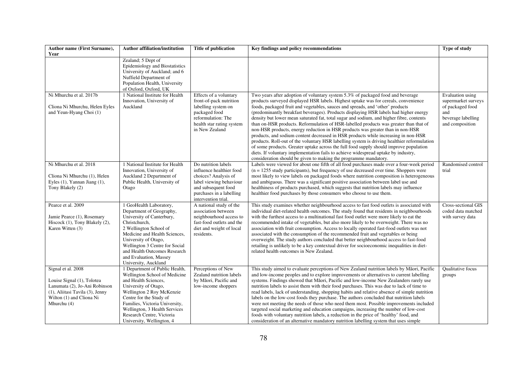| <b>Author name (First Surname),</b><br>Year                                                                                                                     | <b>Author affiliation/institution</b>                                                                                                                                                                                                                                                                    | <b>Title of publication</b>                                                                                                                                                  | Key findings and policy recommendations                                                                                                                                                                                                                                                                                                                                                                                                                                                                                                                                                                                                                                                                                                                                                                                                                                                                                                                                                                                                                           | Type of study                                                                                               |
|-----------------------------------------------------------------------------------------------------------------------------------------------------------------|----------------------------------------------------------------------------------------------------------------------------------------------------------------------------------------------------------------------------------------------------------------------------------------------------------|------------------------------------------------------------------------------------------------------------------------------------------------------------------------------|-------------------------------------------------------------------------------------------------------------------------------------------------------------------------------------------------------------------------------------------------------------------------------------------------------------------------------------------------------------------------------------------------------------------------------------------------------------------------------------------------------------------------------------------------------------------------------------------------------------------------------------------------------------------------------------------------------------------------------------------------------------------------------------------------------------------------------------------------------------------------------------------------------------------------------------------------------------------------------------------------------------------------------------------------------------------|-------------------------------------------------------------------------------------------------------------|
|                                                                                                                                                                 | Zealand; 5 Dept of<br>Epidemiology and Biostatistics<br>University of Auckland; and 6<br>Nuffield Department of<br>Population Health, University<br>of Oxford, Oxford, UK                                                                                                                                |                                                                                                                                                                              |                                                                                                                                                                                                                                                                                                                                                                                                                                                                                                                                                                                                                                                                                                                                                                                                                                                                                                                                                                                                                                                                   |                                                                                                             |
| Ni Mhurchu et al. 2017b<br>Cliona Ni Mhurchu, Helen Eyles<br>and Yeun-Hyang Choi (1)                                                                            | 1 National Institute for Health<br>Innovation, University of<br>Auckland                                                                                                                                                                                                                                 | Effects of a voluntary<br>front-of-pack nutrition<br>labelling system on<br>packaged food<br>reformulation: The<br>health star rating system<br>in New Zealand               | Two years after adoption of voluntary system 5.3% of packaged food and beverage<br>products surveyed displayed HSR labels. Highest uptake was for cereals, convenience<br>foods, packaged fruit and vegetables, sauces and spreads, and 'other' products<br>(predominantly breakfast beverages). Products displaying HSR labels had higher energy<br>density but lower mean saturated fat, total sugar and sodium, and higher fibre, contents<br>than on-HSR products. Reformulation of HSR-labelled products was greater than that of<br>non-HSR products, energy reduction in HSR products was greater than in non-HSR<br>products, and sodium content decreased in HSR products while increasing in non-HSR<br>products. Roll-out of the voluntary HSR labelling system is driving healthier reformulation<br>of some products. Greater uptake across the full food supply should improve population<br>diets. If voluntary implementation fails to achieve widespread uptake by industry,<br>consideration should be given to making the programme mandatory. | Evaluation using<br>supermarket surveys<br>of packaged food<br>and<br>beverage labelling<br>and composition |
| Ni Mhurchu et al. 2018<br>Cliona Ni Mhurchu (1), Helen<br>Eyles $(1)$ , Yannan Jiang $(1)$ ,<br>Tony Blakely (2)                                                | 1 National Institute for Health<br>Innovation, University of<br>Auckland 2 Department of<br>Public Health, University of<br>Otago                                                                                                                                                                        | Do nutrition labels<br>influence healthier food<br>choices? Analysis of<br>label viewing behaviour<br>and subsequent food<br>purchases in a labelling<br>intervention trial. | Labels were viewed for about one fifth of all food purchases made over a four-week period<br>$(n = 1255$ study participants), but frequency of use decreased over time. Shoppers were<br>most likely to view labels on packaged foods where nutrition composition is heterogeneous<br>and ambiguous. There was a significant positive association between label use and<br>healthiness of products purchased, which suggests that nutrition labels may influence<br>healthier food purchases by those consumers who choose to use them.                                                                                                                                                                                                                                                                                                                                                                                                                                                                                                                           | Randomised control<br>trial                                                                                 |
| Pearce et al. 2009<br>Jamie Pearce (1), Rosemary<br>Hiscock (1), Tony Blakely (2),<br>Karen Witten (3)                                                          | 1 GeoHealth Laboratory,<br>Department of Geography,<br>University of Canterbury,<br>Christchurch,<br>2 Wellington School of<br>Medicine and Health Sciences,<br>University of Otago,<br>Wellington 3 Centre for Social<br>and Health Outcomes Research<br>and Evaluation, Massey<br>University, Auckland | A national study of the<br>association between<br>neighbourhood access to<br>fast-food outlets and the<br>diet and weight of local<br>residents.                             | This study examines whether neighbourhood access to fast food outlets is associated with<br>individual diet-related health outcomes. The study found that residents in neighbourhoods<br>with the furthest access to a multinational fast food outlet were more likely to eat the<br>recommended intake of vegetables, but also more likely to be overweight. There was no<br>association with fruit consumption. Access to locally operated fast-food outlets was not<br>associated with the consumption of the recommended fruit and vegetables or being<br>overweight. The study authors concluded that better neighbourhood access to fast-food<br>retailing is unlikely to be a key contextual driver for socioeconomic inequalities in diet-<br>related health outcomes in New Zealand.                                                                                                                                                                                                                                                                     | Cross-sectional GIS<br>coded data matched<br>with survey data                                               |
| Signal et al. 2008<br>Louise Signal (1), Tolotea<br>Lanumata (2), Jo-Ani Robinson<br>(1), Aliitasi Tavila (3), Jenny<br>Wilton (1) and Cliona Ni<br>Mhurchu (4) | 1 Department of Public Health,<br>Wellington School of Medicine<br>and Health Sciences,<br>University of Otago,<br>Wellington 2 Roy McKenzie<br>Centre for the Study of<br>Families, Victoria University,<br>Wellington, 3 Health Services<br>Research Centre, Victoria<br>University, Wellington, 4     | Perceptions of New<br>Zealand nutrition labels<br>by Māori, Pacific and<br>low-income shoppers                                                                               | This study aimed to evaluate perceptions of New Zealand nutrition labels by Māori, Pacific<br>and low-income peoples and to explore improvements or alternatives to current labelling<br>systems. Findings showed that Māori, Pacific and low-income New Zealanders rarely use<br>nutrition labels to assist them with their food purchases. This was due to lack of time to<br>read labels, lack of understanding, shopping habits and relative absence of simple nutrition<br>labels on the low-cost foods they purchase. The authors concluded that nutrition labels<br>were not meeting the needs of those who need them most. Possible improvements included<br>targeted social marketing and education campaigns, increasing the number of low-cost<br>foods with voluntary nutrition labels, a reduction in the price of 'healthy' food, and<br>consideration of an alternative mandatory nutrition labelling system that uses simple                                                                                                                      | Qualitative focus<br>groups                                                                                 |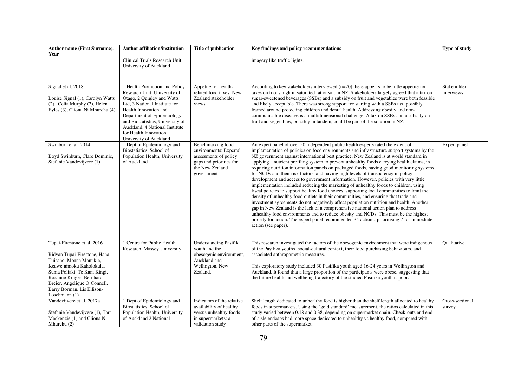| Author name (First Surname),<br>Year                                                                                                                                                                                                                           | <b>Author affiliation/institution</b>                                                                                                                                                                                                                                                                         | Title of publication                                                                                                             | Key findings and policy recommendations                                                                                                                                                                                                                                                                                                                                                                                                                                                                                                                                                                                                                                                                                                                                                                                                                                                                                                                                                                                                                                                                                                                                                                                                                                                                                  | Type of study             |
|----------------------------------------------------------------------------------------------------------------------------------------------------------------------------------------------------------------------------------------------------------------|---------------------------------------------------------------------------------------------------------------------------------------------------------------------------------------------------------------------------------------------------------------------------------------------------------------|----------------------------------------------------------------------------------------------------------------------------------|--------------------------------------------------------------------------------------------------------------------------------------------------------------------------------------------------------------------------------------------------------------------------------------------------------------------------------------------------------------------------------------------------------------------------------------------------------------------------------------------------------------------------------------------------------------------------------------------------------------------------------------------------------------------------------------------------------------------------------------------------------------------------------------------------------------------------------------------------------------------------------------------------------------------------------------------------------------------------------------------------------------------------------------------------------------------------------------------------------------------------------------------------------------------------------------------------------------------------------------------------------------------------------------------------------------------------|---------------------------|
|                                                                                                                                                                                                                                                                | Clinical Trials Research Unit,<br>University of Auckland                                                                                                                                                                                                                                                      |                                                                                                                                  | imagery like traffic lights.                                                                                                                                                                                                                                                                                                                                                                                                                                                                                                                                                                                                                                                                                                                                                                                                                                                                                                                                                                                                                                                                                                                                                                                                                                                                                             |                           |
| Signal et al. 2018<br>Louise Signal (1), Carolyn Watts<br>(2), Celia Murphy (2), Helen<br>Eyles (3), Cliona Ni Mhurchu (4)                                                                                                                                     | 1 Health Promotion and Policy<br>Research Unit, University of<br>Otago, 2 Quigley and Watts<br>Ltd, 3 National Institute for<br>Health Innovation and<br>Department of Epidemiology<br>and Biostatistics, University of<br>Auckland, 4 National Institute<br>for Health Innovation,<br>University of Auckland | Appetite for health-<br>related food taxes: New<br>Zealand stakeholder<br>views                                                  | According to key stakeholders interviewed $(n=20)$ there appears to be little appetite for<br>taxes on foods high in saturated fat or salt in NZ. Stakeholders largely agreed that a tax on<br>sugar-sweetened beverages (SSBs) and a subsidy on fruit and vegetables were both feasible<br>and likely acceptable. There was strong support for starting with a SSBs tax, possibly<br>framed around protecting children and dental health. Addressing obesity and non-<br>communicable diseases is a multidimensional challenge. A tax on SSBs and a subsidy on<br>fruit and vegetables, possibly in tandem, could be part of the solution in NZ.                                                                                                                                                                                                                                                                                                                                                                                                                                                                                                                                                                                                                                                                        | Stakeholder<br>interviews |
| Swinburn et al. 2014<br>Boyd Swinburn, Clare Dominic,<br>Stefanie Vandevijvere (1)                                                                                                                                                                             | 1 Dept of Epidemiology and<br>Biostatistics, School of<br>Population Health, University<br>of Auckland                                                                                                                                                                                                        | Benchmarking food<br>environments: Experts'<br>assessments of policy<br>gaps and priorities for<br>the New Zealand<br>government | An expert panel of over 50 independent public health experts rated the extent of<br>implementation of policies on food environments and infrastructure support systems by the<br>NZ government against international best practice. New Zealand is at world standard in<br>applying a nutrient profiling system to prevent unhealthy foods carrying health claims, in<br>requiring nutrition information panels on packaged foods, having good monitoring systems<br>for NCDs and their risk factors, and having high levels of transparency in policy<br>development and access to government information. However, policies with very little<br>implementation included reducing the marketing of unhealthy foods to children, using<br>fiscal policies to support healthy food choices, supporting local communities to limit the<br>density of unhealthy food outlets in their communities, and ensuring that trade and<br>investment agreements do not negatively affect population nutrition and health. Another<br>gap in New Zealand is the lack of a comprehensive national action plan to address<br>unhealthy food environments and to reduce obesity and NCDs. This must be the highest<br>priority for action. The expert panel recommended 34 actions, prioritising 7 for immediate<br>action (see paper). | Expert panel              |
| Tupai-Firestone et al. 2016<br>Ridvan Tupai-Firestone, Hana<br>Tuisano, Moana Manukia,<br>Keawe'aimoku Kaholokula,<br>Sunia Foliaki, Te Kani Kingi,<br>Rozanne Kruger, Bernhard<br>Breier, Angelique O'Connell,<br>Barry Borman, Lis Ellison-<br>Loschmann (1) | 1 Centre for Public Health<br>Research, Massey University                                                                                                                                                                                                                                                     | <b>Understanding Pasifika</b><br>youth and the<br>obesogenic environment,<br>Auckland and<br>Wellington, New<br>Zealand.         | This research investigated the factors of the obesogenic environment that were indigenous<br>of the Pasifika youths' social-cultural context, their food purchasing behaviours, and<br>associated anthropometric measures.<br>This exploratory study included 30 Pasifika youth aged 16-24 years in Wellington and<br>Auckland. It found that a large proportion of the participants were obese, suggesting that<br>the future health and wellbeing trajectory of the studied Pasifika youth is poor.                                                                                                                                                                                                                                                                                                                                                                                                                                                                                                                                                                                                                                                                                                                                                                                                                    | Oualitative               |
| Vandevijvere et al. 2017a<br>Stefanie Vandevijvere (1), Tara<br>Mackenzie (1) and Cliona Ni<br>Mhurchu $(2)$                                                                                                                                                   | 1 Dept of Epidemiology and<br>Biostatistics, School of<br>Population Health, University<br>of Auckland 2 National                                                                                                                                                                                             | Indicators of the relative<br>availability of healthy<br>versus unhealthy foods<br>in supermarkets: a<br>validation study        | Shelf length dedicated to unhealthy food is higher than the shelf length allocated to healthy<br>foods in supermarkets. Using the 'gold standard' measurement, the ratios calculated in this<br>study varied between 0.18 and 0.38, depending on supermarket chain. Check-outs and end-<br>of-aisle endcaps had more space dedicated to unhealthy vs healthy food, compared with<br>other parts of the supermarket.                                                                                                                                                                                                                                                                                                                                                                                                                                                                                                                                                                                                                                                                                                                                                                                                                                                                                                      | Cross-sectional<br>survey |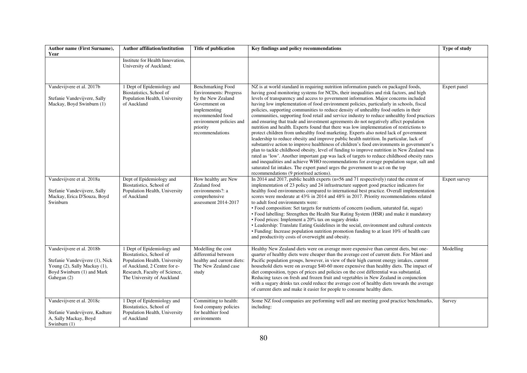| Author name (First Surname),<br>Year                                                                                                      | <b>Author affiliation/institution</b>                                                                                                                                                  | Title of publication                                                                                                                                                                            | Key findings and policy recommendations                                                                                                                                                                                                                                                                                                                                                                                                                                                                                                                                                                                                                                                                                                                                                                                                                                                                                                                                                                                                                                                                                                                                                                                                                                                                                                                                                                                                               | Type of study |
|-------------------------------------------------------------------------------------------------------------------------------------------|----------------------------------------------------------------------------------------------------------------------------------------------------------------------------------------|-------------------------------------------------------------------------------------------------------------------------------------------------------------------------------------------------|-------------------------------------------------------------------------------------------------------------------------------------------------------------------------------------------------------------------------------------------------------------------------------------------------------------------------------------------------------------------------------------------------------------------------------------------------------------------------------------------------------------------------------------------------------------------------------------------------------------------------------------------------------------------------------------------------------------------------------------------------------------------------------------------------------------------------------------------------------------------------------------------------------------------------------------------------------------------------------------------------------------------------------------------------------------------------------------------------------------------------------------------------------------------------------------------------------------------------------------------------------------------------------------------------------------------------------------------------------------------------------------------------------------------------------------------------------|---------------|
|                                                                                                                                           | Institute for Health Innovation,<br>University of Auckland;                                                                                                                            |                                                                                                                                                                                                 |                                                                                                                                                                                                                                                                                                                                                                                                                                                                                                                                                                                                                                                                                                                                                                                                                                                                                                                                                                                                                                                                                                                                                                                                                                                                                                                                                                                                                                                       |               |
| Vandevijvere et al. 2017b<br>Stefanie Vandevijvere, Sally<br>Mackay, Boyd Swinburn (1)                                                    | 1 Dept of Epidemiology and<br>Biostatistics, School of<br>Population Health, University<br>of Auckland                                                                                 | <b>Benchmarking Food</b><br><b>Environments: Progress</b><br>by the New Zealand<br>Government on<br>implementing<br>recommended food<br>environment policies and<br>priority<br>recommendations | NZ is at world standard in requiring nutrition information panels on packaged foods,<br>having good monitoring systems for NCDs, their inequalities and risk factors, and high<br>levels of transparency and access to government information. Major concerns included<br>having low implementation of food environment policies, particularly in schools, fiscal<br>policies, supporting communities to reduce density of unhealthy food outlets in their<br>communities, supporting food retail and service industry to reduce unhealthy food practices<br>and ensuring that trade and investment agreements do not negatively affect population<br>nutrition and health. Experts found that there was low implementation of restrictions to<br>protect children from unhealthy food marketing. Experts also noted lack of government<br>leadership to reduce obesity and improve public health nutrition. In particular, lack of<br>substantive action to improve healthiness of children's food environments in government's<br>plan to tackle childhood obesity, level of funding to improve nutrition in New Zealand was<br>rated as 'low'. Another important gap was lack of targets to reduce childhood obesity rates<br>and inequalities and achieve WHO recommendations for average population sugar, salt and<br>saturated fat intakes. The expert panel urges the government to act on the top<br>recommendations (9 prioritsed actions). | Expert panel  |
| Vandevijvere et al. 2018a<br>Stefanie Vandevijvere, Sally<br>Mackay, Erica D'Souza, Boyd<br>Swinburn                                      | Dept of Epidemiology and<br>Biostatistics, School of<br>Population Health, University<br>of Auckland                                                                                   | How healthy are New<br>Zealand food<br>environments?: a<br>comprehensive<br>assessment 2014-2017                                                                                                | In 2014 and 2017, public health experts (n=56 and 71 respectively) rated the extent of<br>implementation of 23 policy and 24 infrastructure support good practice indicators for<br>healthy food environments compared to international best practice. Overall implementation<br>scores were moderate at 43% in 2014 and 48% in 2017. Priority recommendations related<br>to adult food environments were:<br>· Food composition: Set targets for nutrients of concern (sodium, saturated fat, sugar)<br>• Food labelling: Strengthen the Health Star Rating System (HSR) and make it mandatory<br>• Food prices: Implement a 20% tax on sugary drinks<br>• Leadership: Translate Eating Guidelines in the social, environment and cultural contexts<br>• Funding: Increase population nutrition promotion funding to at least 10% of health care<br>and productivity costs of overweight and obesity.                                                                                                                                                                                                                                                                                                                                                                                                                                                                                                                                                | Expert survey |
| Vandevijvere et al. 2018b<br>Stefanie Vandevijvere (1), Nick<br>Young (2), Sally Mackay (1),<br>Boyd Swinburn (1) and Mark<br>Gahegan (2) | 1 Dept of Epidemiology and<br>Biostatistics, School of<br>Population Health, University<br>of Auckland, 2 Centre for e-<br>Research, Faculty of Science,<br>The University of Auckland | Modelling the cost<br>differential between<br>healthy and current diets:<br>The New Zealand case<br>study                                                                                       | Healthy New Zealand diets were on average more expensive than current diets, but one-<br>quarter of healthy diets were cheaper than the average cost of current diets. For Māori and<br>Pacific population groups, however, in view of their high current energy intakes, current<br>household diets were on average \$40-60 more expensive than healthy diets. The impact of<br>diet composition, types of prices and policies on the cost differential was substantial.<br>Reducing taxes on fresh and frozen fruit and vegetables in New Zealand in conjunction<br>with a sugary drinks tax could reduce the average cost of healthy diets towards the average<br>of current diets and make it easier for people to consume healthy diets.                                                                                                                                                                                                                                                                                                                                                                                                                                                                                                                                                                                                                                                                                                         | Modelling     |
| Vandevijvere et al. 2018c<br>Stefanie Vandevijvere, Kadture<br>A, Sally Mackay, Boyd<br>Swinburn (1)                                      | 1 Dept of Epidemiology and<br>Biostatistics, School of<br>Population Health, University<br>of Auckland                                                                                 | Committing to health:<br>food company policies<br>for healthier food<br>environments                                                                                                            | Some NZ food companies are performing well and are meeting good practice benchmarks,<br>including:                                                                                                                                                                                                                                                                                                                                                                                                                                                                                                                                                                                                                                                                                                                                                                                                                                                                                                                                                                                                                                                                                                                                                                                                                                                                                                                                                    | Survey        |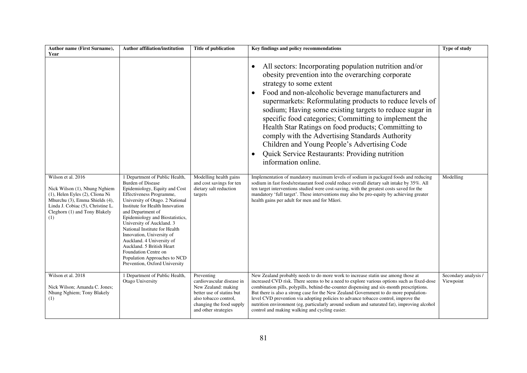| Author name (First Surname),<br>Year                                                                                                                                                                  | <b>Author affiliation/institution</b>                                                                                                                                                                                                                                                                                                                                                                                                                                                               | Title of publication                                                                                                                                                     | Key findings and policy recommendations                                                                                                                                                                                                                                                                                                                                                                                                                                                                                                                                                                                     | <b>Type of study</b>              |
|-------------------------------------------------------------------------------------------------------------------------------------------------------------------------------------------------------|-----------------------------------------------------------------------------------------------------------------------------------------------------------------------------------------------------------------------------------------------------------------------------------------------------------------------------------------------------------------------------------------------------------------------------------------------------------------------------------------------------|--------------------------------------------------------------------------------------------------------------------------------------------------------------------------|-----------------------------------------------------------------------------------------------------------------------------------------------------------------------------------------------------------------------------------------------------------------------------------------------------------------------------------------------------------------------------------------------------------------------------------------------------------------------------------------------------------------------------------------------------------------------------------------------------------------------------|-----------------------------------|
|                                                                                                                                                                                                       |                                                                                                                                                                                                                                                                                                                                                                                                                                                                                                     |                                                                                                                                                                          | All sectors: Incorporating population nutrition and/or<br>$\bullet$<br>obesity prevention into the overarching corporate<br>strategy to some extent<br>Food and non-alcoholic beverage manufacturers and<br>supermarkets: Reformulating products to reduce levels of<br>sodium; Having some existing targets to reduce sugar in<br>specific food categories; Committing to implement the<br>Health Star Ratings on food products; Committing to<br>comply with the Advertising Standards Authority<br>Children and Young People's Advertising Code<br>Quick Service Restaurants: Providing nutrition<br>information online. |                                   |
| Wilson et al. 2016<br>Nick Wilson (1), Nhung Nghiem<br>(1), Helen Eyles (2), Cliona Ni<br>Mhurchu (3), Emma Shields (4),<br>Linda J. Cobiac (5), Christine L.<br>Cleghorn (1) and Tony Blakely<br>(1) | 1 Department of Public Health,<br><b>Burden of Disease</b><br>Epidemiology, Equity and Cost<br>Effectiveness Programme,<br>University of Otago. 2 National<br>Institute for Health Innovation<br>and Department of<br>Epidemiology and Biostatistics,<br>University of Auckland. 3<br>National Institute for Health<br>Innovation, University of<br>Auckland. 4 University of<br>Auckland. 5 British Heart<br>Foundation Centre on<br>Population Approaches to NCD<br>Prevention, Oxford University | Modelling health gains<br>and cost savings for ten<br>dietary salt reduction<br>targets                                                                                  | Implementation of mandatory maximum levels of sodium in packaged foods and reducing<br>sodium in fast foods/restaurant food could reduce overall dietary salt intake by 35%. All<br>ten target interventions studied were cost-saving, with the greatest costs saved for the<br>mandatory 'full target'. These interventions may also be pro-equity by achieving greater<br>health gains per adult for men and for Māori.                                                                                                                                                                                                   | Modelling                         |
| Wilson et al. 2018<br>Nick Wilson; Amanda C. Jones;<br>Nhung Nghiem; Tony Blakely<br>(1)                                                                                                              | 1 Department of Public Health,<br>Otago University                                                                                                                                                                                                                                                                                                                                                                                                                                                  | Preventing<br>cardiovascular disease in<br>New Zealand: making<br>better use of statins but<br>also tobacco control.<br>changing the food supply<br>and other strategies | New Zealand probably needs to do more work to increase statin use among those at<br>increased CVD risk. There seems to be a need to explore various options such as fixed-dose<br>combination pills, polypills, behind-the-counter dispensing and six-month prescriptions.<br>But there is also a strong case for the New Zealand Government to do more population-<br>level CVD prevention via adopting policies to advance tobacco control, improve the<br>nutrition environment (eg, particularly around sodium and saturated fat), improving alcohol<br>control and making walking and cycling easier.                  | Secondary analysis /<br>Viewpoint |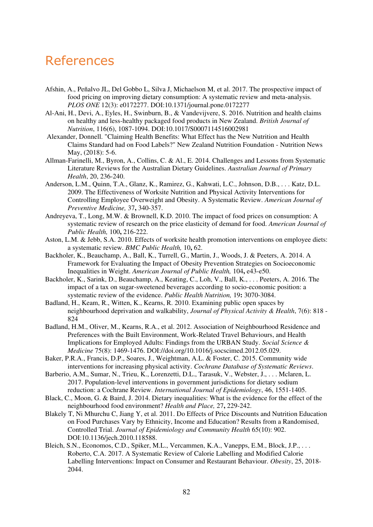## References

- Afshin, A., Peñalvo JL, Del Gobbo L, Silva J, Michaelson M, et al. 2017. The prospective impact of food pricing on improving dietary consumption: A systematic review and meta-analysis. *PLOS ONE* 12(3): e0172277. [DOI:10.1371/journal.pone.0172277](https://doi.org/10.1371/journal.pone.0172277)
- Al-Ani, H., Devi, A., Eyles, H., Swinburn, B., & Vandevijvere, S. 2016. Nutrition and health claims on healthy and less-healthy packaged food products in New Zealand. *British Journal of Nutrition*, 116(6), 1087-1094. DOI:10.1017/S0007114516002981
- Alexander, Donnell. "Claiming Health Benefits: What Effect has the New Nutrition and Health Claims Standard had on Food Labels?" New Zealand Nutrition Foundation - Nutrition News May, (2018): 5-6.
- Allman-Farinelli, M., Byron, A., Collins, C. & Al., E. 2014. Challenges and Lessons from Systematic Literature Reviews for the Australian Dietary Guidelines. *Australian Journal of Primary Health*, 20, 236-240.
- Anderson, L.M., Quinn, T.A., Glanz, K., Ramirez, G., Kahwati, L.C., Johnson, D.B., . . . Katz, D.L. 2009. The Effectiveness of Worksite Nutrition and Physical Activity Interventions for Controlling Employee Overweight and Obesity. A Systematic Review. *American Journal of Preventive Medicine,* 37**,** 340-357.
- Andreyeva, T., Long, M.W. & Brownell, K.D. 2010. The impact of food prices on consumption: A systematic review of research on the price elasticity of demand for food. *American Journal of Public Health,* 100**,** 216-222.
- Aston, L.M. & Jebb, S.A. 2010. Effects of worksite health promotion interventions on employee diets: a systematic review. *BMC Public Health,* 10**,** 62.
- Backholer, K., Beauchamp, A., Ball, K., Turrell, G., Martin, J., Woods, J. & Peeters, A. 2014. A Framework for Evaluating the Impact of Obesity Prevention Strategies on Socioeconomic Inequalities in Weight. *American Journal of Public Health,* 104**,** e43-e50.
- Backholer, K., Sarink, D., Beauchamp, A., Keating, C., Loh, V., Ball, K., . . . Peeters, A. 2016. The impact of a tax on sugar-sweetened beverages according to socio-economic position: a systematic review of the evidence. *Public Health Nutrition,* 19**:** 3070-3084.
- Badland, H., Keam, R., Witten, K., Kearns, R. 2010. Examining public open spaces by neighbourhood deprivation and walkability, *Journal of Physical Activity & Health*, 7(6): 818 - 824
- Badland, H.M., Oliver, M., Kearns, R.A., et al. 2012. Association of Neighbourhood Residence and Preferences with the Built Environment, Work-Related Travel Behaviours, and Health Implications for Employed Adults: Findings from the URBAN Study. *Social Science & Medicine* 75(8): 1469-1476. DOI://doi.org/10.1016/j.socscimed.2012.05.029.
- Baker, P.R.A., Francis, D.P., Soares, J., Weightman, A.L. & Foster, C. 2015. Community wide interventions for increasing physical activity. *Cochrane Database of Systematic Reviews*.
- Barberio, A.M., Sumar, N., Trieu, K., Lorenzetti, D.L., Tarasuk, V., Webster, J., . . . Mclaren, L. 2017. Population-level interventions in government jurisdictions for dietary sodium reduction: a Cochrane Review. *International Journal of Epidemiology*, 46, 1551-1405.
- Black, C., Moon, G. & Baird, J. 2014. Dietary inequalities: What is the evidence for the effect of the neighbourhood food environment? *Health and Place,* 27**,** 229-242.
- Blakely T, Ni Mhurchu C, Jiang Y, et al. 2011. Do Effects of Price Discounts and Nutrition Education on Food Purchases Vary by Ethnicity, Income and Education? Results from a Randomised, Controlled Trial. *Journal of Epidemiology and Community Health* 65(10): 902. DOI:10.1136/jech.2010.118588.
- Bleich, S.N., Economos, C.D., Spiker, M.L., Vercammen, K.A., Vanepps, E.M., Block, J.P., . . . Roberto, C.A. 2017. A Systematic Review of Calorie Labelling and Modified Calorie Labelling Interventions: Impact on Consumer and Restaurant Behaviour. *Obesity*, 25, 2018- 2044.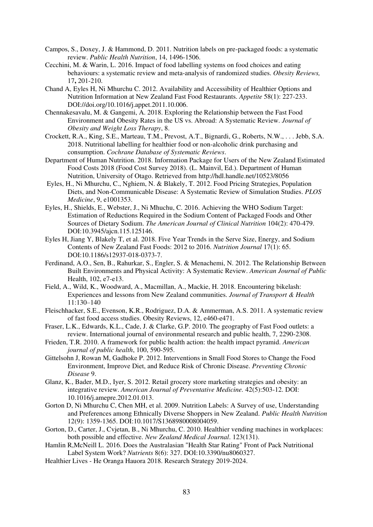- Campos, S., Doxey, J. & Hammond, D. 2011. Nutrition labels on pre-packaged foods: a systematic review. *Public Health Nutrition*, 14, 1496-1506.
- Cecchini, M. & Warin, L. 2016. Impact of food labelling systems on food choices and eating behaviours: a systematic review and meta-analysis of randomized studies. *Obesity Reviews,* 17**,** 201-210.
- Chand A, Eyles H, Ni Mhurchu C. 2012. Availability and Accessibility of Healthier Options and Nutrition Information at New Zealand Fast Food Restaurants. *Appetite* 58(1): 227-233. DOI://doi.org/10.1016/j.appet.2011.10.006.
- Chennakesavalu, M. & Gangemi, A. 2018. Exploring the Relationship between the Fast Food Environment and Obesity Rates in the US vs. Abroad: A Systematic Review. *Journal of Obesity and Weight Loss Therapy*, 8.
- Crockett, R.A., King, S.E., Marteau, T.M., Prevost, A.T., Bignardi, G., Roberts, N.W., . . . Jebb, S.A. 2018. Nutritional labelling for healthier food or non-alcoholic drink purchasing and consumption. *Cochrane Database of Systematic Reviews*.
- Department of Human Nutrition. 2018. Information Package for Users of the New Zealand Estimated Food Costs 2018 (Food Cost Survey 2018). (L. Mainvil, Ed.). Department of Human Nutrition, University of Otago. Retrieved from http://hdl.handle.net/10523/8056
- Eyles, H., Ni Mhurchu, C., Nghiem, N. & Blakely, T. 2012. Food Pricing Strategies, Population Diets, and Non-Communicable Disease: A Systematic Review of Simulation Studies. *PLOS Medicine*, 9, e1001353.
- Eyles, H., Shields, E., Webster, J., Ni Mhuchu, C. 2016. Achieving the WHO Sodium Target: Estimation of Reductions Required in the Sodium Content of Packaged Foods and Other Sources of Dietary Sodium. *The American Journal of Clinical Nutrition* 104(2): 470-479. DOI:10.3945/ajcn.115.125146.
- Eyles H, Jiang Y, Blakely T, et al. 2018. Five Year Trends in the Serve Size, Energy, and Sodium Contents of New Zealand Fast Foods: 2012 to 2016. *Nutrition Journal* 17(1): 65. DOI:10.1186/s12937-018-0373-7.
- Ferdinand, A.O., Sen, B., Rahurkar, S., Engler, S. & Menachemi, N. 2012. The Relationship Between Built Environments and Physical Activity: A Systematic Review. *American Journal of Public*  Health, 102, e7-e13.
- Field, A., Wild, K., Woodward, A., Macmillan, A., Mackie, H. 2018. Encountering bikelash: Experiences and lessons from New Zealand communities. *Journal of Transport & Health* 11:130–140
- Fleischhacker, S.E., Evenson, K.R., Rodriguez, D.A. & Ammerman, A.S. 2011. A systematic review of fast food access studies. Obesity Reviews, 12, e460-e471.
- Fraser, L.K., Edwards, K.L., Cade, J. & Clarke, G.P. 2010. The geography of Fast Food outlets: a review. International journal of environmental research and public health, 7, 2290-2308.
- Frieden, T.R. 2010. A framework for public health action: the health impact pyramid. *American journal of public health*, 100, 590-595.
- Gittelsohn J, Rowan M, Gadhoke P. 2012. Interventions in Small Food Stores to Change the Food Environment, Improve Diet, and Reduce Risk of Chronic Disease. *Preventing Chronic Disease* 9.
- Glanz, K., Bader, M.D., Iyer, S. 2012. Retail grocery store marketing strategies and obesity: an integrative review. *[American Journal of Preventative Medicine.](https://www.ncbi.nlm.nih.gov/pubmed/22516491)* 42(5):503-12. DOI: 10.1016/j.amepre.2012.01.013.
- Gorton D, Ni Mhurchu C, Chen MH, et al. 2009. Nutrition Labels: A Survey of use, Understanding and Preferences among Ethnically Diverse Shoppers in New Zealand. *Public Health Nutrition* 12(9): 1359-1365. DOI:10.1017/S1368980008004059.
- Gorton, D., Carter, J., Cvjetan, B., Ni Mhurchu, C. 2010. Healthier vending machines in workplaces: both possible and effective. *New Zealand Medical Journal*. 123(131).
- Hamlin R,McNeill L. 2016. Does the Australasian "Health Star Rating" Front of Pack Nutritional Label System Work? *Nutrients* 8(6): 327. DOI:10.3390/nu8060327.
- Healthier Lives He Oranga Hauora 2018. Research Strategy 2019-2024.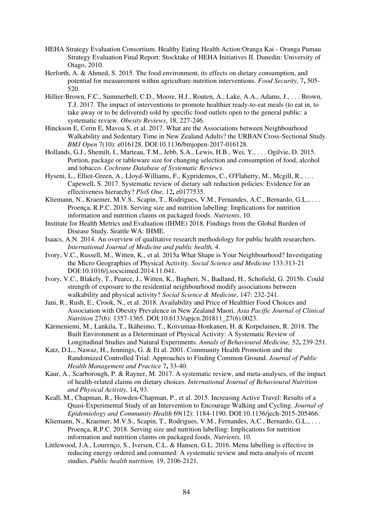- HEHA Strategy Evaluation Consortium. Healthy Eating Health Action:Oranga Kai Oranga Pumau Strategy Evaluation Final Report: Stocktake of HEHA Initiatives II. Dunedin: University of Otago, 2010.
- Herforth, A. & Ahmed, S. 2015. The food environment, its effects on dietary consumption, and potential for measurement within agriculture-nutrition interventions. *Food Security,* 7**,** 505- 520.
- Hillier-Brown, F.C., Summerbell, C.D., Moore, H.J., Routen, A., Lake, A.A., Adams, J., . . . Brown, T.J. 2017. The impact of interventions to promote healthier ready-to-eat meals (to eat in, to take away or to be delivered) sold by specific food outlets open to the general public: a systematic review. *Obesity Reviews*, 18, 227-246.
- Hinckson E, Cerin E, Mavoa S, et al. 2017. What are the Associations between Neighbourhood Walkability and Sedentary Time in New Zealand Adults? the URBAN Cross-Sectional Study. *BMJ Open* 7(10): e016128. DOI:10.1136/bmjopen-2017-016128.
- Hollands, G.J., Shemilt, I., Marteau, T.M., Jebb, S.A., Lewis, H.B., Wei, Y., . . . Ogilvie, D. 2015. Portion, package or tableware size for changing selection and consumption of food, alcohol and tobacco. *Cochrane Database of Systematic Reviews*.
- Hyseni, L., Elliot-Green, A., Lloyd-Williams, F., Kypridemos, C., O'Flaherty, M., Mcgill, R., . . . Capewell, S. 2017. Systematic review of dietary salt reduction policies: Evidence for an effectiveness hierarchy? *PloS One,* 12**,** e0177535.
- Kliemann, N., Kraemer, M.V.S., Scapin, T., Rodrigues, V.M., Fernandes, A.C., Bernardo, G.L., . . . . Proença, R.P.C. 2018. Serving size and nutrition labelling: Implications for nutrition information and nutrition claims on packaged foods. *Nutrients*, 10.
- Institute for Health Metrics and Evaluation (IHME) 2018. Findings from the Global Burden of Disease Study. Seattle WA: IHME.
- Isaacs, A.N. 2014. An overview of qualitative research methodology for public health researchers. *International Journal of Medicine and public health,* 4.
- Ivory, V.C., Russell, M., Witten, K., et al. 2015a What Shape is Your Neighbourhood? Investigating the Micro Geographies of Physical Activity. *Social Science and Medicine* 133:313-21 DOI:10.1016/j.socscimed.2014.11.041.
- Ivory, V.C., Blakely, T., Pearce, J., Witten, K., Bagheri, N., Badland, H., Schofield, G. 2015b. Could strength of exposure to the residential neighbourhood modify associations between walkability and physical activity? *Social Science & Medicine*, 147: 232-241.
- Jani, R., Rush, E., Crook, N., et al. 2018. Availability and Price of Healthier Food Choices and Association with Obesity Prevalence in New Zealand Maori. *Asia Pacific Journal of Clinical Nutrition* 27(6): 1357-1365. DOI:10.6133/apjcn.201811\_27(6).0023.
- Kärmeniemi, M., Lankila, T., Ikäheimo, T., Koivumaa-Honkanen, H. & Korpelainen, R. 2018. The Built Environment as a Determinant of Physical Activity: A Systematic Review of Longitudinal Studies and Natural Experiments. *Annals of Behavioural Medicine,* 52**,** 239-251.
- Katz, D.L., Nawaz, H., Jennings, G. & Et al. 2001. Community Health Promotion and the Randomized Controlled Trial: Approaches to Finding Common Ground. *Journal of Public Health Management and Practice* 7**,** 33-40.
- Kaur, A., Scarborough, P. & Rayner, M. 2017. A systematic review, and meta-analyses, of the impact of health-related claims on dietary choices. *International Journal of Behavioural Nutrition and Physical Activity,* 14**,** 93.
- Keall, M., Chapman, R., Howden-Chapman, P., et al. 2015. Increasing Active Travel: Results of a Quasi-Experimental Study of an Intervention to Encourage Walking and Cycling. *Journal of Epidemiology and Community Health* 69(12): 1184-1190. DOI:10.1136/jech-2015-205466.
- Kliemann, N., Kraemer, M.V.S., Scapin, T., Rodrigues, V.M., Fernandes, A.C., Bernardo, G.L., . . . . Proença, R.P.C. 2018. Serving size and nutrition labelling: Implications for nutrition information and nutrition claims on packaged foods. *Nutrients,* 10.
- Littlewood, J.A., Lourenço, S., Iversen, C.L. & Hansen, G.L. 2016. Menu labelling is effective in reducing energy ordered and consumed: A systematic review and meta-analysis of recent studies. *Public health nutrition,* 19, 2106-2121.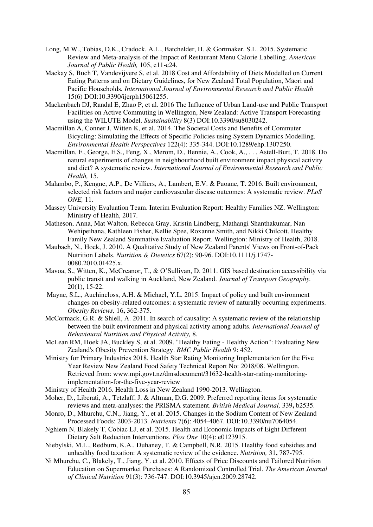- Long, M.W., Tobias, D.K., Cradock, A.L., Batchelder, H. & Gortmaker, S.L. 2015. Systematic Review and Meta-analysis of the Impact of Restaurant Menu Calorie Labelling. *American Journal of Public Health,* 105, e11-e24.
- Mackay S, Buch T, Vandevijvere S, et al. 2018 Cost and Affordability of Diets Modelled on Current Eating Patterns and on Dietary Guidelines, for New Zealand Total Population, Māori and Pacific Households*. International Journal of Environmental Research and Public Health* 15(6) DOI:10.3390/ijerph15061255.
- Mackenbach DJ, Randal E, Zhao P, et al. 2016 The Influence of Urban Land-use and Public Transport Facilities on Active Commuting in Wellington, New Zealand: Active Transport Forecasting using the WILUTE Model. *Sustainability* 8(3) DOI:10.3390/su8030242.
- Macmillan A, Conner J, Witten K, et al. 2014. The Societal Costs and Benefits of Commuter Bicycling: Simulating the Effects of Specific Policies using System Dynamics Modelling. *Environmental Health Perspectives* 122(4): 335-344. DOI:10.1289/ehp.1307250.
- Macmillan, F., George, E.S., Feng, X., Merom, D., Bennie, A., Cook, A., . . . Astell-Burt, T. 2018. Do natural experiments of changes in neighbourhood built environment impact physical activity and diet? A systematic review. *International Journal of Environmental Research and Public Health,* 15.
- Malambo, P., Kengne, A.P., De Villiers, A., Lambert, E.V. & Puoane, T. 2016. Built environment, selected risk factors and major cardiovascular disease outcomes: A systematic review. *PLoS ONE,* 11.
- Massey University Evaluation Team. Interim Evaluation Report: Healthy Families NZ. Wellington: Ministry of Health, 2017.
- Matheson, Anna, Mat Walton, Rebecca Gray, Kristin Lindberg, Mathangi Shanthakumar, Nan Wehipeihana, Kathleen Fisher, Kellie Spee, Roxanne Smith, and Nikki Chilcott. Healthy Family New Zealand Summative Evaluation Report. Wellington: Ministry of Health, 2018.
- Maubach, N., Hoek, J. 2010. A Qualitative Study of New Zealand Parents' Views on Front-of-Pack Nutrition Labels. *Nutrition & Dietetics* 67(2): 90-96. DOI:10.1111/j.1747- 0080.2010.01425.x.
- Mavoa, S., Witten, K., McCreanor, T., & O'Sullivan, D. 2011. GIS based destination accessibility via public transit and walking in Auckland, New Zealand. *Journal of Transport Geography.* 20(1), 15-22.
- Mayne, S.L., Auchincloss, A.H. & Michael, Y.L. 2015. Impact of policy and built environment changes on obesity-related outcomes: a systematic review of naturally occurring experiments. *Obesity Reviews,* 16**,** 362-375.
- McCormack, G.R. & Shiell, A. 2011. In search of causality: A systematic review of the relationship between the built environment and physical activity among adults. *International Journal of Behavioural Nutrition and Physical Activity,* 8.
- McLean RM, Hoek JA, Buckley S, et al. 2009. "Healthy Eating Healthy Action": Evaluating New Zealand's Obesity Prevention Strategy. *BMC Public Health* 9: 452.
- Ministry for Primary Industries 2018. Health Star Rating Monitoring Implementation for the Five Year Review New Zealand Food Safety Technical Report No: 2018/08. Wellington. Retrieved from: www.mpi.govt.nz/dmsdocument/31632-health-star-rating-monitoringimplementation-for-the-five-year-review
- Ministry of Health 2016. Health Loss in New Zealand 1990-2013. Wellington.
- Moher, D., Liberati, A., Tetzlaff, J. & Altman, D.G. 2009. Preferred reporting items for systematic reviews and meta-analyses: the PRISMA statement. *British Medical Journal,* 339**,** b2535.
- Monro, D., Mhurchu, C.N., Jiang, Y., et al. 2015. Changes in the Sodium Content of New Zealand Processed Foods: 2003-2013. *Nutrients* 7(6): 4054-4067. DOI:10.3390/nu7064054.
- Nghiem N, Blakely T, Cobiac LJ, et al. 2015. Health and Economic Impacts of Eight Different Dietary Salt Reduction Interventions. *Plos One* 10(4): e0123915.
- Niebylski, M.L., Redburn, K.A., Duhaney, T. & Campbell, N.R. 2015. Healthy food subsidies and unhealthy food taxation: A systematic review of the evidence. *Nutrition,* 31**,** 787-795.
- Ni Mhurchu, C., Blakely, T., Jiang, Y. et al. 2010. Effects of Price Discounts and Tailored Nutrition Education on Supermarket Purchases: A Randomized Controlled Trial. *The American Journal of Clinical Nutrition* 91(3): 736-747. DOI:10.3945/ajcn.2009.28742.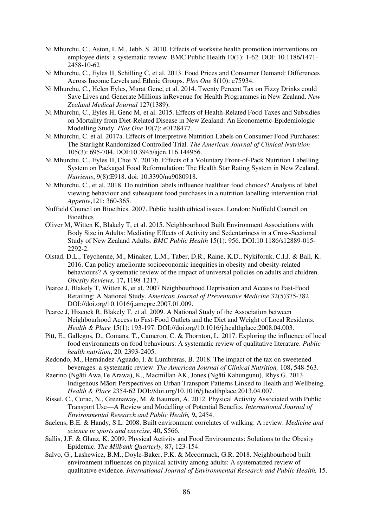- Ni Mhurchu, C., Aston, L.M., Jebb, S. 2010. Effects of worksite health promotion interventions on employee diets: a systematic review. BMC Public Health 10(1): 1-62. DOI: 10.1186/1471- 2458-10-62
- Ni Mhurchu, C., Eyles H, Schilling C, et al. 2013. Food Prices and Consumer Demand: Differences Across Income Levels and Ethnic Groups. *Plos One* 8(10): e75934.
- Ni Mhurchu, C., Helen Eyles, Murat Genc, et al. 2014. Twenty Percent Tax on Fizzy Drinks could Save Lives and Generate Millions inRevenue for Health Programmes in New Zealand. *New Zealand Medical Journal* 127(1389).
- Ni Mhurchu, C., Eyles H, Genc M, et al. 2015. Effects of Health-Related Food Taxes and Subsidies on Mortality from Diet-Related Disease in New Zealand: An Econometric-Epidemiologic Modelling Study. *Plos One* 10(7): e0128477.
- Ni Mhurchu, C. et al. 2017a. Effects of Interpretive Nutrition Labels on Consumer Food Purchases: The Starlight Randomized Controlled Trial*. The American Journal of Clinical Nutrition* 105(3): 695-704. DOI:10.3945/ajcn.116.144956.
- Ni Mhurchu, C., Eyles H, Choi Y. 2017b. Effects of a Voluntary Front-of-Pack Nutrition Labelling System on Packaged Food Reformulation: The Health Star Rating System in New Zealand. *Nutrients*, 9(8):E918. doi: 10.3390/nu9080918.
- Ni Mhurchu, C., et al. 2018. Do nutrition labels influence healthier food choices? Analysis of label viewing behaviour and subsequent food purchases in a nutrition labelling intervention trial. *Appetite*,121: 360-365.
- Nuffield Council on Bioethics. 2007. Public health ethical issues. London: Nuffield Council on **Bioethics**
- Oliver M, Witten K, Blakely T, et al. 2015. Neighbourhood Built Environment Associations with Body Size in Adults: Mediating Effects of Activity and Sedentariness in a Cross-Sectional Study of New Zealand Adults. *BMC Public Health* 15(1): 956. DOI:10.1186/s12889-015- 2292-2.
- Olstad, D.L., Teychenne, M., Minaker, L.M., Taber, D.R., Raine, K.D., Nykiforuk, C.I.J. & Ball, K. 2016. Can policy ameliorate socioeconomic inequities in obesity and obesity-related behaviours? A systematic review of the impact of universal policies on adults and children. *Obesity Reviews,* 17**,** 1198-1217.
- Pearce J, Blakely T, Witten K, et al. 2007 Neighbourhood Deprivation and Access to Fast-Food Retailing: A National Study. *American Journal of Preventative Medicine* 32(5)375-382 DOI://doi.org/10.1016/j.amepre.2007.01.009.
- Pearce J, Hiscock R, Blakely T, et al. 2009. A National Study of the Association between Neighbourhood Access to Fast-Food Outlets and the Diet and Weight of Local Residents. *Health & Place* 15(1): 193-197. DOI://doi.org/10.1016/j.healthplace.2008.04.003.
- Pitt, E., Gallegos, D., Comans, T., Cameron, C. & Thornton, L. 2017. Exploring the influence of local food environments on food behaviours: A systematic review of qualitative literature. *Public health nutrition*, 20, 2393-2405.
- Redondo, M., Hernández-Aguado, I. & Lumbreras, B. 2018. The impact of the tax on sweetened beverages: a systematic review. *The American Journal of Clinical Nutrition,* 108**,** 548-563.
- Raerino (Ngāti Awa,Te Arawa), K., Macmillan AK, Jones (Ngāti Kahungunu), Rhys G. 2013 Indigenous Māori Perspectives on Urban Transport Patterns Linked to Health and Wellbeing. *Health & Place* 2354-62 DOI://doi.org/10.1016/j.healthplace.2013.04.007.
- Rissel, C., Curac, N., Greenaway, M. & Bauman, A. 2012. Physical Activity Associated with Public Transport Use—A Review and Modelling of Potential Benefits. *International Journal of Environmental Research and Public Health,* 9**,** 2454.
- Saelens, B.E. & Handy, S.L. 2008. Built environment correlates of walking: A review. *Medicine and science in sports and exercise,* 40**,** S566.
- Sallis, J.F. & Glanz, K. 2009. Physical Activity and Food Environments: Solutions to the Obesity Epidemic. *The Milbank Quarterly,* 87**,** 123-154.
- Salvo, G., Lashewicz, B.M., Doyle-Baker, P.K. & Mccormack, G.R. 2018. Neighbourhood built environment influences on physical activity among adults: A systematized review of qualitative evidence. *International Journal of Environmental Research and Public Health,* 15.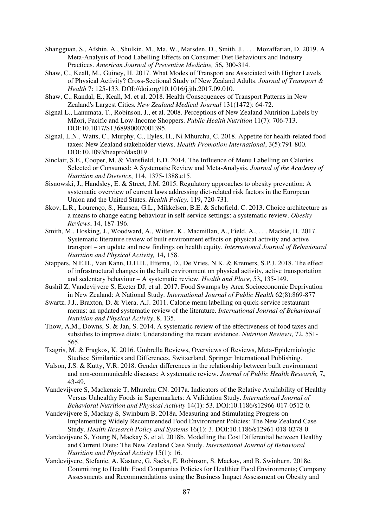- Shangguan, S., Afshin, A., Shulkin, M., Ma, W., Marsden, D., Smith, J., . . . Mozaffarian, D. 2019. A Meta-Analysis of Food Labelling Effects on Consumer Diet Behaviours and Industry Practices. *American Journal of Preventive Medicine,* 56**,** 300-314.
- Shaw, C., Keall, M., Guiney, H. 2017. What Modes of Transport are Associated with Higher Levels of Physical Activity? Cross-Sectional Study of New Zealand Adults. *Journal of Transport & Health* 7: 125-133. DOI://doi.org/10.1016/j.jth.2017.09.010.
- Shaw, C., Randal, E., Keall, M. et al. 2018. Health Consequences of Transport Patterns in New Zealand's Largest Cities*. New Zealand Medical Journal* 131(1472): 64-72.
- Signal L., Lanumata, T., Robinson, J., et al. 2008. Perceptions of New Zealand Nutrition Labels by Māori, Pacific and Low-Income Shoppers. *Public Health Nutrition* 11(7): 706-713. DOI:10.1017/S1368980007001395.
- Signal, L.N., Watts, C., Murphy, C., Eyles, H., Ni Mhurchu, C. 2018. Appetite for health-related food taxes: New Zealand stakeholder views. *Health Promotion International*, 3(5):791-800. DOI[:10.1093/heapro/dax019](https://doi.org/10.1093/heapro/dax019)
- Sinclair, S.E., Cooper, M. & Mansfield, E.D. 2014. The Influence of Menu Labelling on Calories Selected or Consumed: A Systematic Review and Meta-Analysis. *Journal of the Academy of Nutrition and Dietetics*, 114, 1375-1388.e15.
- Sisnowski, J., Handsley, E. & Street, J.M. 2015. Regulatory approaches to obesity prevention: A systematic overview of current laws addressing diet-related risk factors in the European Union and the United States. *Health Policy,* 119**,** 720-731.
- Skov, L.R., Lourenço, S., Hansen, G.L., Mikkelsen, B.E. & Schofield, C. 2013. Choice architecture as a means to change eating behaviour in self-service settings: a systematic review. *Obesity Reviews*, 14, 187-196.
- Smith, M., Hosking, J., Woodward, A., Witten, K., Macmillan, A., Field, A., . . . Mackie, H. 2017. Systematic literature review of built environment effects on physical activity and active transport – an update and new findings on health equity. *International Journal of Behavioural Nutrition and Physical Activity,* 14**,** 158.
- Stappers, N.E.H., Van Kann, D.H.H., Ettema, D., De Vries, N.K. & Kremers, S.P.J. 2018. The effect of infrastructural changes in the built environment on physical activity, active transportation and sedentary behaviour – A systematic review. *Health and Place,* 53**,** 135-149.
- Sushil Z, Vandevijvere S, Exeter DJ, et al. 2017. Food Swamps by Area Socioeconomic Deprivation in New Zealand: A National Study*. International Journal of Public Health* 62(8):869-877
- Swartz, J.J., Braxton, D. & Viera, A.J. 2011. Calorie menu labelling on quick-service restaurant menus: an updated systematic review of the literature. *International Journal of Behavioural Nutrition and Physical Activity*, 8, 135.
- Thow, A.M., Downs, S. & Jan, S. 2014. A systematic review of the effectiveness of food taxes and subsidies to improve diets: Understanding the recent evidence. *Nutrition Reviews*, 72, 551- 565.
- Tsagris, M. & Fragkos, K. 2016. Umbrella Reviews, Overviews of Reviews, Meta-Epidemiologic Studies: Similarities and Differences. Switzerland, Springer International Publishing.
- Valson, J.S. & Kutty, V.R. 2018. Gender differences in the relationship between built environment and non-communicable diseases: A systematic review. *Journal of Public Health Research,* 7**,** 43-49.
- Vandevijvere S, Mackenzie T, Mhurchu CN. 2017a. Indicators of the Relative Availability of Healthy Versus Unhealthy Foods in Supermarkets: A Validation Study. *International Journal of Behavioral Nutrition and Physical Activity* 14(1): 53. DOI:10.1186/s12966-017-0512-0.
- Vandevijvere S, Mackay S, Swinburn B. 2018a. Measuring and Stimulating Progress on Implementing Widely Recommended Food Environment Policies: The New Zealand Case Study. *Health Research Policy and Systems* 16(1): 3. DOI:10.1186/s12961-018-0278-0.
- Vandevijvere S, Young N, Mackay S, et al. 2018b. Modelling the Cost Differential between Healthy and Current Diets: The New Zealand Case Study. *International Journal of Behavioral Nutrition and Physical Activity* 15(1): 16.
- Vandevijvere, Stefanie, A. Kasture, G. Sacks, E. Robinson, S. Mackay, and B. Swinburn. 2018c. Committing to Health: Food Companies Policies for Healthier Food Environments; Company Assessments and Recommendations using the Business Impact Assessment on Obesity and